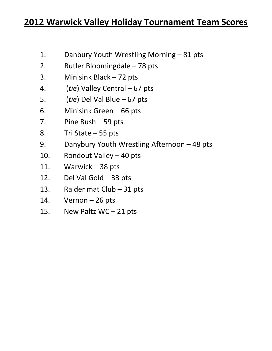## **2012 Warwick Valley Holiday Tournament Team Scores**

- 1. Danbury Youth Wrestling Morning 81 pts
- 2. Butler Bloomingdale 78 pts
- 3. Minisink Black 72 pts
- 4. (*tie*) Valley Central 67 pts
- 5. (*tie*) Del Val Blue 67 pts
- 6. Minisink Green 66 pts
- 7. Pine Bush 59 pts
- 8. Tri State 55 pts
- 9. Danybury Youth Wrestling Afternoon 48 pts
- 10. Rondout Valley 40 pts
- 11. Warwick 38 pts
- 12. Del Val Gold 33 pts
- 13. Raider mat Club 31 pts
- 14. Vernon 26 pts
- 15. New Paltz WC 21 pts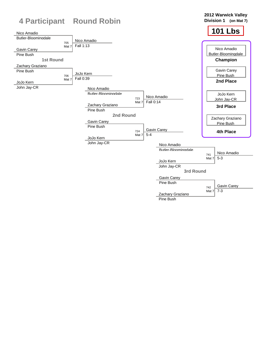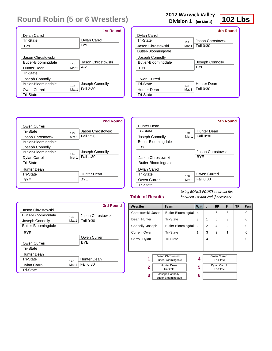|                                   | <b>1st Round</b>  |
|-----------------------------------|-------------------|
| Dylan Carrol                      |                   |
| Tri-State                         | Dylan Carrol      |
| BYE                               | <b>BYF</b>        |
|                                   |                   |
| Jason Chrostowski                 |                   |
| <b>Butler-Bloomingdale</b><br>101 | Jason Chrostowski |
| Hunter Dean<br>Mat 1              | $4 - 2$           |
| Tri-State                         |                   |
| Joseph Connolly                   |                   |
| Butler-Bloominadale<br>102        | Joseph Connolly   |
| Owen Curreri<br>Mat 1             | Fall 2:30         |
| <b>Tri-State</b>                  |                   |

### **2012 Warwick Valley**

**Division 1 (on Mat 1)**

## **102 Lbs**

|       | 4th Round          |
|-------|--------------------|
|       |                    |
| 137   | Jason Chrostowski  |
| Mat 1 | <b>Fall 0:30</b>   |
|       |                    |
|       |                    |
|       | Joseph Connolly    |
|       | <b>BYF</b>         |
|       |                    |
|       |                    |
|       | <b>Hunter Dean</b> |
| Mat 1 | Fall 0:30          |
|       |                    |
|       | 138                |

|                            | 2nd Round                |  |
|----------------------------|--------------------------|--|
| Owen Curreri               |                          |  |
| Tri-State                  | Jason Chrostowski<br>113 |  |
| Jason Chrostowski          | Fall 1:30<br>Mat 1       |  |
| Butler-Bloomingdale        |                          |  |
| Joseph Connolly            |                          |  |
| <b>Butler-Bloomingdale</b> | Joseph Connolly<br>114   |  |
| Dylan Carrol               | Fall 1:30<br>Mat 1       |  |
| Tri-State                  |                          |  |
| Hunter Dean                |                          |  |
| Tri-State                  | <b>Hunter Dean</b>       |  |
| BYE                        | <b>BYF</b>               |  |
|                            |                          |  |

|                     |       | 5th Round         |
|---------------------|-------|-------------------|
| Hunter Dean         |       |                   |
| Tri-State           | 149   | Hunter Dean       |
| Joseph Connolly     | Mat 1 | Fall 0:30         |
| Butler-Bloomingdale |       |                   |
| <b>BYF</b>          |       |                   |
|                     |       | Jason Chrostowski |
| Jason Chrostowski   |       | <b>BYF</b>        |
| Butler-Bloomingdale |       |                   |
| Dylan Carrol        |       |                   |
| Tri-State           | 150   | Owen Curreri      |
| Owen Curreri        | Mat 1 | Fall 0:30         |
| <b>Tri-State</b>    |       |                   |

### **Table of Results**

|                     |       | 3rd Round          |
|---------------------|-------|--------------------|
| Jason Chrostowski   |       |                    |
| Butler-Bloomingdale | 125   | Jason Chrostowski  |
| Joseph Connolly     | Mat 1 | Fall 0:30          |
| Butler-Bloomingdale |       |                    |
| BYE                 |       |                    |
|                     |       | Owen Curreri       |
| Owen Curreri        |       | <b>BYF</b>         |
| Tri-State           |       |                    |
| Hunter Dean         |       |                    |
| Tri-State           | 126   | <b>Hunter Dean</b> |
| Dylan Carrol        | Mat 1 | Fall 0:30          |
| <b>Tri-State</b>    |       |                    |

| Wrestler                          | <b>Team</b>                              |                    | $W^-$          | L | <b>BP</b>                               | F              | TF | Pen      |
|-----------------------------------|------------------------------------------|--------------------|----------------|---|-----------------------------------------|----------------|----|----------|
| Chrostowski, Jason                |                                          | Butler-Bloomingdal | $\overline{4}$ |   | 6                                       | 3              |    | 0        |
| Dean, Hunter                      |                                          | <b>Tri-State</b>   | 3              | 1 | 6                                       | 3              |    | 0        |
| Connolly, Joseph                  |                                          | Butler-Bloomingdal | 2              | 2 | 4                                       | $\mathfrak{p}$ |    | $\Omega$ |
| Curreri, Owen                     |                                          | <b>Tri-State</b>   | 1              | 3 | 2                                       | 1              |    | $\Omega$ |
| <b>Tri-State</b><br>Carrol, Dylan |                                          |                    | 4              |   |                                         |                | 0  |          |
|                                   |                                          |                    |                |   |                                         |                |    |          |
|                                   |                                          |                    |                |   |                                         |                |    |          |
| 1                                 | Jason Chrostowski<br>Butler-Bloomingdale |                    | 4              |   | Owen Curreri<br><b>Tri-State</b>        |                |    |          |
| $\mathbf{2}$                      | <b>Hunter Dean</b><br>Tri-State          |                    | 5              |   | <b>Dylan Carrol</b><br><b>Tri-State</b> |                |    |          |
| 3                                 | Joseph Connolly<br>Butler-Bloomingdale   |                    | 6              |   |                                         |                |    |          |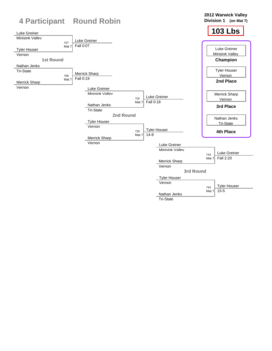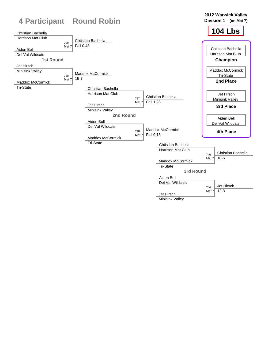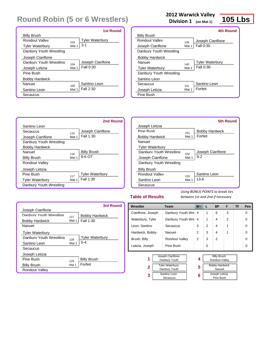|                         |       | 1st Round              |
|-------------------------|-------|------------------------|
| <b>Billy Brush</b>      |       |                        |
| Rondout Valley          | 103   | <b>Tyler Waterbury</b> |
| <b>Tyler Waterbury</b>  | Mat 1 | $3-1$                  |
| Danbury Youth Wrestling |       |                        |
| Joseph Cianflone        |       |                        |
| Danhury Youth Wrestling | 104   | Joseph Cianflone       |
| Joseph Letizia          | Mat 1 | Fall 0:30              |
| Pine Bush               |       |                        |
| <b>Bobby Hardwick</b>   |       |                        |
| Nanuet                  | 105   | Santino Leon           |
| Santino Leon            | Mat 1 | Fall 2:30              |
| Secaucus                |       |                        |

Santino Leon

Joseph Cianflone Danbury Youth Wrestling

Bobby Hardwick

Tyler Waterbury Danbury Youth Wrestling

Billy Brush Rondout Valley Joseph Letizia

Secaucus 115

Nanuet 116

Pine Bush 117

### **2012 Warwick Valley**

**Division 1 (on Mat 1)**

### **105 Lbs**

|                         |       | 4th Round              |
|-------------------------|-------|------------------------|
| <b>Billy Brush</b>      |       |                        |
| Rondout Valley          | 139   | Joseph Cianflone       |
| Joseph Cianflone        | Mat 1 | Fall 0:30              |
| Danbury Youth Wrestling |       |                        |
| <b>Bobby Hardwick</b>   |       |                        |
| Nanuet                  | 140   | <b>Tyler Waterbury</b> |
| <b>Tyler Waterbury</b>  | Mat 1 | Fall 0:30              |
| Danbury Youth Wrestling |       |                        |
| Santino Leon            |       |                        |
| Secaucus                | 141   | Santino Leon           |
| Joseph Letizia          | Mat 1 | Forfeit                |
| Pine Bush               |       |                        |



#### **Table of Results**

*Using BONUS POINTS to break ties between 1st and 2nd if necessary*

|                         |       | 3rd Round              |
|-------------------------|-------|------------------------|
| Joseph Cianflone        |       |                        |
| Danhury Youth Wrestling | 127   | <b>Bobby Hardwick</b>  |
| <b>Bobby Hardwick</b>   | Mat 1 | Fall 1:30              |
| Nanuet                  |       |                        |
| <b>Tyler Waterbury</b>  |       |                        |
| Danbury Youth Wrestling | 128   | <b>Tyler Waterbury</b> |
| Santino Leon            | Mat 1 | $5 - 4$                |
| Secaucus                |       |                        |
| Joseph Letizia          |       |                        |
| Pine Rush               | 129   | <b>Billy Brush</b>     |
| <b>Billy Brush</b>      | Mat 1 | Forfeit                |
| Rondout Valley          |       |                        |

Mat  $1$  Fall  $1:30$ 

Mat 1 8-6 OT

Mat  $1$  Fall 1:30

Billy Brush

| Wrestler          |                                         |                       | Team |   | L                               | <b>BP</b>                            | F              | TF | Pen      |
|-------------------|-----------------------------------------|-----------------------|------|---|---------------------------------|--------------------------------------|----------------|----|----------|
| Cianflone, Joseph |                                         | Danbury Youth Wre     |      | 4 | 1                               | 6                                    | 3              |    | $\Omega$ |
| Waterbury, Tyler  |                                         | Danbury Youth Wre     |      | 4 | 1                               | 4                                    | $\overline{2}$ |    | $\Omega$ |
| Leon, Santino     |                                         | Secaucus              |      | 3 | $\mathfrak{p}$                  | 4                                    | 1              |    | $\Omega$ |
| Hardwick, Bobby   |                                         | Nanuet                |      | 2 | 3                               | 4                                    | 1              |    | $\Omega$ |
| Brush, Billy      |                                         | <b>Rondout Valley</b> |      | 2 | 3                               | 2                                    |                |    | $\Omega$ |
| Letizia, Joseph   |                                         | Pine Bush             |      |   | 5                               |                                      |                |    | $\Omega$ |
| 1                 | Joseph Cianflone<br>Danbury Youth       |                       |      | 4 |                                 | <b>Billy Brush</b><br>Rondout Valley |                |    |          |
| $\mathbf{2}$      | <b>Tyler Waterbury</b><br>Danbury Youth |                       | 5    |   | <b>Bobby Hardwick</b><br>Nanuet |                                      |                |    |          |
| 3                 | Santino Leon<br>Secaucus                |                       |      | 6 |                                 | Joseph Letizia<br>Pine Bush          |                |    |          |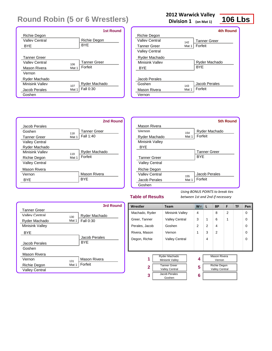|                     |       | <b>1st Round</b>    |
|---------------------|-------|---------------------|
| Richie Degon        |       |                     |
| Valley Central      |       | Richie Degon        |
| BYE                 |       | <b>BYE</b>          |
|                     |       |                     |
| <b>Tanner Greer</b> |       |                     |
| Valley Central      | 106   | <b>Tanner Greer</b> |
| Mason Rivera        | Mat 1 | Forfeit             |
| Vernon              |       |                     |
| Ryder Machado       |       |                     |
| Minisink Valley     | 107   | Ryder Machado       |
| Jacob Perales       | Mat 1 | Fall 0:30           |
| Goshen              |       |                     |

### **2012 Warwick Valley**

**Division 1 (on Mat 1)**

## **106 Lbs**

|                       |       | <b>4th Round</b>    |
|-----------------------|-------|---------------------|
| Richie Degon          |       |                     |
| Valley Central        | 142   | <b>Tanner Greer</b> |
| <b>Tanner Greer</b>   | Mat 1 | Forfeit             |
| <b>Valley Central</b> |       |                     |
| Ryder Machado         |       |                     |
| Minisink Valley       |       | Ryder Machado       |
| <b>BYE</b>            |       | <b>BYF</b>          |
|                       |       |                     |
| Jacob Perales         |       |                     |
| Goshen                | 143   | Jacob Perales       |
| Mason Rivera          | Mat 1 | Forfeit             |
| Vernon                |       |                     |
|                       |       |                     |



|                        |       | 5th Round           |
|------------------------|-------|---------------------|
| Mason Rivera           |       |                     |
| Vernon                 | 154   | Ryder Machado       |
| Ryder Machado          | Mat 1 | Forfeit             |
| <b>Minisink Valley</b> |       |                     |
| <b>BYE</b>             |       |                     |
|                        |       | <b>Tanner Greer</b> |
| <b>Tanner Greer</b>    |       | <b>BYE</b>          |
| <b>Valley Central</b>  |       |                     |
| Richie Degon           |       |                     |
| Valley Central         | 155   | Jacob Perales       |
| Jacob Perales          | Mat 1 | Forfeit             |
| Goshen                 |       |                     |

#### **Table of Results**

|                        |       | 3rd Round     |
|------------------------|-------|---------------|
| <b>Tanner Greer</b>    |       |               |
| Valley Central         | 130   | Ryder Machado |
| Ryder Machado          | Mat 1 | Fall 0:30     |
| <b>Minisink Valley</b> |       |               |
| <b>BYE</b>             |       |               |
|                        |       | Jacob Perales |
| Jacob Perales          |       | <b>BYF</b>    |
| Goshen                 |       |               |
| Mason Rivera           |       |               |
| Vernon                 | 131   | Mason Rivera  |
| Richie Degon           | Mat 1 | Forfeit       |
| <b>Valley Central</b>  |       |               |

| Wrestler       | <b>Team</b>                                  | <b>W</b>       | L | <b>BP</b>                                    | F              | <b>TF</b> | Pen      |
|----------------|----------------------------------------------|----------------|---|----------------------------------------------|----------------|-----------|----------|
| Machado, Ryder | <b>Minisink Valley</b>                       | 4              |   | 8                                            | $\overline{2}$ |           | $\Omega$ |
| Greer, Tanner  | <b>Valley Central</b>                        | 3              | 1 | 6                                            | 1              |           | $\Omega$ |
| Perales, Jacob | Goshen                                       | $\overline{2}$ | 2 | 4                                            |                |           | $\Omega$ |
| Rivera, Mason  | Vernon                                       | 1              | 3 | $\overline{2}$                               |                |           | $\Omega$ |
| Degon, Richie  | <b>Valley Central</b>                        |                | 4 |                                              |                |           | $\Omega$ |
|                |                                              |                |   |                                              |                |           |          |
|                |                                              |                |   |                                              |                |           |          |
| 1              | Ryder Machado<br>Minisink Valley             | 4              |   | <b>Mason Rivera</b><br>Vernon                |                |           |          |
| $\mathbf{2}$   | <b>Tanner Greer</b><br><b>Valley Central</b> | 5              |   | <b>Richie Degon</b><br><b>Valley Central</b> |                |           |          |
| 3              | Jacob Perales<br>Goshen                      | 6              |   |                                              |                |           |          |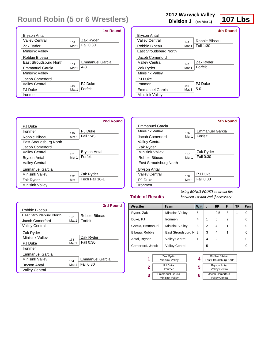|                               |       | 1st Round       |
|-------------------------------|-------|-----------------|
| Bryson Antal                  |       |                 |
| Valley Central                | 108   | Zak Ryder       |
| Zak Ryder                     | Mat 1 | Fall 0:30       |
| <b>Minisink Valley</b>        |       |                 |
| Robbie Bibeau                 |       |                 |
| <b>Fast Stroudsburg North</b> | 109   | Emmanuel Garcia |
| <b>Emmanuel Garcia</b>        | Mat 1 | $4 - 3$         |
| <b>Minisink Valley</b>        |       |                 |
| Jacob Comerford               |       |                 |
| Valley Central                | 110   | PJ Duke         |
| PJ Duke                       | Mat 1 | Forfeit         |
| Ironmen                       |       |                 |

PJ Duke

Zak Ryder

### **2012 Warwick Valley**

**Division 1 (on Mat 1)**



|                        |       | 4th Round        |
|------------------------|-------|------------------|
| Bryson Antal           |       |                  |
| Valley Central         | 144   | Robbie Bibeau    |
| Robbie Bibeau          | Mat 1 | <b>Fall 1:30</b> |
| East Stroudsburg North |       |                  |
| Jacob Comerford        |       |                  |
| Valley Central         | 145   | Zak Ryder        |
| Zak Ryder              | Mat 1 | Forfeit          |
| <b>Minisink Valley</b> |       |                  |
| PJ Duke                |       |                  |
| Ironmen                | 146   | PJ Duke          |
| Emmanuel Garcia        | Mat 1 | $5-0$            |
| Minisink Valley        |       |                  |



|                        |       | 5th Round              |
|------------------------|-------|------------------------|
| Emmanuel Garcia        |       |                        |
| Minisink Valley        | 156   | <b>Emmanuel Garcia</b> |
| Jacob Comerford        | Mat 1 | Forfeit                |
| <b>Valley Central</b>  |       |                        |
| Zak Ryder              |       |                        |
| Minisink Valley        | 157   | Zak Ryder              |
| Robbie Bibeau          | Mat 1 | Fall 0:30              |
| East Stroudsburg North |       |                        |
| <b>Bryson Antal</b>    |       |                        |
| Valley Central         | 158   | PJ Duke                |
| PJ Duke                | Mat 1 | Fall 0:30              |
| Ironmen                |       |                        |

#### **Table of Results**

**3**

*Using BONUS POINTS to break ties between 1st and 2nd if necessary*

> Jacob Comerford Valley Central

|                               |       | 3rd Round       |
|-------------------------------|-------|-----------------|
| Robbie Bibeau                 |       |                 |
| <b>Fast Stroudsburg North</b> | 132   | Robbie Bibeau   |
| Jacob Comerford               | Mat 1 | Forfeit         |
| Valley Central                |       |                 |
| Zak Ryder                     |       |                 |
| Minisink Valley               | 133   | Zak Ryder       |
| PJ Duke                       | Mat 1 | Fall 0:30       |
| Ironmen                       |       |                 |
| <b>Emmanuel Garcia</b>        |       |                 |
| Minisink Valley               | 134   | Emmanuel Garcia |
| Bryson Antal                  | Mat 1 | Fall 0:30       |
| Valley Central                |       |                 |

| Wrestler            | Team                   | W | L             | <b>BP</b>              | F              | TF | Pen         |
|---------------------|------------------------|---|---------------|------------------------|----------------|----|-------------|
| Ryder, Zak          | <b>Minisink Valley</b> | 5 |               | 9.5                    | 3              | 1  | 0           |
| Duke, PJ            | Ironmen                | 4 | 1             | 6                      | $\mathfrak{p}$ |    | 0           |
| Garcia, Emmanuel    | <b>Minisink Valley</b> | 3 | $\mathcal{P}$ | 4                      | 1              |    | $\mathbf 0$ |
| Bibeau, Robbie      | East Stroudsburg N     | 2 | 3             | 4                      | 1              |    | $\mathbf 0$ |
| Antal, Bryson       | <b>Valley Central</b>  | 1 | 4             | $\mathfrak{p}$         |                |    | $\Omega$    |
| Comerford, Jacob    | <b>Valley Central</b>  |   | 5             |                        |                |    | 0           |
|                     |                        |   |               |                        |                |    |             |
| 1                   | Zak Ryder              | 4 |               | Robbie Bibeau          |                |    |             |
|                     | Minisink Valley        |   |               | East Stroudsburg North |                |    |             |
| <b>PJ</b> Duke<br>2 |                        | 5 |               | <b>Bryson Antal</b>    |                |    |             |
| Ironmen             |                        |   |               | <b>Valley Central</b>  |                |    |             |

**6**

Emmanuel Garcia Minisink Valley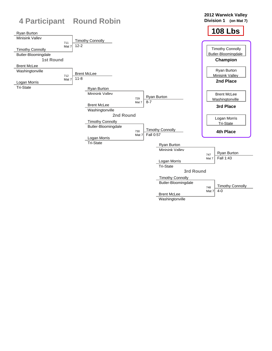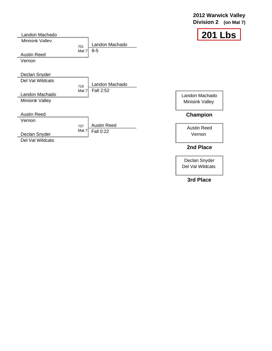### **2012 Warwick Valley Division 2 (on Mat 7)**



| Landon Machado                                  |                                         | 201                               |
|-------------------------------------------------|-----------------------------------------|-----------------------------------|
| Minisink Vallev<br><b>Austin Reed</b><br>Vernon | Landon Machado<br>701<br>$8-5$<br>Mat 7 |                                   |
| Declan Snyder                                   |                                         |                                   |
| Del Val Wildcats                                | Landon Machado                          |                                   |
| Landon Machado<br><b>Minisink Valley</b>        | 719<br>Fall 2:52<br>Mat 7               | Landon Machado<br>Minisink Valley |
| <b>Austin Reed</b>                              |                                         | Champion                          |
| Vernon                                          | <b>Austin Reed</b><br>737               |                                   |
| Declan Snyder<br>Del Val Wildcats               | Mat $7$<br>Fall 0:22                    | <b>Austin Reed</b><br>Vernon      |
|                                                 |                                         | 2nd Place                         |

Declan Snyder Del Val Wildcats

### **3rd Place**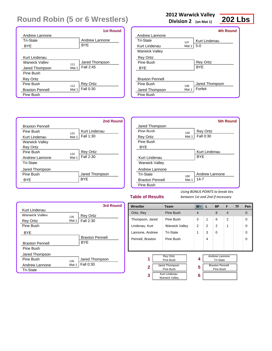|                        |       | <b>1st Round</b> |
|------------------------|-------|------------------|
| Andrew Lannone         |       |                  |
| Tri-State              |       | Andrew Lannone   |
| BYE                    |       | <b>BYE</b>       |
|                        |       |                  |
| Kurt Lindenau          |       |                  |
| <b>Warwick Valley</b>  | 111   | Jared Thompson   |
| Jared Thompson         | Mat 1 | Fall 2:45        |
| Pine Bush              |       |                  |
| <b>Rey Ortiz</b>       |       |                  |
| Pine Rush              | 112   | <b>Rey Ortiz</b> |
| <b>Braxton Pennell</b> | Mat 1 | Fall 0:30        |
| Pine Bush              |       |                  |

### **2012 Warwick Valley**

**Division 2 (on Mat 1)**



|                        |       | 4th Round        |
|------------------------|-------|------------------|
| Andrew Lannone         |       |                  |
| Tri-State              | 147   | Kurt Lindenau    |
| Kurt Lindenau          | Mat 1 | $5-0$            |
| <b>Warwick Valley</b>  |       |                  |
| <b>Rey Ortiz</b>       |       |                  |
| Pine Rush              |       | <b>Rey Ortiz</b> |
| <b>BYE</b>             |       | <b>BYF</b>       |
|                        |       |                  |
| <b>Braxton Pennell</b> |       |                  |
| Pine Rush              | 148   | Jared Thompson   |
| Jared Thompson         | Mat 1 | Forfeit          |
| Pine Bush              |       |                  |
|                        |       |                  |



|                        |       | <b>5th Round</b> |
|------------------------|-------|------------------|
| Jared Thompson         |       |                  |
| Pine Rush              | 159   | <b>Rey Ortiz</b> |
| <b>Rey Ortiz</b>       | Mat 1 | Fall 0:30        |
| Pine Bush              |       |                  |
| <b>BYE</b>             |       |                  |
|                        |       | Kurt Lindenau    |
| Kurt Lindenau          |       | <b>BYF</b>       |
| <b>Warwick Valley</b>  |       |                  |
| Andrew Lannone         |       |                  |
| Tri-State              | 160   | Andrew Lannone   |
| <b>Braxton Pennell</b> | Mat 1 | 14-7             |
| Pine Bush              |       |                  |

### **Table of Results**

|                        |       | 3rd Round              |
|------------------------|-------|------------------------|
| Kurt Lindenau          |       |                        |
| <b>Warwick Valley</b>  | 135   | <b>Rey Ortiz</b>       |
| <b>Rey Ortiz</b>       | Mat 1 | Fall 2:30              |
| Pine Bush              |       |                        |
| <b>BYE</b>             |       |                        |
|                        |       | <b>Braxton Pennell</b> |
| <b>Braxton Pennell</b> |       | BYF                    |
| Pine Bush              |       |                        |
| Jared Thompson         |       |                        |
| Pine Rush              | 136   | Jared Thompson         |
| Andrew Lannone         | Mat 1 | Fall 0:30              |
| <b>Tri-State</b>       |       |                        |

| Wrestler         | Team                                   | W <sub>V</sub> | L              | <b>BP</b>                                 | F              | <b>TF</b> | Pen      |
|------------------|----------------------------------------|----------------|----------------|-------------------------------------------|----------------|-----------|----------|
| Ortiz, Rey       | Pine Bush                              | $\overline{4}$ |                | 8                                         | $\overline{4}$ |           | $\Omega$ |
| Thompson, Jared  | Pine Bush                              | 3              | 1              | 6                                         | $\mathfrak{p}$ |           | $\Omega$ |
| Lindenau, Kurt   | <b>Warwick Valley</b>                  | $\overline{2}$ | $\overline{2}$ | 2                                         | 1              |           | 0        |
| Lannone, Andrew  | Tri-State                              | 1              | 3              | $\Omega$                                  |                |           | $\Omega$ |
| Pennell, Braxton | Pine Bush                              |                | 4              |                                           |                |           | $\Omega$ |
|                  |                                        |                |                |                                           |                |           |          |
| 1                | <b>Rev Ortiz</b><br>Pine Bush          | 4              |                | <b>Andrew Lannone</b><br><b>Tri-State</b> |                |           |          |
| $\overline{2}$   | Jared Thompson<br>Pine Bush            | 5              |                | <b>Braxton Pennell</b><br>Pine Bush       |                |           |          |
| 3                | Kurt Lindenau<br><b>Warwick Valley</b> | 6              |                |                                           |                |           |          |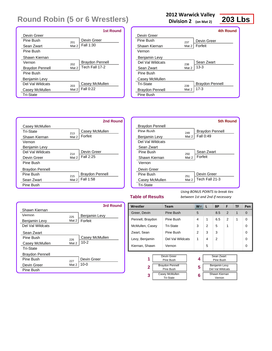|                        |       | <b>1st Round</b>       |
|------------------------|-------|------------------------|
| Devin Greer            |       |                        |
| Pine Rush              | 201   | Devin Greer            |
| Sean Zwart             | Mat 2 | Fall 1:30              |
| Pine Bush              |       |                        |
| Shawn Kiernan          |       |                        |
| Vernon                 | 202   | <b>Braydon Pennell</b> |
| <b>Braydon Pennell</b> | Mat 2 | Tech Fall 17-2         |
| Pine Bush              |       |                        |
| Benjamin Levy          |       |                        |
| Del Val Wildcats       | 203   | Casey McMullen         |
| Casey McMullen         | Mat 2 | Fall 0:22              |
| <b>Tri-State</b>       |       |                        |

### **2012 Warwick Valley**

**Division 2 (on Mat 2)**

### **203 Lbs**

|                        |       | 4th Round              |
|------------------------|-------|------------------------|
| Devin Greer            |       |                        |
| Pine Rush              | 237   | Devin Greer            |
| Shawn Kiernan          | Mat 2 | Forfeit                |
| Vernon                 |       |                        |
| <b>Benjamin Levy</b>   |       |                        |
| Del Val Wildcats       | 238   | Sean Zwart             |
| Sean Zwart             | Mat 2 | $13-3$                 |
| Pine Bush              |       |                        |
| Casey McMullen         |       |                        |
| Tri-State              | 239   | <b>Braydon Pennell</b> |
| <b>Braydon Pennell</b> | Mat 2 | $17 - 3$               |
| Pine Bush              |       |                        |
|                        |       |                        |



|                        |       | 5th Round              |
|------------------------|-------|------------------------|
| <b>Braydon Pennell</b> |       |                        |
| Pine Rush              | 249   | <b>Braydon Pennell</b> |
| Benjamin Levy          | Mat 2 | Fall 0:49              |
| Del Val Wildcats       |       |                        |
| Sean Zwart             |       |                        |
| Pine Rush              | 250   | Sean Zwart             |
| Shawn Kiernan          | Mat 2 | Forfeit                |
| Vernon                 |       |                        |
| Devin Greer            |       |                        |
| Pine Rush              | 251   | Devin Greer            |
| Casey McMullen         | Mat 2 | Tech Fall 21-3         |
| <b>Tri-State</b>       |       |                        |

### **Table of Results**

|                        |       | 3rd Round      |
|------------------------|-------|----------------|
| Shawn Kiernan          |       |                |
| Vernon                 | 225   | Benjamin Levy  |
| Benjamin Levy          | Mat 2 | Forfeit        |
| Del Val Wildcats       |       |                |
| Sean Zwart             |       |                |
| Pine Rush              | 226   | Casey McMullen |
| Casey McMullen         | Mat 2 | $10 - 2$       |
| <b>Tri-State</b>       |       |                |
| <b>Braydon Pennell</b> |       |                |
| Pine Rush              | 227   | Devin Greer    |
| Devin Greer            | Mat 2 | $10 - 0$       |
| Pine Bush              |       |                |

| Wrestler                     |                                     | <b>Team</b>                        |   | $W^-$ | L | <b>BP</b>                                | F              | TF | Pen |
|------------------------------|-------------------------------------|------------------------------------|---|-------|---|------------------------------------------|----------------|----|-----|
| Greer, Devin                 |                                     | Pine Bush                          |   | 5     |   | 8.5                                      | 2              | 1  | 0   |
| Pennell, Braydon             |                                     | Pine Bush                          |   | 4     | 1 | 6.5                                      | $\overline{2}$ | 1  | 0   |
| Tri-State<br>McMullen, Casey |                                     | 3                                  | 2 | 5     | 1 |                                          | $\Omega$       |    |     |
| Pine Bush<br>Zwart, Sean     |                                     | 2                                  | 3 | 3     |   |                                          | $\Omega$       |    |     |
|                              | Del Val Wildcats<br>Levy, Benjamin  |                                    |   | 1     | 4 | 2                                        |                |    | 0   |
| Kiernan, Shawn               |                                     | Vernon                             |   |       | 5 |                                          |                |    | 0   |
| 1                            |                                     | Devin Greer<br>Pine Bush           |   | 4     |   | Sean Zwart<br>Pine Bush                  |                |    |     |
| $\mathbf{2}$                 | <b>Braydon Pennell</b><br>Pine Bush |                                    |   | 5     |   | <b>Benjamin Levy</b><br>Del Val Wildcats |                |    |     |
| 3                            |                                     | Casey McMullen<br><b>Tri-State</b> |   | 6     |   | Shawn Kiernan<br>Vernon                  |                |    |     |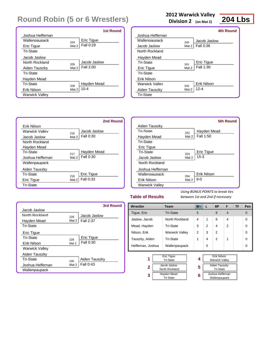|                  |       | <b>1st Round</b> |
|------------------|-------|------------------|
| Joshua Heffernan |       |                  |
| Wallennaunack    | 204   | Eric Tique       |
| Eric Tique       | Mat 2 | Fall 0:29        |
| <b>Tri-State</b> |       |                  |
| Jacob Jaslow     |       |                  |
| North Rockland   | 205   | Jacob Jaslow     |
| Aiden Tauszky    | Mat 2 | Fall 2:00        |
| Tri-State        |       |                  |
| Hayden Mead      |       |                  |
| Tri-State        | 206   | Hayden Mead      |
| Erik Nilson      | Mat 2 | $10 - 4$         |
| Warwick Valley   |       |                  |

### **2012 Warwick Valley**

**Division 2 (on Mat 2)**



|                  |       | 4th Round        |
|------------------|-------|------------------|
| Joshua Heffernan |       |                  |
| Wallennaunack    | 240   | Jacob Jaslow     |
| Jacob Jaslow     | Mat 2 | <b>Fall 0:36</b> |
| North Rockland   |       |                  |
| Hayden Mead      |       |                  |
| Tri-State        | 241   | Eric Tique       |
| Eric Tique       | Mat 2 | Fall 1:30        |
| <b>Tri-State</b> |       |                  |
| Erik Nilson      |       |                  |
| Warwick Valley   | 242   | Erik Nilson      |
| Aiden Tauszky    | Mat 2 | $12 - 4$         |
| <b>Tri-State</b> |       |                  |



|                       |       | <b>5th Round</b> |
|-----------------------|-------|------------------|
| Aiden Tauszky         |       |                  |
| Tri-State             | 252   | Hayden Mead      |
| Hayden Mead           | Mat 2 | Fall 1:50        |
| <b>Tri-State</b>      |       |                  |
| <b>Eric Tique</b>     |       |                  |
| Tri-State             | 253   | Eric Tique       |
| Jacob Jaslow          | Mat 2 | $15 - 3$         |
| North Rockland        |       |                  |
| Joshua Heffernan      |       |                  |
| Wallennaunack         | 254   | Erik Nilson      |
| Erik Nilson           | Mat 2 | $9-0$            |
| <b>Warwick Valley</b> |       |                  |
|                       |       |                  |

### **Table of Results**

**3**

*Using BONUS POINTS to break ties between 1st and 2nd if necessary*

> Joshua Heffernan Wallenpaupack

|                       |          | 3rd Round        |
|-----------------------|----------|------------------|
| Jacob Jaslow          |          |                  |
| North Rockland        | 228      | Jacob Jaslow     |
| Hayden Mead           | Mat $2 $ | <b>Fall 2:37</b> |
| <b>Tri-State</b>      |          |                  |
| Eric Tique            |          |                  |
| Tri-State             | 229      | Eric Tigue       |
| Erik Nilson           | Mat 2    | Fall 0:30        |
| <b>Warwick Valley</b> |          |                  |
| Aiden Tauszky         |          |                  |
| Tri-State             | 230      | Aiden Tauszky    |
| Joshua Heffernan      | Mat 2    | Fall 0:43        |
| Wallenpaupack         |          |                  |

| Wrestler                                                   | Team                  | W T | L | <b>BP</b>                                                    | F              | TF | Pen      |
|------------------------------------------------------------|-----------------------|-----|---|--------------------------------------------------------------|----------------|----|----------|
| Tique, Eric                                                | <b>Tri-State</b>      | 5   |   | 9                                                            | $\overline{4}$ |    | $\Omega$ |
| Jaslow, Jacob                                              | North Rockland        | 4   | 1 | 8                                                            | 4              |    | $\Omega$ |
| Mead, Hayden                                               | Tri-State             | 3   | 2 | 4                                                            | $\overline{2}$ |    | $\Omega$ |
| Nilson, Erik                                               | <b>Warwick Valley</b> | 2   | 3 | 2                                                            |                |    | $\Omega$ |
| Tauszky, Aiden                                             | Tri-State             | 1   | 4 | 2                                                            | 1              |    | $\Omega$ |
| Heffernan, Joshua                                          | Wallenpaupack         |     | 5 |                                                              |                |    | $\Omega$ |
| <b>Eric Tigue</b><br>1<br><b>Tri-State</b><br>Jacob Jaslow |                       | 4   |   | <b>Erik Nilson</b><br><b>Warwick Valley</b><br>Aiden Tauszky |                |    |          |
| 2                                                          | North Rockland        | 5   |   | <b>Tri-State</b>                                             |                |    |          |

**6**

Hayden Mead Tri-State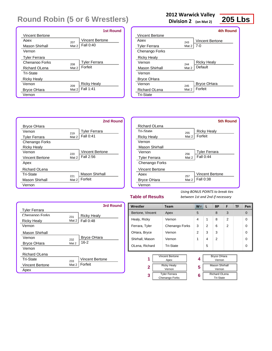|                        |       | <b>1st Round</b>       |
|------------------------|-------|------------------------|
| <b>Vincent Bertone</b> |       |                        |
| Anex                   | 207   | <b>Vincent Bertone</b> |
| Mason Shirhall         | Mat 2 | Fall 0:40              |
| Vernon                 |       |                        |
| <b>Tyler Ferrara</b>   |       |                        |
| Chenango Forks         | 208   | <b>Tyler Ferrara</b>   |
| Richard OLena          | Mat 2 | Forfeit                |
| Tri-State              |       |                        |
| <b>Ricky Healy</b>     |       |                        |
| Vernon                 | 209   | <b>Ricky Healy</b>     |
| <b>Bryce OHara</b>     | Mat 2 | Fall 1:41              |
| Vernon                 |       |                        |

Bryce OHara

Tyler Ferrara Chenango Forks

Ricky Healy

Apex

Vincent Bertone

Richard OLena

Mason Shirhall Vernon

Vernon <sup>219</sup>

Vernon <sup>220</sup>

Tri-State 221

### **2012 Warwick Valley**

**Division 2 (on Mat 2)**



|                                          | 4th Round |
|------------------------------------------|-----------|
| Vincent Bertone                          |           |
| Anex<br><b>Vincent Bertone</b><br>243    |           |
| 7-0<br>Mat 2<br><b>Tyler Ferrara</b>     |           |
| Chenango Forks                           |           |
| <b>Ricky Healy</b>                       |           |
| <b>Ricky Healy</b><br>Vernon<br>244      |           |
| Default<br>Mat 2<br>Mason Shirhall       |           |
| Vernon                                   |           |
| <b>Bryce OHara</b>                       |           |
| <b>Bryce OHara</b><br>Vernon<br>245      |           |
| Forfeit<br>Mat 2<br><b>Richard OLena</b> |           |
| <b>Tri-State</b>                         |           |



### **Table of Results**

*Using BONUS POINTS to break ties between 1st and 2nd if necessary*

|                        |       | 3rd Round              |
|------------------------|-------|------------------------|
| <b>Tyler Ferrara</b>   |       |                        |
| Chenango Forks         | 231   | <b>Ricky Healy</b>     |
| <b>Ricky Healy</b>     | Mat 2 | Fall 0:48              |
| Vernon                 |       |                        |
| Mason Shirhall         |       |                        |
| Vernon                 | 232   | <b>Bryce OHara</b>     |
| <b>Bryce OHara</b>     | Mat 2 | $16 - 2$               |
| Vernon                 |       |                        |
| <b>Richard OLena</b>   |       |                        |
| Tri-State              | 233   | <b>Vincent Bertone</b> |
| <b>Vincent Bertone</b> | Mat 2 | Forfeit                |
| Apex                   |       |                        |

Mason Shirhall

Vincent Bertone

Tyler Ferrara

Mat 2 Forfeit

Mat  $2 \mid$  Fall 2:56

 $Mat 2$  Fall 0:41

| Wrestler                                    |  | <b>Team</b>                    | $W^-$ | L                                        | <b>BP</b>                       | F              | TF | Pen      |
|---------------------------------------------|--|--------------------------------|-------|------------------------------------------|---------------------------------|----------------|----|----------|
| Bertone, Vincent                            |  | Apex                           | 5     |                                          | 8                               | 3              |    | $\Omega$ |
| Healy, Ricky                                |  | Vernon                         | 4     | 1                                        | 8                               | $\mathfrak{p}$ |    | $\Omega$ |
| Ferrara, Tyler                              |  | Chenango Forks                 | 3     | 2                                        | 6                               | $\overline{2}$ |    | $\Omega$ |
| OHara, Bryce                                |  | Vernon                         | 2     | 3                                        | 3                               |                |    | $\Omega$ |
| Shirhall, Mason                             |  | Vernon                         | 1     | 4                                        | $\overline{2}$                  |                |    | $\Omega$ |
| OLena, Richard                              |  | <b>Tri-State</b>               |       | 5                                        |                                 |                |    | $\Omega$ |
|                                             |  |                                |       |                                          |                                 |                |    |          |
| 1                                           |  | <b>Vincent Bertone</b><br>Apex | 4     |                                          | <b>Bryce OHara</b><br>Vernon    |                |    |          |
| $\mathbf{2}$                                |  | <b>Ricky Healy</b><br>Vernon   | 5     |                                          | <b>Mason Shirhall</b><br>Vernon |                |    |          |
| <b>Tyler Ferrara</b><br>3<br>Chenango Forks |  | 6                              |       | <b>Richard OLena</b><br><b>Tri-State</b> |                                 |                |    |          |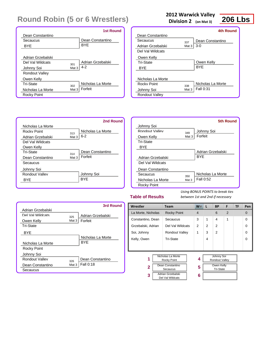|                            | <b>1st Round</b>  |
|----------------------------|-------------------|
| Dean Constantino           |                   |
| Secaucus                   | Dean Constantino  |
| <b>BYE</b>                 | <b>BYE</b>        |
|                            |                   |
| Adrian Grzebalski          |                   |
| Del Val Wildcats<br>301    | Adrian Grzebalski |
| Mat 3<br>Johnny Soi        | $4 - 2$           |
| <b>Rondout Valley</b>      |                   |
| Owen Kelly                 |                   |
| Tri-State<br>302           | Nicholas La Morte |
| Mat 3<br>Nicholas La Morte | Forfeit           |
| Rocky Point                |                   |

### **2012 Warwick Valley**

**Division 2 (on Mat 3)**



|                       |       | <b>4th Round</b>  |
|-----------------------|-------|-------------------|
| Dean Constantino      |       |                   |
| Secaucus              | 337   | Dean Constantino  |
| Adrian Grzebalski     | Mat 3 | $3-0$             |
| Del Val Wildcats      |       |                   |
| Owen Kelly            |       |                   |
| Tri-State             |       | Owen Kelly        |
| BYE                   |       | <b>BYF</b>        |
|                       |       |                   |
| Nicholas La Morte     |       |                   |
| Rocky Point           | 338   | Nicholas La Morte |
| Johnny Soi            | Mat 3 | Fall 0:31         |
| <b>Rondout Valley</b> |       |                   |



|                   |       | 5th Round         |
|-------------------|-------|-------------------|
| Johnny Soi        |       |                   |
| Rondout Valley    | 349   | Johnny Soi        |
| Owen Kelly        | Mat 3 | Forfeit           |
| <b>Tri-State</b>  |       |                   |
| <b>BYF</b>        |       |                   |
|                   |       | Adrian Grzebalski |
| Adrian Grzebalski |       | <b>BYF</b>        |
| Del Val Wildcats  |       |                   |
| Dean Constantino  |       |                   |
| Secaucus          | 350   | Nicholas La Morte |
| Nicholas La Morte | Mat 3 | Fall 0:52         |
| Rocky Point       |       |                   |

### **Table of Results**

|                   |       | 3rd Round         |
|-------------------|-------|-------------------|
| Adrian Grzebalski |       |                   |
| Del Val Wildcats  | 325   | Adrian Grzebalski |
| Owen Kelly        | Mat 3 | Forfeit           |
| <b>Tri-State</b>  |       |                   |
| BYF               |       |                   |
|                   |       | Nicholas La Morte |
| Nicholas La Morte |       | <b>BYF</b>        |
| Rocky Point       |       |                   |
| Johnny Soi        |       |                   |
| Rondout Valley    | 326   | Dean Constantino  |
| Dean Constantino  | Mat 3 | Fall 0:18         |
| Secaucus          |       |                   |

| Wrestler                 | <b>Team</b>                                                                                               | $W^-$          | L | <b>BP</b>                                                      | F              | TF | Pen      |
|--------------------------|-----------------------------------------------------------------------------------------------------------|----------------|---|----------------------------------------------------------------|----------------|----|----------|
| La Morte, Nicholas       | <b>Rocky Point</b>                                                                                        | $\overline{4}$ |   | 6                                                              | $\overline{2}$ |    | $\Omega$ |
| Constantino, Dean        | Secaucus                                                                                                  | 3              | 1 | 4                                                              | 1              |    | $\Omega$ |
| Grzebalski, Adrian       | Del Val Wildcats                                                                                          | 2              | 2 | 2                                                              |                |    | $\Omega$ |
| Soi, Johnny              | Rondout Valley                                                                                            | 1              | 3 | $\overline{2}$                                                 |                |    | $\Omega$ |
| Kelly, Owen              | <b>Tri-State</b>                                                                                          |                | 4 |                                                                |                |    | $\Omega$ |
|                          |                                                                                                           |                |   |                                                                |                |    |          |
| 1<br>$\overline{2}$<br>3 | Nicholas La Morte<br>Rocky Point<br>Dean Constantino<br>Secaucus<br>Adrian Grzebalski<br>Del Val Wildcats | 4<br>5<br>6    |   | Johnny Soi<br>Rondout Valley<br>Owen Kelly<br><b>Tri-State</b> |                |    |          |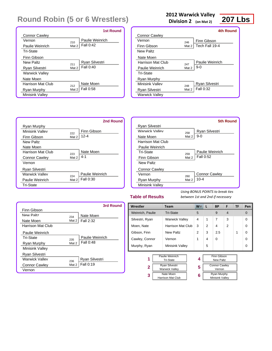|                        |       | <b>1st Round</b> |
|------------------------|-------|------------------|
| <b>Connor Cawley</b>   |       |                  |
| Vernon                 | 210   | Paulie Weinrich  |
| Paulie Weinrich        | Mat 2 | Fall 0:42        |
| Tri-State              |       |                  |
| Finn Gibson            |       |                  |
| New Paltz              | 211   | Ryan Silvestri   |
| <b>Ryan Silvestri</b>  | Mat 2 | Fall 0:40        |
| <b>Warwick Valley</b>  |       |                  |
| Nate Moen              |       |                  |
| Harrison Mat Club      | 212   | Nate Moen        |
| Ryan Murphy            | Mat 2 | Fall 0:58        |
| <b>Minisink Valley</b> |       |                  |

### **2012 Warwick Valley**

**Division 2 (on Mat 2)**



|                       |       | 4th Round       |
|-----------------------|-------|-----------------|
| <b>Connor Cawley</b>  |       |                 |
| Vernon                | 246   | Finn Gibson     |
| Finn Gibson           | Mat 2 | Tech Fall 19-4  |
| New Paltz             |       |                 |
| Nate Moen             |       |                 |
| Harrison Mat Club     | 247   | Paulie Weinrich |
| Paulie Weinrich       | Mat 2 | $9-0$           |
| Tri-State             |       |                 |
| Ryan Murphy           |       |                 |
| Minisink Valley       | 248   | Ryan Silvestri  |
| Ryan Silvestri        | Mat 2 | Fall 0:32       |
| <b>Warwick Valley</b> |       |                 |



|                        |       | 5th Round            |
|------------------------|-------|----------------------|
| Ryan Silvestri         |       |                      |
| Warwick Valley         | 258   | Ryan Silvestri       |
| Nate Moen              | Mat 2 | $9-0$                |
| Harrison Mat Club      |       |                      |
| Paulie Weinrich        |       |                      |
| Tri-State              | 259   | Paulie Weinrich      |
| Finn Gibson            | Mat 2 | Fall 0:52            |
| New Paltz              |       |                      |
| <b>Connor Cawley</b>   |       |                      |
| Vernon                 | 260   | <b>Connor Cawley</b> |
| Ryan Murphy            | Mat 2 | 10-4                 |
| <b>Minisink Valley</b> |       |                      |

### **Table of Results**

|                        |       | 3rd Round       |
|------------------------|-------|-----------------|
| Finn Gibson            |       |                 |
| New Paltz              | 234   | Nate Moen       |
| Nate Moen              | Mat 2 | Fall 2:32       |
| Harrison Mat Club      |       |                 |
| Paulie Weinrich        |       |                 |
| Tri-State              | 235   | Paulie Weinrich |
| Ryan Murphy            | Mat 2 | Fall 0:48       |
| <b>Minisink Valley</b> |       |                 |
| Ryan Silvestri         |       |                 |
| <b>Warwick Valley</b>  | 236   | Ryan Silvestri  |
| <b>Connor Cawley</b>   | Mat 2 | Fall 0:19       |
| Vernon                 |       |                 |

| Wrestler                              |                  | <b>Team</b>           |  | <b>W</b>       | L                    | <b>BP</b>          | F              | TF | Pen      |
|---------------------------------------|------------------|-----------------------|--|----------------|----------------------|--------------------|----------------|----|----------|
| Weinrich, Paulie                      |                  | <b>Tri-State</b>      |  | 5              |                      | 9                  | $\overline{4}$ |    | $\Omega$ |
| Silvestri, Ryan                       |                  | <b>Warwick Valley</b> |  | 4              | 1                    | $\overline{7}$     | 3              |    | $\Omega$ |
| Moen, Nate                            |                  | Harrison Mat Club     |  | 3              | $\overline{2}$       | 4                  | $\overline{2}$ |    | $\Omega$ |
| Gibson, Finn                          | <b>New Paltz</b> |                       |  | $\overline{2}$ | 3                    | 2.5                |                | 1  | $\Omega$ |
| Cawley, Connor                        |                  | Vernon                |  | 1              | 4                    | $\Omega$           |                |    | $\Omega$ |
| Murphy, Ryan                          |                  | Minisink Valley       |  |                | 5                    |                    |                |    | $\Omega$ |
|                                       |                  |                       |  |                |                      |                    |                |    |          |
|                                       |                  | Paulie Weinrich       |  |                |                      | <b>Finn Gibson</b> |                |    |          |
| 1                                     |                  | <b>Tri-State</b>      |  | 4              |                      | <b>New Paltz</b>   |                |    |          |
| <b>Ryan Silvestri</b>                 |                  |                       |  |                | <b>Connor Cawley</b> |                    |                |    |          |
| $\mathbf{2}$<br><b>Warwick Valley</b> |                  | 5                     |  | Vernon         |                      |                    |                |    |          |
| 3                                     |                  | Nate Moen             |  | 6              |                      | <b>Ryan Murphy</b> |                |    |          |
|                                       |                  | Harrison Mat Club     |  |                |                      | Minisink Valley    |                |    |          |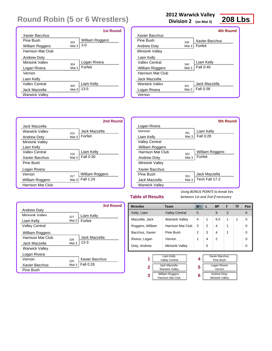|                       |                  | <b>1st Round</b> |
|-----------------------|------------------|------------------|
| Xavier Bacchus        |                  |                  |
| Pine Rush             | 303              | William Roggero  |
| William Roggero       | Mat <sub>3</sub> | $3-0$            |
| Harrison Mat Club     |                  |                  |
| <b>Andrew Doty</b>    |                  |                  |
| Minisink Valley       | 304              | Logan Rivera     |
| Logan Rivera          | Mat <sub>3</sub> | Forfeit          |
| Vernon                |                  |                  |
| Liam Kelly            |                  |                  |
| Valley Central        | 305              | Liam Kelly       |
| Jack Mazzella         | Mat <sub>3</sub> | $13 - 5$         |
| <b>Warwick Valley</b> |                  |                  |

### **2012 Warwick Valley**

**Division 2 (on Mat 3)**



|                    |       | 4th Round      |
|--------------------|-------|----------------|
| Xavier Bacchus     |       |                |
| Pine Rush          | 339   | Xavier Bacchus |
| <b>Andrew Doty</b> | Mat 3 | Forfeit        |
| Minisink Valley    |       |                |
| Liam Kelly         |       |                |
| Valley Central     | 340   | Liam Kelly     |
| William Roggero    | Mat 3 | Fall 0:40      |
| Harrison Mat Club  |       |                |
| Jack Mazzella      |       |                |
| Warwick Vallev     | 341   | Jack Mazzella  |
| Logan Rivera       | Mat 3 | Fall 0:38      |
| Vernon             |       |                |



### **Table of Results**

*Using BONUS POINTS to break ties between 1st and 2nd if necessary*

| <b>3rd Round</b> | Wrestler         | <b>Team</b>                                                                   | $W^-$          | L              | <b>BP</b>                                                    | F | TF | Pen      |
|------------------|------------------|-------------------------------------------------------------------------------|----------------|----------------|--------------------------------------------------------------|---|----|----------|
|                  | Kelly, Liam      | <b>Valley Central</b>                                                         | 5              |                | 9                                                            | 3 |    | $\Omega$ |
|                  | Mazzella, Jack   | <b>Warwick Valley</b>                                                         | 4              | 1              | 6.5                                                          | 1 | 1  | $\Omega$ |
|                  | Roggero, William | Harrison Mat Club                                                             | 3              | $\overline{2}$ | 4                                                            | 1 |    | $\Omega$ |
|                  | Bacchus, Xavier  | Pine Bush                                                                     | $\overline{2}$ | 3              | 4                                                            | 1 |    | $\Omega$ |
| zella            | Rivera, Logan    | Vernon                                                                        | 1              | 4              | 2                                                            |   |    | $\Omega$ |
|                  | Doty, Andrew     | Minisink Valley                                                               |                | 5              |                                                              |   |    | $\Omega$ |
| cchus            | 2                | Liam Kelly<br><b>Valley Central</b><br>Jack Mazzella<br><b>Warwick Valley</b> | 4<br>5         |                | <b>Xavier Bacchus</b><br>Pine Bush<br>Logan Rivera<br>Vernon |   |    |          |
|                  | 3                | William Roggero<br>Horrigan Mat Olub                                          | 6              |                | <b>Andrew Doty</b><br>Miniciple <i>Malley</i>                |   |    |          |

Harrison Mat Club

#### drew Doty Minisink Valley

|                          |       | 2nd Round       |
|--------------------------|-------|-----------------|
| Jack Mazzella            |       |                 |
| <b>Warwick Valley</b>    | 315   | Jack Mazzella   |
| <b>Andrew Doty</b>       | Mat 3 | Forfeit         |
| <b>Minisink Valley</b>   |       |                 |
| Liam Kelly               |       |                 |
| Valley Central           | 316   | Liam Kelly      |
| Xavier Bacchus           | Mat 3 | Fall 0:30       |
| Pine Bush                |       |                 |
| Logan Rivera             |       |                 |
| Vernon                   | 317   | William Roggero |
| William Roggero          | Mat 3 | Fall 1:24       |
| <b>Harrison Mat Club</b> |       |                 |

|                       | 3rd Round             |
|-----------------------|-----------------------|
| <b>Andrew Doty</b>    |                       |
| Minisink Valley       | Liam Kelly<br>327     |
| Liam Kelly            | Forfeit<br>Mat $3$    |
| <b>Valley Central</b> |                       |
| William Roggero       |                       |
| Harrison Mat Club     | Jack Mazzella<br>328  |
| Jack Mazzella         | $13-3$<br>Mat 3       |
| <b>Warwick Valley</b> |                       |
| Logan Rivera          |                       |
| Vernon                | Xavier Bacchus<br>329 |
| Xavier Bacchus        | Fall 0:26<br>Mat 3    |
| Pine Bush             |                       |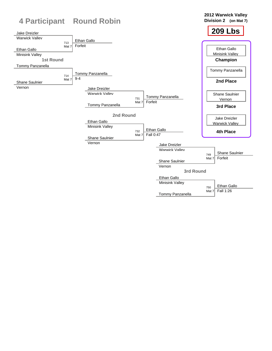

Tommy Panzanella

Mat 7 Fall 1:26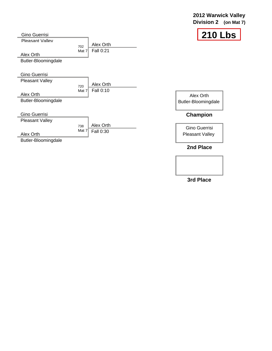### **2012 Warwick Valley Division 2 (on Mat 7)**



| <b>Gino Guerrisi</b>   |              |           |              |
|------------------------|--------------|-----------|--------------|
| Pleasant Valley        |              | Alex Orth |              |
|                        | 702<br>Mat 7 | Fall 0:21 |              |
| Alex Orth              |              |           |              |
| Butler-Bloomingdale    |              |           |              |
|                        |              |           |              |
| <b>Gino Guerrisi</b>   |              |           |              |
| <b>Pleasant Valley</b> |              | Alex Orth |              |
|                        | 720<br>Mat 7 | Fall 0:10 |              |
| Alex Orth              |              |           |              |
| Butler-Bloomingdale    |              |           | <b>Butle</b> |
|                        |              |           |              |
| <b>Gino Guerrisi</b>   |              |           |              |
| <b>Pleasant Valley</b> |              |           |              |
|                        | 738          | Alex Orth |              |
| Alex Orth              | Mat $7$      | Fall 0:30 | Pl(          |
| Butler-Bloomingdale    |              |           |              |

Alex Orth er-Bloomingdale

### **Champion**

Gino Guerrisi easant Valley

**2nd Place**

**3rd Place**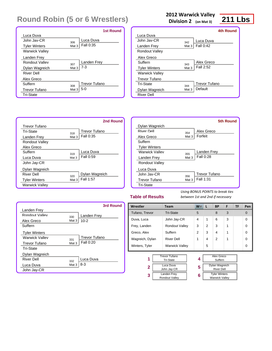|                       |                  | <b>1st Round</b>     |
|-----------------------|------------------|----------------------|
| Luca Duva             |                  |                      |
| John Jav-CR           | 306              | Luca Duva            |
| <b>Tyler Winters</b>  | Mat 3            | Fall 0:35            |
| <b>Warwick Valley</b> |                  |                      |
| Landen Frey           |                  |                      |
| Rondout Valley        | 307              | Landen Frey          |
| Dylan Wagreich        | Mat 3            | $7 - 3$              |
| <b>River Dell</b>     |                  |                      |
| Alex Greco            |                  |                      |
| Suffern               | 308              | <b>Trevor Tufano</b> |
| <b>Trevor Tufano</b>  | Mat <sub>3</sub> | $5-0$                |
| <b>Tri-State</b>      |                  |                      |

### **2012 Warwick Valley**

**Division 2 (on Mat 3)**

## **211 Lbs**

|                       |       | <b>4th Round</b> |
|-----------------------|-------|------------------|
| Luca Duva             |       |                  |
| .John .Jav-CR         | 342   | Luca Duva        |
| Landen Frey           | Mat 3 | Fall 0:42        |
| <b>Rondout Valley</b> |       |                  |
| Alex Greco            |       |                  |
| Suffern               | 343   | Alex Greco       |
| <b>Tyler Winters</b>  | Mat 3 | Fall 2:52        |
| <b>Warwick Valley</b> |       |                  |
| <b>Trevor Tufano</b>  |       |                  |
| Tri-State             | 344   | Trevor Tufano    |
| Dylan Wagreich        | Mat 3 | Default          |
| <b>River Dell</b>     |       |                  |



|                       |       | <b>5th Round</b>     |
|-----------------------|-------|----------------------|
| Dylan Wagreich        |       |                      |
| <b>River Dell</b>     | 354   | Alex Greco           |
| Alex Greco            | Mat 3 | Forfeit              |
| Suffern               |       |                      |
| <b>Tyler Winters</b>  |       |                      |
| <b>Warwick Valley</b> | 355   | Landen Frey          |
| Landen Frey           | Mat 3 | Fall 0:28            |
| Rondout Valley        |       |                      |
| Luca Duva             |       |                      |
| John Jav-CR           | 356   | <b>Trevor Tufano</b> |
| Trevor Tufano         | Mat 3 | Fall 1:31            |
| <b>Tri-State</b>      |       |                      |

### **Table of Results**

|                      |       | 3rd Round     |
|----------------------|-------|---------------|
| Landen Frey          |       |               |
| Rondout Valley       | 330   | Landen Frey   |
| Alex Greco           | Mat 3 | $10 - 2$      |
| Suffern              |       |               |
| <b>Tyler Winters</b> |       |               |
| Warwick Valley       | 331   | Trevor Tufano |
| <b>Trevor Tufano</b> | Mat 3 | Fall 0:20     |
| Tri-State            |       |               |
| Dylan Wagreich       |       |               |
| <b>River Dell</b>    | 332   | Luca Duva     |
| Luca Duva            | Mat 3 | $8 - 3$       |
| John Jay-CR          |       |               |

| Wrestler        | <b>Team</b>                              | $W^-$         | <b>L</b>             | <b>BP</b>             | F | TF | Pen      |
|-----------------|------------------------------------------|---------------|----------------------|-----------------------|---|----|----------|
| Tufano, Trevor  | <b>Tri-State</b>                         | 5             |                      | 8                     | 3 |    | $\Omega$ |
| Duva, Luca      | John Jay-CR                              | 4             | 1                    | 6                     | 3 |    | $\Omega$ |
| Frey, Landen    | Rondout Valley                           | 3             | 2                    | 3                     | 1 |    | $\Omega$ |
| Greco, Alex     | Suffern                                  | $\mathcal{P}$ | 3                    | 4                     | 1 |    | $\Omega$ |
| Wagreich, Dylan | <b>River Dell</b>                        | 1             | 4                    | $\mathfrak{p}$        | 1 |    | $\Omega$ |
| Winters, Tyler  | <b>Warwick Valley</b>                    |               | 5                    |                       |   |    | $\Omega$ |
|                 |                                          |               |                      |                       |   |    |          |
| 1               | <b>Trevor Tufano</b><br><b>Tri-State</b> | 4             |                      | Alex Greco<br>Suffern |   |    |          |
| Luca Duva       |                                          | 5             |                      | Dylan Wagreich        |   |    |          |
|                 | 2<br>John Jay-CR                         |               | <b>River Dell</b>    |                       |   |    |          |
| 3               | <b>Landen Frey</b>                       | 6             | <b>Tyler Winters</b> |                       |   |    |          |
|                 | Rondout Valley                           |               |                      | <b>Warwick Valley</b> |   |    |          |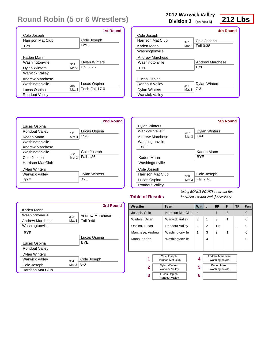|                       |       | <b>1st Round</b>     |
|-----------------------|-------|----------------------|
| Cole Joseph           |       |                      |
| Harrison Mat Club     |       | Cole Joseph          |
| BYE                   |       | <b>BYE</b>           |
|                       |       |                      |
| Kaden Mann            |       |                      |
| Washingtonville       | 309   | <b>Dylan Winters</b> |
| <b>Dylan Winters</b>  | Mat 3 | Fall 2:25            |
| <b>Warwick Valley</b> |       |                      |
| Andrew Marchese       |       |                      |
| Washingtonville       | 310   | Lucas Ospina         |
| Lucas Ospina          | Mat 3 | Tech Fall 17-0       |
| <b>Rondout Valley</b> |       |                      |

### **2012 Warwick Valley**

**Division 2 (on Mat 3)**

## **212 Lbs**

|                       |       | 4th Round              |
|-----------------------|-------|------------------------|
| Cole Joseph           |       |                        |
| Harrison Mat Club     | 345   | Cole Joseph            |
| Kaden Mann            | Mat 3 | Fall 0:38              |
| Washingtonville       |       |                        |
| Andrew Marchese       |       |                        |
| Washingtonville       |       | <b>Andrew Marchese</b> |
| BYE                   |       | <b>BYF</b>             |
|                       |       |                        |
| Lucas Ospina          |       |                        |
| Rondout Valley        | 346   | <b>Dylan Winters</b>   |
| <b>Dylan Winters</b>  | Mat 3 | $7 - 3$                |
| <b>Warwick Valley</b> |       |                        |



|                       |       | 5th Round            |
|-----------------------|-------|----------------------|
| <b>Dylan Winters</b>  |       |                      |
| <b>Warwick Valley</b> | 357   | <b>Dylan Winters</b> |
| Andrew Marchese       | Mat 3 | $14-0$               |
| Washingtonville       |       |                      |
| <b>BYE</b>            |       |                      |
|                       |       | Kaden Mann           |
| Kaden Mann            |       | <b>BYE</b>           |
| Washingtonville       |       |                      |
| Cole Joseph           |       |                      |
| Harrison Mat Club     | 358   | Cole Joseph          |
| Lucas Ospina          | Mat 3 | Fall 2:41            |
| <b>Rondout Valley</b> |       |                      |

### **Table of Results**

|                          |         | 3rd Round              |
|--------------------------|---------|------------------------|
| Kaden Mann               |         |                        |
| Washingtonville          | 333     | <b>Andrew Marchese</b> |
| Andrew Marchese          | Mat $3$ | Fall 0:46              |
| Washingtonville          |         |                        |
| <b>BYF</b>               |         |                        |
|                          |         | Lucas Ospina           |
| Lucas Ospina             |         | <b>BYF</b>             |
| <b>Rondout Valley</b>    |         |                        |
| <b>Dylan Winters</b>     |         |                        |
| <b>Warwick Valley</b>    | 334     | Cole Joseph            |
| Cole Joseph              | Mat 3   | 8-0                    |
| <b>Harrison Mat Club</b> |         |                        |

| Wrestler<br>Joseph, Cole<br>Winters, Dylan<br>Ospina, Lucas | <b>Team</b><br><b>Harrison Mat Club</b><br><b>Warwick Valley</b><br>Rondout Valley                                  | $W^-$<br>$\overline{4}$<br>3 | L<br>$\mathbf{1}$ | <b>BP</b><br>7<br>3                                                        | F<br>3<br>1 | TF | Pen<br>$\Omega$ |
|-------------------------------------------------------------|---------------------------------------------------------------------------------------------------------------------|------------------------------|-------------------|----------------------------------------------------------------------------|-------------|----|-----------------|
|                                                             |                                                                                                                     |                              |                   |                                                                            |             |    |                 |
|                                                             |                                                                                                                     |                              |                   |                                                                            |             |    |                 |
|                                                             |                                                                                                                     |                              |                   |                                                                            |             |    | $\Omega$        |
|                                                             |                                                                                                                     | 2                            | 2                 | 1.5                                                                        |             | 1  | $\Omega$        |
| Marchese, Andrew                                            | Washingtonville                                                                                                     | 1                            | 3                 | $\mathfrak{p}$                                                             | 1           |    | $\Omega$        |
| Mann, Kaden                                                 | Washingtonville                                                                                                     |                              | 4                 |                                                                            |             |    | $\Omega$        |
|                                                             |                                                                                                                     |                              |                   |                                                                            |             |    |                 |
| 1<br>$\mathbf{2}$<br>3                                      | Cole Joseph<br>Harrison Mat Club<br><b>Dylan Winters</b><br><b>Warwick Valley</b><br>Lucas Ospina<br>Rondout Valley |                              |                   | <b>Andrew Marchese</b><br>Washingtonville<br>Kaden Mann<br>Washingtonville |             |    |                 |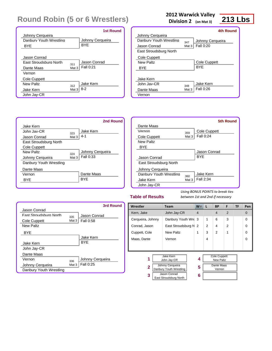|                               |       | <b>1st Round</b> |
|-------------------------------|-------|------------------|
| Johnny Cerqueira              |       |                  |
| Danhury Youth Wrestling       |       | Johnny Cerqueira |
| <b>BYF</b>                    |       | <b>BYF</b>       |
|                               |       |                  |
| Jason Conrad                  |       |                  |
| <b>Fast Stroudsburg North</b> | 311   | Jason Conrad     |
| Dante Maas                    | Mat 3 | Fall 0:21        |
| Vernon                        |       |                  |
| Cole Cuppett                  |       |                  |
| New Paltz                     | 312   | Jake Kern        |
| Jake Kern                     | Mat 3 | $8 - 2$          |
| John Jay-CR                   |       |                  |

### **2012 Warwick Valley**

**Division 2 (on Mat 3)**

## **213 Lbs**

|                         |       | 4th Round        |
|-------------------------|-------|------------------|
| Johnny Cerqueira        |       |                  |
| Danhury Youth Wrestling | 347   | Johnny Cerqueira |
| Jason Conrad            | Mat 3 | <b>Fall 0:20</b> |
| East Stroudsburg North  |       |                  |
| Cole Cuppett            |       |                  |
| New Paltz               |       | Cole Cuppett     |
| <b>BYF</b>              |       | <b>BYF</b>       |
|                         |       |                  |
| Jake Kern               |       |                  |
| $.$ Iohn $.$ Iav-CR     | 348   | Jake Kern        |
| Dante Maas              | Mat 3 | Fall 0:26        |
| Vernon                  |       |                  |



|                         |       | <b>5th Round</b> |
|-------------------------|-------|------------------|
| Dante Maas              |       |                  |
| Vernon                  | 359   | Cole Cuppett     |
| Cole Cuppett            | Mat 3 | Fall 0:24        |
| New Paltz               |       |                  |
| BYE                     |       |                  |
|                         |       | Jason Conrad     |
| Jason Conrad            |       | <b>BYF</b>       |
| East Stroudsburg North  |       |                  |
| Johnny Cerqueira        |       |                  |
| Danbury Youth Wrestling | 360   | Jake Kern        |
| Jake Kern               | Mat 3 | Fall 2:34        |
| John Jay-CR             |       |                  |

### **Table of Results**

|                               |         | 3rd Round        |
|-------------------------------|---------|------------------|
| Jason Conrad                  |         |                  |
| <b>Fast Stroudsburg North</b> | 335     | Jason Conrad     |
| Cole Cuppett                  | Mat $3$ | <b>Fall 0:58</b> |
| New Paltz                     |         |                  |
| <b>BYF</b>                    |         |                  |
|                               |         | Jake Kern        |
| Jake Kern                     |         | <b>BYF</b>       |
| John Jay-CR                   |         |                  |
| Dante Maas                    |         |                  |
| Vernon                        | 336     | Johnny Cerqueira |
| Johnny Cerqueira              | Mat 3   | Fall 0:25        |
| Danbury Youth Wrestling       |         |                  |

| Wrestler                                    | <b>Team</b>                                  | $W^-$          | L | <b>BP</b>                                             | F              | TF | Pen            |
|---------------------------------------------|----------------------------------------------|----------------|---|-------------------------------------------------------|----------------|----|----------------|
| Kern, Jake                                  | John Jay-CR                                  | $\overline{4}$ |   | $\overline{4}$                                        | $\overline{2}$ |    | $\overline{0}$ |
| Cerqueira, Johnny                           | Danbury Youth Wre 3                          |                | 1 | 6                                                     | 3              |    | $\Omega$       |
| Conrad, Jason                               | East Stroudsburg N                           | 2              | 2 | 4                                                     | 2              |    | $\Omega$       |
| Cuppett, Cole                               | <b>New Paltz</b>                             | 1              | 3 | $\overline{2}$                                        | 1              |    | $\Omega$       |
| Maas, Dante                                 | Vernon                                       |                | 4 |                                                       |                |    | $\Omega$       |
|                                             |                                              |                |   |                                                       |                |    |                |
| 1                                           | Jake Kern<br>John Jay-CR<br>Johnny Cerqueira | 4              |   | <b>Cole Cuppett</b><br><b>New Paltz</b><br>Dante Maas |                |    |                |
| $\mathbf{2}$<br>Danbury Youth Wrestling     |                                              | 5              |   | Vernon                                                |                |    |                |
| Jason Conrad<br>3<br>East Stroudsburg North |                                              | 6              |   |                                                       |                |    |                |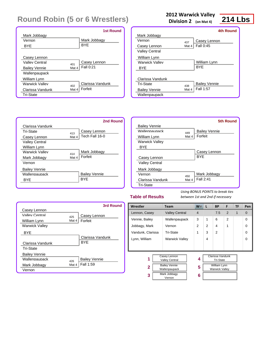|                       |       | <b>1st Round</b> |
|-----------------------|-------|------------------|
| Mark Jobbagy          |       |                  |
| Vernon                |       | Mark Jobbagy     |
| <b>BYF</b>            |       | <b>BYF</b>       |
|                       |       |                  |
| Casey Lennon          |       |                  |
| Valley Central        | 401   | Casey Lennon     |
| <b>Bailey Vennie</b>  | Mat 4 | Fall 0:21        |
| Wallenpaupack         |       |                  |
| William Lynn          |       |                  |
| <b>Warwick Valley</b> | 402   | Clarissa Vandunk |
| Clarissa Vandunk      | Mat 4 | Forfeit          |
| <b>Tri-State</b>      |       |                  |

### **2012 Warwick Valley**

**Division 2 (on Mat 4)**

### **214 Lbs**

|                       |       | 4th Round            |
|-----------------------|-------|----------------------|
| Mark Jobbagy          |       |                      |
| Vernon                | 437   | Casey Lennon         |
| Casey Lennon          | Mat 4 | Fall 0:45            |
| <b>Valley Central</b> |       |                      |
| William Lynn          |       |                      |
| <b>Warwick Valley</b> |       | William Lynn         |
| <b>BYF</b>            |       | <b>BYF</b>           |
|                       |       |                      |
| Clarissa Vandunk      |       |                      |
| Tri-State             | 438   | <b>Bailey Vennie</b> |
| <b>Bailey Vennie</b>  | Mat 4 | Fall 1:57            |
| Wallenpaupack         |       |                      |
|                       |       |                      |



|                       |       | <b>5th Round</b>     |
|-----------------------|-------|----------------------|
| <b>Bailey Vennie</b>  |       |                      |
| Wallennaunack         | 449   | <b>Bailey Vennie</b> |
| William Lynn          | Mat 4 | Forfeit              |
| <b>Warwick Valley</b> |       |                      |
| <b>BYF</b>            |       |                      |
|                       |       | Casey Lennon         |
| Casey Lennon          |       | <b>BYF</b>           |
| <b>Valley Central</b> |       |                      |
| Mark Jobbagy          |       |                      |
| Vernon                | 450   | Mark Jobbagy         |
| Clarissa Vandunk      | Mat 4 | Fall 2:41            |
| <b>Tri-State</b>      |       |                      |

### **Table of Results**

|                       |       | 3rd Round            |
|-----------------------|-------|----------------------|
| Casey Lennon          |       |                      |
| Valley Central        | 425   | Casey Lennon         |
| William Lynn          | Mat 4 | Forfeit              |
| <b>Warwick Valley</b> |       |                      |
| <b>BYE</b>            |       |                      |
|                       |       | Clarissa Vandunk     |
| Clarissa Vandunk      |       | <b>BYF</b>           |
| Tri-State             |       |                      |
| <b>Bailey Vennie</b>  |       |                      |
| Wallennaunack         | 426   | <b>Bailey Vennie</b> |
| Mark Jobbagy          | Mat 4 | Fall 1:59            |
| Vernon                |       |                      |

| Wrestler          | Team                                                                           | $W^-$          | L              | <b>BP</b>                                                                            | F              | TF | Pen      |
|-------------------|--------------------------------------------------------------------------------|----------------|----------------|--------------------------------------------------------------------------------------|----------------|----|----------|
| Lennon, Casey     | <b>Valley Central</b>                                                          | $\overline{4}$ |                | 7.5                                                                                  | 2              | 1  | $\Omega$ |
| Vennie, Bailey    | Wallenpaupack                                                                  | 3              | 1              | 6                                                                                    | $\overline{2}$ |    | $\Omega$ |
| Jobbagy, Mark     | Vernon                                                                         | $\overline{2}$ | $\overline{2}$ | 4                                                                                    | 1              |    | $\Omega$ |
| Vandunk, Clarissa | Tri-State                                                                      | 1              | 3              | $\overline{2}$                                                                       |                |    | $\Omega$ |
| Lynn, William     | <b>Warwick Valley</b>                                                          |                | 4              |                                                                                      |                |    | 0        |
|                   |                                                                                |                |                |                                                                                      |                |    |          |
| 1<br>2            | Casey Lennon<br><b>Valley Central</b><br><b>Bailey Vennie</b><br>Wallenpaupack | 4<br>5         |                | Clarissa Vandunk<br><b>Tri-State</b><br><b>William Lynn</b><br><b>Warwick Valley</b> |                |    |          |
| 3                 | Mark Jobbagy<br>Vernon                                                         | 6              |                |                                                                                      |                |    |          |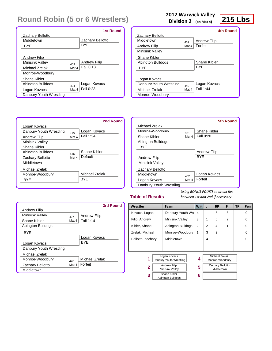|                         |       | <b>1st Round</b>    |
|-------------------------|-------|---------------------|
| Zachary Bellotto        |       |                     |
| Middletown              |       | Zachary Bellotto    |
| <b>BYF</b>              |       | <b>BYF</b>          |
|                         |       |                     |
| <b>Andrew Filip</b>     |       |                     |
| Minisink Valley         | 403   | <b>Andrew Filip</b> |
| Michael Zrelak          | Mat 4 | Fall 0:13           |
| Monroe-Woodbury         |       |                     |
| Shane Kibler            |       |                     |
| Ahington Bulldogs       | 404   | Logan Kovacs        |
| Logan Kovacs            | Mat 4 | Fall 0:23           |
| Danbury Youth Wrestling |       |                     |

### **2012 Warwick Valley**

**Division 2 (on Mat 4)**

## **215 Lbs**

|                         |       | 4th Round           |
|-------------------------|-------|---------------------|
| Zachary Bellotto        |       |                     |
| Middletown              | 439   | <b>Andrew Filip</b> |
| Andrew Filip            | Mat 4 | Forfeit             |
| <b>Minisink Valley</b>  |       |                     |
| Shane Kibler            |       |                     |
| Abinaton Bulldoas       |       | Shane Kibler        |
| BYE                     |       | <b>BYF</b>          |
|                         |       |                     |
| Logan Kovacs            |       |                     |
| Danbury Youth Wrestling | 440   | Logan Kovacs        |
| Michael Zrelak          | Mat 4 | Fall 1:44           |
| Monroe-Woodbury         |       |                     |



|                         |       | 5th Round           |
|-------------------------|-------|---------------------|
| Michael Zrelak          |       |                     |
| Monroe-Woodbury         | 451   | Shane Kibler        |
| Shane Kibler            | Mat 4 | Fall 0:20           |
| Abington Bulldogs       |       |                     |
| <b>BYE</b>              |       |                     |
|                         |       | <b>Andrew Filip</b> |
| <b>Andrew Filip</b>     |       | <b>BYF</b>          |
| <b>Minisink Valley</b>  |       |                     |
| Zachary Bellotto        |       |                     |
| Middletown              | 452   | Logan Kovacs        |
| Logan Kovacs            | Mat 4 | Forfeit             |
| Danbury Youth Wrestling |       |                     |

#### **Table of Results**

|                         |       | 3rd Round           |
|-------------------------|-------|---------------------|
| <b>Andrew Filip</b>     |       |                     |
| Minisink Valley         | 427   | <b>Andrew Filip</b> |
| Shane Kibler            | Mat 4 | Fall 1:14           |
| Abington Bulldogs       |       |                     |
| <b>BYE</b>              |       |                     |
|                         |       | Logan Kovacs        |
| Logan Kovacs            |       | <b>BYF</b>          |
| Danbury Youth Wrestling |       |                     |
| Michael Zrelak          |       |                     |
| Monroe-Woodbury         | 428   | Michael Zrelak      |
| Zachary Bellotto        | Mat 4 | Forfeit             |
| Middletown              |       |                     |

| Wrestler                                      |  | <b>Team</b>                             | $W^-$ | L                              | <b>BP</b>                                | F              | <b>TF</b> | Pen |
|-----------------------------------------------|--|-----------------------------------------|-------|--------------------------------|------------------------------------------|----------------|-----------|-----|
| Kovacs, Logan                                 |  | Danbury Youth Wre 4                     |       |                                | 8                                        | 3              |           | 0   |
| Filip, Andrew                                 |  | <b>Minisink Valley</b>                  | 3     | 1                              | 6                                        | $\overline{2}$ |           | 0   |
| Kibler, Shane                                 |  | <b>Abington Bulldogs</b>                | 2     | 2                              | 4                                        | 1              |           | 0   |
| Zrelak, Michael                               |  | Monroe-Woodbury                         | 1     | 3                              | 2                                        |                |           | 0   |
| Bellotto, Zachary                             |  | Middletown                              |       | 4                              |                                          |                |           | 0   |
|                                               |  |                                         |       |                                |                                          |                |           |     |
|                                               |  |                                         |       |                                |                                          |                |           |     |
| 1                                             |  | Logan Kovacs<br>Danbury Youth Wrestling | 4     |                                | <b>Michael Zrelak</b><br>Monroe-Woodbury |                |           |     |
| <b>Andrew Filip</b><br>2<br>Minisink Valley   |  | 5                                       |       | Zachary Bellotto<br>Middletown |                                          |                |           |     |
| <b>Shane Kibler</b><br>3<br>Abington Bulldogs |  | 6                                       |       |                                |                                          |                |           |     |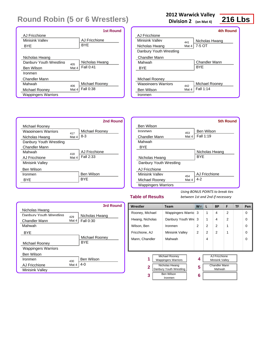|                            |       | <b>1st Round</b> |
|----------------------------|-------|------------------|
| AJ Fricchione              |       |                  |
| Minisink Valley            |       | AJ Fricchione    |
| BYE                        |       | <b>BYF</b>       |
|                            |       |                  |
| Nicholas Hwang             |       |                  |
| Danhury Youth Wrestling    | 405   | Nicholas Hwang   |
| Ben Wilson                 | Mat 4 | Fall 0:41        |
| Ironmen                    |       |                  |
| Chandler Mann              |       |                  |
| Mahwah                     | 406   | Michael Rooney   |
| Michael Rooney             | Mat 4 | Fall 0:38        |
| <b>Wappingers Warriors</b> |       |                  |

### **2012 Warwick Valley**

**Division 2 (on Mat 4)**

## **216 Lbs**

|       | 4th Round      |
|-------|----------------|
|       |                |
| 441   | Nicholas Hwang |
| Mat 4 | 7-5 OT         |
|       |                |
|       |                |
|       | Chandler Mann  |
|       | <b>BYF</b>     |
|       |                |
|       |                |
| 442   | Michael Rooney |
| Mat 4 | Fall 1:14      |
|       |                |
|       |                |



|                            |       | <b>5th Round</b>  |
|----------------------------|-------|-------------------|
| Ben Wilson                 |       |                   |
| Ironmen                    | 453   | <b>Ben Wilson</b> |
| Chandler Mann              | Mat 4 | Fall 1:19         |
| Mahwah                     |       |                   |
| <b>BYE</b>                 |       |                   |
|                            |       | Nicholas Hwang    |
| Nicholas Hwang             |       | <b>BYF</b>        |
| Danbury Youth Wrestling    |       |                   |
| AJ Fricchione              |       |                   |
| Minisink Valley            |       | AJ Fricchione     |
| Michael Rooney             | Mat 4 | 4-2               |
| <b>Wappingers Warriors</b> |       |                   |
|                            | 454   |                   |

### **Table of Results**

|                            |       | <b>3rd Round</b>  |
|----------------------------|-------|-------------------|
| Nicholas Hwang             |       |                   |
| Danbury Youth Wrestling    | 429   | Nicholas Hwang    |
| Chandler Mann              | Mat 4 | <b>Fall 0:30</b>  |
| Mahwah                     |       |                   |
| BYE                        |       |                   |
|                            |       | Michael Rooney    |
| Michael Rooney             |       | <b>BYF</b>        |
| <b>Wappingers Warriors</b> |       |                   |
| Ben Wilson                 |       |                   |
| Ironmen                    | 430   | <b>Ben Wilson</b> |
| AJ Fricchione              | Mat 4 | $4-0$             |
| <b>Minisink Valley</b>     |       |                   |

| Wrestler                                                                                                                 | <b>Team</b>       | $W^-$  | L              | <b>BP</b>                                                          | F | TF | Pen      |
|--------------------------------------------------------------------------------------------------------------------------|-------------------|--------|----------------|--------------------------------------------------------------------|---|----|----------|
| Rooney, Michael                                                                                                          | Wappingers Warrio | 3      | 1              | 4                                                                  | 2 |    | $\Omega$ |
| Hwang, Nicholas                                                                                                          | Danbury Youth Wre | 3      | 1              | 4                                                                  | 2 |    | $\Omega$ |
| Wilson, Ben                                                                                                              | Ironmen           | 2      | 2              | $\mathfrak{p}$                                                     | 1 |    | $\Omega$ |
| Fricchione, AJ                                                                                                           | Minisink Valley   | 2      | $\overline{2}$ | 2                                                                  | 1 |    | $\Omega$ |
| Mann, Chandler                                                                                                           | Mahwah            |        | 4              |                                                                    |   |    | $\Omega$ |
|                                                                                                                          |                   |        |                |                                                                    |   |    |          |
| Michael Rooney<br>1<br><b>Wappingers Warriors</b><br>Nicholas Hwang<br>2<br>Danbury Youth Wrestling<br><b>Ben Wilson</b> |                   | 4<br>5 |                | AJ Fricchione<br>Minisink Valley<br><b>Chandler Mann</b><br>Mahwah |   |    |          |
| 3<br>Ironmen                                                                                                             |                   | 6      |                |                                                                    |   |    |          |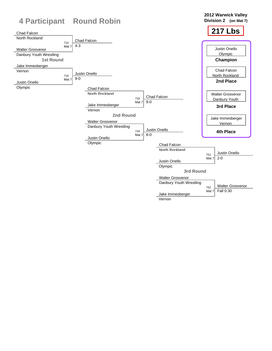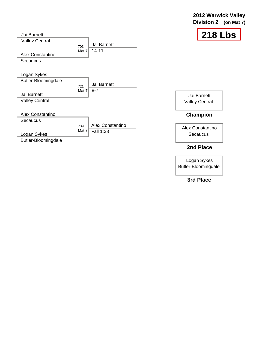### **2012 Warwick Valley Division 2 (on Mat 7)**



| Jai Barnett                                                                |                                             |                  | 218                                      |
|----------------------------------------------------------------------------|---------------------------------------------|------------------|------------------------------------------|
| <b>Valley Central</b><br>Alex Constantino<br>Secaucus                      | Jai Barnett<br>703<br>$14 - 11$<br>Mat $71$ |                  |                                          |
| Logan Sykes<br>Butler-Bloomingdale<br>Jai Barnett<br><b>Valley Central</b> | Jai Barnett<br>721<br>$8 - 7$<br>Mat 7      |                  | Jai Barnett<br><b>Valley Central</b>     |
| Alex Constantino<br>Secaucus<br>Logan Sykes<br>Butler-Bloomingdale         | 739<br>Mat $7$<br>Fall 1:38                 | Alex Constantino | Champion<br>Alex Constantino<br>Secaucus |
|                                                                            |                                             |                  | 2nd Place                                |

Logan Sykes Butler-Bloomingdale

**3rd Place**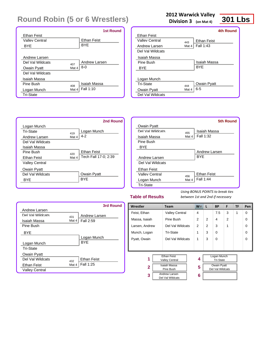|                             | <b>1st Round</b>   |
|-----------------------------|--------------------|
| <b>Ethan Feist</b>          |                    |
| <b>Valley Central</b>       | <b>Ethan Feist</b> |
| <b>BYE</b>                  | <b>BYE</b>         |
|                             |                    |
| Andrew Larsen               |                    |
| Del Val Wildcats<br>407     | Andrew Larsen      |
| Mat 4<br><b>Owain Pyatt</b> | $8-0$              |
| Del Val Wildcats            |                    |
| Isaiah Massa                |                    |
| Pine Rush<br>408            | Isaiah Massa       |
| Mat 4<br>Logan Munch        | Fall 1:10          |
| <b>Tri-State</b>            |                    |

### **2012 Warwick Valley**

**Division 3 (on Mat 4)**

## **301 Lbs**

|                    |       | 4th Round          |
|--------------------|-------|--------------------|
| <b>Ethan Feist</b> |       |                    |
| Valley Central     | 443   | <b>Ethan Feist</b> |
| Andrew Larsen      | Mat 4 | Fall 1:43          |
| Del Val Wildcats   |       |                    |
| Isaiah Massa       |       |                    |
| Pine Rush          |       | Isaiah Massa       |
| <b>BYE</b>         |       | <b>BYF</b>         |
|                    |       |                    |
| Logan Munch        |       |                    |
| Tri-State          | 444   | Owain Pyatt        |
| Owain Pyatt        | Mat 4 | $6 - 5$            |
| Del Val Wildcats   |       |                    |
|                    |       |                    |



|                    |       | 5th Round          |
|--------------------|-------|--------------------|
| Owain Pyatt        |       |                    |
| Del Val Wildcats   | 455   | Isaiah Massa       |
| Isaiah Massa       | Mat 4 | Fall 1:32          |
| Pine Bush          |       |                    |
| <b>BYE</b>         |       |                    |
|                    |       | Andrew Larsen      |
| Andrew Larsen      |       | <b>BYF</b>         |
| Del Val Wildcats   |       |                    |
| <b>Ethan Feist</b> |       |                    |
| Valley Central     | 456   | <b>Ethan Feist</b> |
| Logan Munch        | Mat 4 | Fall 1:44          |
| <b>Tri-State</b>   |       |                    |

#### **Table of Results**

|                       |       | 3rd Round          |
|-----------------------|-------|--------------------|
| Andrew Larsen         |       |                    |
| Del Val Wildcats      | 431   | Andrew Larsen      |
| Isaiah Massa          | Mat 4 | Fall 2:59          |
| Pine Bush             |       |                    |
| <b>BYE</b>            |       |                    |
|                       |       | Logan Munch        |
| Logan Munch           |       | <b>BYF</b>         |
| <b>Tri-State</b>      |       |                    |
| Owain Pyatt           |       |                    |
| Del Val Wildcats      | 432   | <b>Ethan Feist</b> |
| Ethan Feist           | Mat 4 | Fall 1:25          |
| <b>Valley Central</b> |       |                    |

| Wrestler                                                   | <b>Team</b>                                 | $W^-$ | L | <b>BP</b>                              | F              | TF | Pen |
|------------------------------------------------------------|---------------------------------------------|-------|---|----------------------------------------|----------------|----|-----|
| Feist, Ethan                                               | <b>Valley Central</b>                       | 4     |   | 7.5                                    | 3              | 1  | 0   |
| Massa, Isaiah                                              | Pine Bush                                   | 2     | 2 | 4                                      | $\overline{2}$ |    | 0   |
| Larsen, Andrew                                             | Del Val Wildcats                            | 2     | 2 | 3                                      | 1              |    | 0   |
| Munch, Logan                                               | <b>Tri-State</b>                            | 1     | 3 | $\Omega$                               |                |    | 0   |
| Pyatt, Owain                                               | Del Val Wildcats                            | 1     | 3 | $\Omega$                               |                |    | 0   |
|                                                            |                                             |       |   |                                        |                |    |     |
|                                                            |                                             |       |   |                                        |                |    |     |
| 1                                                          | <b>Ethan Feist</b><br><b>Valley Central</b> | 4     |   | Logan Munch<br><b>Tri-State</b>        |                |    |     |
| Isaiah Massa<br>$\mathbf{2}$                               |                                             | 5     |   | <b>Owain Pyatt</b><br>Del Val Wildcats |                |    |     |
| Pine Bush<br><b>Andrew Larsen</b><br>3<br>Del Val Wildcats |                                             | 6     |   |                                        |                |    |     |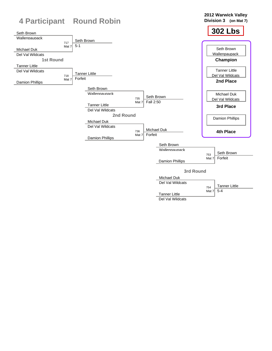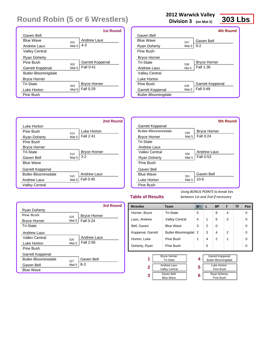|                     |                  | <b>1st Round</b>    |
|---------------------|------------------|---------------------|
| Gaven Bell          |                  |                     |
| <b>Rlue Wave</b>    | 501              | Andrew Laux         |
| Andrew Laux         | Mat <sub>5</sub> | $4 - 3$             |
| Valley Central      |                  |                     |
| Ryan Doherty        |                  |                     |
| Pine Rush           | 502              | Garrett Koppenal    |
| Garrett Koppenal    | Mat 5            | Fall 0:41           |
| Butler-Bloomingdale |                  |                     |
| <b>Bryce Horner</b> |                  |                     |
| Tri-State           | 503              | <b>Bryce Horner</b> |
| Luke Horton         | Mat 5            | Fall 0:29           |
| Pine Bush           |                  |                     |

### **2012 Warwick Valley**

**Division 3 (on Mat 5)**

## **303 Lbs**

|                       |       | 4th Round           |
|-----------------------|-------|---------------------|
| Gaven Bell            |       |                     |
| <b>Blue Wave</b>      | 537   | Gaven Bell          |
| Ryan Doherty          | Mat 5 | $9 - 2$             |
| Pine Bush             |       |                     |
| <b>Bryce Horner</b>   |       |                     |
| Tri-State             | 538   | <b>Bryce Horner</b> |
| Andrew Laux           | Mat 5 | Fall 1:36           |
| <b>Valley Central</b> |       |                     |
| Luke Horton           |       |                     |
| Pine Rush             | 539   | Garrett Koppenal    |
| Garrett Koppenal      | Mat 5 | Fall 0:48           |
| Butler-Bloomingdale   |       |                     |



|                            |       | 5th Round           |
|----------------------------|-------|---------------------|
| Garrett Koppenal           |       |                     |
| <b>Butler-Bloomingdale</b> | 549   | <b>Bryce Horner</b> |
| <b>Bryce Horner</b>        | Mat 5 | Fall 0:24           |
| <b>Tri-State</b>           |       |                     |
| Andrew Laux                |       |                     |
| Valley Central             | 550   | <b>Andrew Laux</b>  |
| Ryan Doherty               | Mat 5 | Fall 0:53           |
| Pine Bush                  |       |                     |
| Gaven Bell                 |       |                     |
| <b>Blue Wave</b>           | 551   | Gaven Bell          |
| Luke Horton                | Mat 5 | $10 - 6$            |
| Pine Bush                  |       |                     |
|                            |       |                     |

### **Table of Results**

*Using BONUS POINTS to break ties between 1st and 2nd if necessary*

Pine Bush

|                            |       | 3rd Round           |
|----------------------------|-------|---------------------|
| <b>Ryan Doherty</b>        |       |                     |
| Pine Rush                  | 525   | <b>Bryce Horner</b> |
| <b>Bryce Horner</b>        | Mat 5 | Fall 0:24           |
| <b>Tri-State</b>           |       |                     |
| Andrew Laux                |       |                     |
| Valley Central             | 526   | Andrew Laux         |
| Luke Horton                | Mat 5 | Fall 2:56           |
| Pine Bush                  |       |                     |
| Garrett Koppenal           |       |                     |
| <b>Butler-Bloomingdale</b> | 527   | Gaven Bell          |
| Gaven Bell                 | Mat 5 | 8-3                 |
| <b>Blue Wave</b>           |       |                     |

| Wrestler<br><b>Team</b> |  | $W^-$                                       | L | <b>BP</b> | F | TF                                      | Pen |  |   |
|-------------------------|--|---------------------------------------------|---|-----------|---|-----------------------------------------|-----|--|---|
| Horner, Bryce           |  | Tri-State                                   |   | 5         |   | 8                                       | 4   |  | 0 |
| Laux, Andrew            |  | <b>Valley Central</b>                       |   | 4         | 1 | 6                                       | 3   |  | 0 |
| Bell, Gaven             |  | <b>Blue Wave</b>                            |   | 3         | 2 | 0                                       |     |  | 0 |
| Koppenal, Garrett       |  | Butler-Bloomingdal                          |   | 2         | 3 | 4                                       | 2   |  | 0 |
| Horton, Luke            |  | Pine Bush                                   |   | 1         | 4 | 2                                       | 1   |  | 0 |
| Doherty, Ryan           |  | Pine Bush                                   |   |           | 5 |                                         |     |  | 0 |
|                         |  |                                             |   |           |   |                                         |     |  |   |
| 1                       |  | <b>Bryce Horner</b><br><b>Tri-State</b>     |   | 4         |   | Garrett Koppenal<br>Butler-Bloomingdale |     |  |   |
| 2                       |  | <b>Andrew Laux</b><br><b>Valley Central</b> |   | 5         |   | Luke Horton<br>Pine Bush                |     |  |   |
| 3                       |  | Gaven Bell<br>$D\cdots\sim M\cdots$         |   | 6         |   | <b>Ryan Doherty</b><br>Dina Duah        |     |  |   |

Blue Wave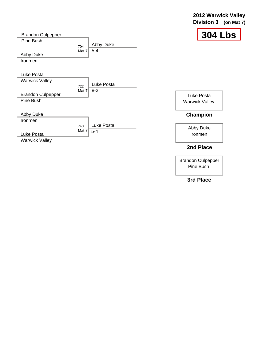### **2012 Warwick Valley Division 3 (on Mat 7)**



| <b>Brandon Culpepper</b> |              |                      | 304                   |
|--------------------------|--------------|----------------------|-----------------------|
| Pine Bush                | 704<br>Mat 7 | Abby Duke<br>$5 - 4$ |                       |
| Abby Duke                |              |                      |                       |
| Ironmen                  |              |                      |                       |
|                          |              |                      |                       |
| Luke Posta               |              |                      |                       |
| <b>Warwick Valley</b>    |              | Luke Posta           |                       |
|                          | 722          |                      |                       |
| <b>Brandon Culpepper</b> | Mat 7        | $8 - 2$              | Luke Posta            |
| Pine Bush                |              |                      | <b>Warwick Valley</b> |
|                          |              |                      |                       |
| Abby Duke                |              |                      | Champion              |
| Ironmen                  |              |                      |                       |
|                          | 740          | Luke Posta           | Abby Duke             |
| Luke Posta               | Mat 7        | $5-4$                | Ironmen               |
| <b>Warwick Valley</b>    |              |                      |                       |
|                          |              |                      |                       |

### **2nd Place**

Brandon Culpepper Pine Bush

### **3rd Place**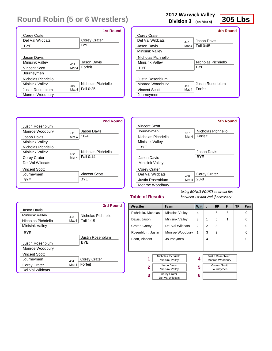|                     |       | <b>1st Round</b>    |
|---------------------|-------|---------------------|
| Corey Crater        |       |                     |
| Del Val Wildcats    |       | <b>Corey Crater</b> |
| <b>BYE</b>          |       | <b>BYE</b>          |
|                     |       |                     |
| Jason Davis         |       |                     |
| Minisink Valley     | 409   | Jason Davis         |
| Vincent Scott       | Mat 4 | Forfeit             |
| Journeymen          |       |                     |
| Nicholas Pichriello |       |                     |
| Minisink Valley     | 410   | Nicholas Pichriello |
| Justin Rosenblum    | Mat 4 | Fall 0:25           |
| Monroe Woodbury     |       |                     |

### **2012 Warwick Valley**

**Division 3 (on Mat 4)**

**305 Lbs**

|                      |       | 4th Round           |
|----------------------|-------|---------------------|
| Corey Crater         |       |                     |
| Del Val Wildcats     | 445   | Jason Davis         |
| Jason Davis          | Mat 4 | Fall 0:45           |
| Minisink Valley      |       |                     |
| Nicholas Pichriello  |       |                     |
| Minisink Vallev      |       | Nicholas Pichriello |
| <b>BYF</b>           |       | <b>BYF</b>          |
|                      |       |                     |
| Justin Rosenblum     |       |                     |
| Monroe Woodbury      | 446   | Justin Rosenblum    |
| <b>Vincent Scott</b> | Mat 4 | Forfeit             |
| Journeymen           |       |                     |
|                      |       |                     |



|                        |       | 5th Round           |
|------------------------|-------|---------------------|
| Vincent Scott          |       |                     |
| Journeymen             | 457   | Nicholas Pichriello |
| Nicholas Pichriello    | Mat 4 | Forfeit             |
| <b>Minisink Valley</b> |       |                     |
| BYE                    |       |                     |
|                        |       | Jason Davis         |
| Jason Davis            |       | <b>BYF</b>          |
| <b>Minisink Valley</b> |       |                     |
| <b>Corey Crater</b>    |       |                     |
| Del Val Wildcats       | 458   | Corey Crater        |
| Justin Rosenblum       | Mat 4 | $20 - 8$            |
| Monroe Woodbury        |       |                     |

### **Table of Results**

|                      |       | 3rd Round           |
|----------------------|-------|---------------------|
| Jason Davis          |       |                     |
| Minisink Valley      | 433   | Nicholas Pichriello |
| Nicholas Pichriello  | Mat 4 | Fall 1:15           |
| Minisink Valley      |       |                     |
| BYE                  |       |                     |
|                      |       | Justin Rosenblum    |
| Justin Rosenblum     |       | <b>BYF</b>          |
| Monroe Woodbury      |       |                     |
| <b>Vincent Scott</b> |       |                     |
| . lournevmen         | 434   | <b>Corey Crater</b> |
| Corey Crater         | Mat 4 | Forfeit             |
| Del Val Wildcats     |       |                     |

| Wrestler                             | Team                                                                                                                |                | L | ВP                                                                               | F | TF | Pen |
|--------------------------------------|---------------------------------------------------------------------------------------------------------------------|----------------|---|----------------------------------------------------------------------------------|---|----|-----|
| Pichriello, Nicholas                 | <b>Minisink Valley</b>                                                                                              | $\overline{4}$ |   | 8                                                                                | 3 |    | 0   |
| Davis, Jason                         | Minisink Valley                                                                                                     | 3              | 1 | 5                                                                                | 1 |    | O   |
| Crater, Corey                        | Del Val Wildcats                                                                                                    | 2              | 2 | 3                                                                                |   |    | 0   |
| Rosenblum, Justin<br>Monroe Woodbury |                                                                                                                     | 1              | 3 | $\mathcal{P}$                                                                    |   |    | 0   |
| Scott, Vincent<br>Journeymen         |                                                                                                                     |                | 4 |                                                                                  |   |    | 0   |
|                                      |                                                                                                                     |                |   |                                                                                  |   |    |     |
| 1<br>$\mathbf{2}$<br>3               | Nicholas Pichriello<br>Minisink Valley<br>Jason Davis<br>Minisink Valley<br><b>Corey Crater</b><br>Del Val Wildcats | 4<br>5<br>6    |   | <b>Justin Rosenblum</b><br>Monroe Woodbury<br><b>Vincent Scott</b><br>Journeymen |   |    |     |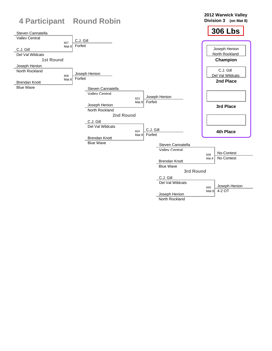

North Rockland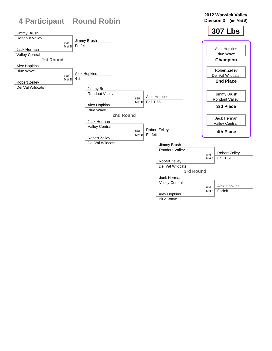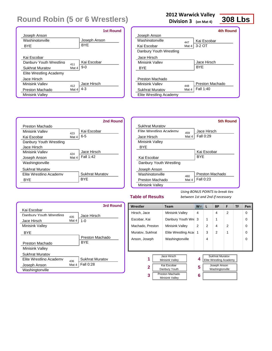|                         |       | 1st Round    |
|-------------------------|-------|--------------|
| Joseph Anson            |       |              |
| Washingtonville         |       | Joseph Anson |
| <b>BYF</b>              |       | <b>BYF</b>   |
|                         |       |              |
| Kai Escobar             |       |              |
| Danhury Youth Wrestling | 411   | Kai Escobar  |
| Sukhrat Muratov         | Mat 4 | $9-0$        |
| Elite Wrestling Academy |       |              |
| Jace Hirsch             |       |              |
| Minisink Valley         | 412   | Jace Hirsch  |
| Preston Machado         | Mat 4 | $4 - 3$      |
| Minisink Valley         |       |              |

### **2012 Warwick Valley**

**Division 3 (on Mat 4)**

## **308 Lbs**

|                         |       | 4th Round       |
|-------------------------|-------|-----------------|
| Joseph Anson            |       |                 |
| Washingtonville         | 447   | Kai Escobar     |
| Kai Escobar             | Mat 4 | $3-2$ OT        |
| Danbury Youth Wrestling |       |                 |
| Jace Hirsch             |       |                 |
| Minisink Valley         |       | Jace Hirsch     |
| <b>BYF</b>              |       | <b>BYF</b>      |
|                         |       |                 |
| Preston Machado         |       |                 |
| Minisink Vallev         | 448   | Preston Machado |
| Sukhrat Muratov         | Mat 4 | Fall 1:40       |
| Elite Wrestling Academy |       |                 |
|                         |       |                 |



|                         |       | <b>5th Round</b> |
|-------------------------|-------|------------------|
| Sukhrat Muratov         |       |                  |
| Flite Wrestling Academy | 459   | Jace Hirsch      |
| Jace Hirsch             | Mat 4 | Fall 0:29        |
| <b>Minisink Valley</b>  |       |                  |
| BYE                     |       |                  |
|                         |       | Kai Escobar      |
| Kai Escobar             |       | <b>BYF</b>       |
| Danbury Youth Wrestling |       |                  |
| Joseph Anson            |       |                  |
| Washingtonville         | 460   | Preston Machado  |
| Preston Machado         | Mat 4 | Fall 0:23        |
| <b>Minisink Valley</b>  |       |                  |

### **Table of Results**

|                         |       | 3rd Round              |
|-------------------------|-------|------------------------|
| Kai Escobar             |       |                        |
| Danhury Youth Wrestling | 435   | Jace Hirsch            |
| Jace Hirsch             | Mat 4 | $1 - 0$                |
| <b>Minisink Valley</b>  |       |                        |
| <b>BYF</b>              |       |                        |
|                         |       | Preston Machado        |
| Preston Machado         |       | <b>BYF</b>             |
| <b>Minisink Valley</b>  |       |                        |
| <b>Sukhrat Muratov</b>  |       |                        |
| Flite Wrestling Academy | 436   | <b>Sukhrat Muratov</b> |
| Joseph Anson            | Mat 4 | Fall 0:28              |
| Washingtonville         |       |                        |

| Wrestler                                                | Team                                                       |                     | $W^-$          | L                                                                 | <b>BP</b>       | F | <b>TF</b> | Pen      |
|---------------------------------------------------------|------------------------------------------------------------|---------------------|----------------|-------------------------------------------------------------------|-----------------|---|-----------|----------|
| Hirsch, Jace                                            | <b>Minisink Valley</b>                                     |                     | $\overline{4}$ |                                                                   | 4               | 2 |           | $\Omega$ |
| Escobar, Kai                                            | Danbury Youth Wre                                          |                     | 3              | 1                                                                 | 1               |   |           | $\Omega$ |
| Machado, Preston                                        | Minisink Valley                                            |                     | 2              | $\overline{2}$                                                    | 4               | 2 |           | $\Omega$ |
| Muratov, Sukhrat                                        |                                                            | Elite Wrestling Aca |                | 3                                                                 | $\mathcal{P}$   | 1 |           | $\Omega$ |
| Anson, Joseph                                           |                                                            | Washingtonville     |                | 4                                                                 |                 |   |           | $\Omega$ |
|                                                         |                                                            |                     |                |                                                                   |                 |   |           |          |
| Jace Hirsch<br>1<br>Minisink Valley<br>Kai Escobar<br>2 |                                                            | 4<br>5              |                | <b>Sukhrat Muratov</b><br>Elite Wrestling Academy<br>Joseph Anson |                 |   |           |          |
| 3                                                       | Danbury Youth<br>Preston Machado<br><b>Minisink Valley</b> |                     | 6              |                                                                   | Washingtonville |   |           |          |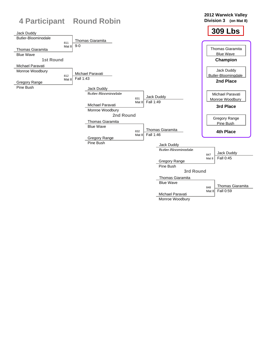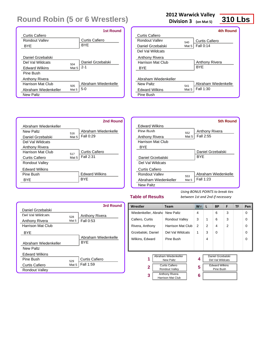|                       |                  | <b>1st Round</b>    |
|-----------------------|------------------|---------------------|
| Curtis Cafiero        |                  |                     |
| Rondout Valley        |                  | Curtis Cafiero      |
| <b>BYF</b>            |                  | <b>BYF</b>          |
|                       |                  |                     |
| Daniel Grzebalski     |                  |                     |
| Del Val Wildcats      | 504              | Daniel Grzebalski   |
| <b>Edward Wilkins</b> | Mat <sub>5</sub> | $2 - 1$             |
| Pine Bush             |                  |                     |
| Anthony Rivera        |                  |                     |
| Harrison Mat Club     | 505              | Abraham Wiedenkelle |
| Abraham Wiedenkeller  | Mat 5            | $5-0$               |
| <b>New Paltz</b>      |                  |                     |

#### **2012 Warwick Valley**

**Division 3 (on Mat 5)**

## **310 Lbs**

|                       |       | 4th Round           |
|-----------------------|-------|---------------------|
| Curtis Cafiero        |       |                     |
| Rondout Valley        | 540   | Curtis Cafiero      |
| Daniel Grzebalski     | Mat 5 | <b>Fall 0:14</b>    |
| Del Val Wildcats      |       |                     |
| Anthony Rivera        |       |                     |
| Harrison Mat Club     |       | Anthony Rivera      |
| BYE                   |       | <b>BYF</b>          |
|                       |       |                     |
| Abraham Wiedenkeller  |       |                     |
| New Paltz             | 541   | Abraham Wiedenkelle |
| <b>Edward Wilkins</b> | Mat 5 | Fall 1:30           |
| Pine Bush             |       |                     |

|                       |       | 2nd Round             |
|-----------------------|-------|-----------------------|
| Abraham Wiedenkeller  |       |                       |
| New Paltz             | 516   | Abraham Wiedenkelle   |
| Daniel Grzebalski     | Mat 5 | Fall 0:29             |
| Del Val Wildcats      |       |                       |
| <b>Anthony Rivera</b> |       |                       |
| Harrison Mat Club     | 517   | Curtis Cafiero        |
| Curtis Cafiero        | Mat 5 | Fall 2:31             |
| Rondout Valley        |       |                       |
| <b>Edward Wilkins</b> |       |                       |
| Pine Rush             |       | <b>Edward Wilkins</b> |
| BYE                   |       | <b>BYF</b>            |
|                       |       |                       |

|                       |       | 5th Round             |
|-----------------------|-------|-----------------------|
| <b>Edward Wilkins</b> |       |                       |
| Pine Rush             | 552   | <b>Anthony Rivera</b> |
| Anthony Rivera        | Mat 5 | Fall 2:55             |
| Harrison Mat Club     |       |                       |
| BYE                   |       |                       |
|                       |       | Daniel Grzebalski     |
| Daniel Grzebalski     |       | <b>BYF</b>            |
| Del Val Wildcats      |       |                       |
| Curtis Cafiero        |       |                       |
| Rondout Valley        | 553   | Abraham Wiedenkelle   |
| Abraham Wiedenkeller  | Mat 5 | Fall 1:23             |
| New Paltz             |       |                       |

#### **Table of Results**

|                       |       | 3rd Round             |
|-----------------------|-------|-----------------------|
| Daniel Grzebalski     |       |                       |
| Del Val Wildcats      | 528   | <b>Anthony Rivera</b> |
| Anthony Rivera        | Mat 5 | Fall 0:53             |
| Harrison Mat Club     |       |                       |
| <b>BYF</b>            |       |                       |
|                       |       | Abraham Wiedenkelle   |
| Abraham Wiedenkeller  |       | <b>BYF</b>            |
| New Paltz             |       |                       |
| <b>Edward Wilkins</b> |       |                       |
| Pine Rush             | 529   | Curtis Cafiero        |
| <b>Curtis Cafiero</b> | Mat 5 | Fall 1:59             |
| Rondout Valley        |       |                       |

| Wrestler                                                | <b>Team</b>                                | $W^-$ | L | <b>BP</b>                             | F              | TF | Pen      |
|---------------------------------------------------------|--------------------------------------------|-------|---|---------------------------------------|----------------|----|----------|
| Wiedenkeller, Abraha New Paltz                          |                                            | 4     |   | 6                                     | 3              |    | $\Omega$ |
| Cafiero, Curtis<br>Rondout Valley                       |                                            | 3     | 1 | 6                                     | 3              |    | $\Omega$ |
| Rivera, Anthony                                         | <b>Harrison Mat Club</b>                   | 2     | 2 | 4                                     | $\overline{2}$ |    | $\Omega$ |
| Grzebalski, Daniel                                      | Del Val Wildcats                           | 1     | 3 | $\Omega$                              |                |    | $\Omega$ |
| Wilkins, Edward                                         | Pine Bush                                  |       | 4 |                                       |                |    | $\Omega$ |
|                                                         |                                            |       |   |                                       |                |    |          |
|                                                         |                                            |       |   |                                       |                |    |          |
| 1                                                       | Abraham Wiedenkeller<br><b>New Paltz</b>   | 4     |   | Daniel Grzebalski<br>Del Val Wildcats |                |    |          |
| <b>Curtis Cafiero</b><br>$\mathbf{2}$<br>Rondout Valley |                                            | 5     |   | <b>Edward Wilkins</b><br>Pine Bush    |                |    |          |
| 3                                                       | <b>Anthony Rivera</b><br>Harrison Mat Club | 6     |   |                                       |                |    |          |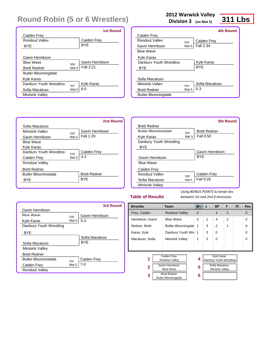|                         |                  | <b>1st Round</b>  |
|-------------------------|------------------|-------------------|
| Caiden Frey             |                  |                   |
| Rondout Valley          |                  | Caiden Frey       |
| BYE                     |                  | <b>BYE</b>        |
|                         |                  |                   |
| Gavin Henrikson         |                  |                   |
| <b>Blue Wave</b>        | 506              | Gavin Henrikson   |
| <b>Brett Redner</b>     | Mat 5            | Fall 2:21         |
| Butler-Bloomingdale     |                  |                   |
| Kyle Karas              |                  |                   |
| Danbury Youth Wrestling | 507              | <b>Kyle Karas</b> |
| Sofia Macaluso          | Mat <sub>5</sub> | $6 - 0$           |
| <b>Minisink Valley</b>  |                  |                   |

#### **2012 Warwick Valley**

**Division 3 (on Mat 5)**

## **311 Lbs**

|                         |       | 4th Round      |
|-------------------------|-------|----------------|
| Caiden Frey             |       |                |
| Rondout Valley          | 542   | Caiden Frey    |
| Gavin Henrikson         | Mat 5 | Fall 2:34      |
| <b>Blue Wave</b>        |       |                |
| Kyle Karas              |       |                |
| Danbury Youth Wrestling |       | Kyle Karas     |
| BYE                     |       | <b>BYF</b>     |
|                         |       |                |
| Sofia Macaluso          |       |                |
| Minisink Vallev         | 543   | Sofia Macaluso |
| <b>Brett Redner</b>     | Mat 5 | $5-3$          |
| Butler-Bloomingdale     |       |                |
|                         |       |                |

|                            |       | 2nd Round           |
|----------------------------|-------|---------------------|
| Sofia Macaluso             |       |                     |
| Minisink Valley            | 518   | Gavin Henrikson     |
| Gavin Henrikson            | Mat 5 | Fall 1:20           |
| <b>Blue Wave</b>           |       |                     |
| Kyle Karas                 |       |                     |
| Danbury Youth Wrestling    | 519   | Caiden Frey         |
| Caiden Frey                | Mat 5 | $4 - 3$             |
| <b>Rondout Valley</b>      |       |                     |
| <b>Brett Redner</b>        |       |                     |
| <b>Butler-Bloomingdale</b> |       | <b>Brett Redner</b> |
| <b>BYF</b>                 |       | <b>BYF</b>          |
|                            |       |                     |

|                         |       | 5th Round           |
|-------------------------|-------|---------------------|
| <b>Brett Redner</b>     |       |                     |
| Butler-Bloomingdale     | 554   | <b>Brett Redner</b> |
| Kyle Karas              | Mat 5 | Fall 0:50           |
| Danbury Youth Wrestling |       |                     |
| <b>BYE</b>              |       |                     |
|                         |       | Gavin Henrikson     |
| Gavin Henrikson         |       | <b>BYF</b>          |
| <b>Blue Wave</b>        |       |                     |
| Caiden Frey             |       |                     |
| Rondout Valley          | 555   | Caiden Frey         |
| Sofia Macaluso          | Mat 5 | Fall 0:26           |
| <b>Minisink Valley</b>  |       |                     |

#### **Table of Results**

|                         |         | 3rd Round       |
|-------------------------|---------|-----------------|
| Gavin Henrikson         |         |                 |
| <b>Blue Wave</b>        | 530     | Gavin Henrikson |
| Kyle Karas              | Mat $5$ | $5-3$           |
| Danbury Youth Wrestling |         |                 |
| <b>BYE</b>              |         |                 |
|                         |         | Sofia Macaluso  |
| Sofia Macaluso          |         | <b>BYF</b>      |
| <b>Minisink Valley</b>  |         |                 |
| <b>Brett Redner</b>     |         |                 |
| Butler-Bloomingdale     | 531     | Caiden Frey     |
| Caiden Frey             | Mat 5   | 7-0             |
| Rondout Valley          |         |                 |

| Wrestler                                                                                  | <b>Team</b>                                | <b>W</b>       | L | <b>BP</b>                                                                  | F              | TF | Pen      |
|-------------------------------------------------------------------------------------------|--------------------------------------------|----------------|---|----------------------------------------------------------------------------|----------------|----|----------|
| Frey, Caiden                                                                              | <b>Rondout Valley</b>                      | $\overline{4}$ |   | $\overline{4}$                                                             | $\mathfrak{p}$ |    | $\Omega$ |
| Henrikson, Gavin                                                                          | <b>Blue Wave</b>                           |                | 1 | 4                                                                          | $\overline{2}$ |    | $\Omega$ |
| Redner, Brett                                                                             | Butler-Bloomingdal                         | 1              | 3 | 2                                                                          | 1              |    | $\Omega$ |
| Karas, Kyle                                                                               | Danbury Youth Wre                          | 1              | 3 | $\Omega$                                                                   |                |    | $\Omega$ |
| Macaluso, Sofia                                                                           | Minisink Valley                            | 1              | 3 | $\Omega$                                                                   |                |    | $\Omega$ |
|                                                                                           |                                            |                |   |                                                                            |                |    |          |
| Caiden Frey<br>1<br>Rondout Valley<br>Gavin Henrikson<br>$\mathbf{2}$<br><b>Blue Wave</b> |                                            | 4<br>5         |   | Kyle Karas<br>Danbury Youth Wrestling<br>Sofia Macaluso<br>Minisink Valley |                |    |          |
| 3                                                                                         | <b>Brett Redner</b><br>Butler-Bloomingdale | 6              |   |                                                                            |                |    |          |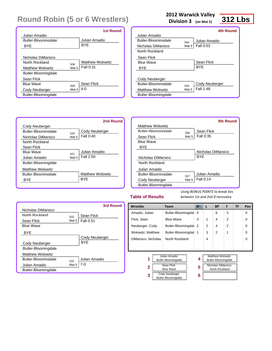|                         |       | <b>1st Round</b> |
|-------------------------|-------|------------------|
| Julian Amadio           |       |                  |
| Butler-Bloominadale     |       | Julian Amadio    |
| BYE                     |       | <b>BYF</b>       |
|                         |       |                  |
| Nicholas DiMarsico      |       |                  |
| North Rockland          | 508   | Matthew Wolowitz |
| <b>Matthew Wolowitz</b> | Mat 5 | Fall 0:31        |
| Butler-Bloomingdale     |       |                  |
| Sean Flick              |       |                  |
| <b>Blue Wave</b>        | 509   | Sean Flick       |
| Cody Neuberger          | Mat 5 | $4 - 0$          |
| Butler-Bloomingdale     |       |                  |

#### **2012 Warwick Valley**

**Division 3 (on Mat 5)**

### **312 Lbs**

|                            |       | 4th Round        |
|----------------------------|-------|------------------|
| Julian Amadio              |       |                  |
| <b>Butler-Bloomingdale</b> | 544   | Julian Amadio    |
| Nicholas DiMarsico         | Mat 5 | <b>Fall 0:53</b> |
| North Rockland             |       |                  |
| Sean Flick                 |       |                  |
| Rlue Waye                  |       | Sean Flick       |
| BYE                        |       | <b>BYF</b>       |
|                            |       |                  |
| Cody Neuberger             |       |                  |
| <b>Butler-Bloomingdale</b> | 545   | Cody Neuberger   |
| <b>Matthew Wolowitz</b>    | Mat 5 | Fall 1:48        |
| Butler-Bloomingdale        |       |                  |

|                            |         | 2nd Round        |
|----------------------------|---------|------------------|
| Cody Neuberger             |         |                  |
| Butler-Bloominadale        | 520     | Cody Neuberger   |
| Nicholas DiMarsico         | Mat $5$ | Fall 0:40        |
| North Rockland             |         |                  |
| Sean Flick                 |         |                  |
| <b>Blue Wave</b>           | 521     | Julian Amadio    |
| Julian Amadio              | Mat $5$ | Fall 2:50        |
| Butler-Bloomingdale        |         |                  |
| <b>Matthew Wolowitz</b>    |         |                  |
| <b>Butler-Bloomingdale</b> |         | Matthew Wolowitz |
| BYF                        |         | BYF              |
|                            |         |                  |

|                            |       | 5th Round          |
|----------------------------|-------|--------------------|
| Matthew Wolowitz           |       |                    |
| <b>Butler-Bloomingdale</b> | 556   | Sean Flick         |
| Sean Flick                 | Mat 5 | Fall 0:35          |
| <b>Blue Wave</b>           |       |                    |
| BYE                        |       |                    |
|                            |       | Nicholas DiMarsico |
| Nicholas DiMarsico         |       | <b>BYF</b>         |
| North Rockland             |       |                    |
| Julian Amadio              |       |                    |
| <b>Butler-Bloomingdale</b> | 557   | Julian Amadio      |
| Cody Neuberger             | Mat 5 | Fall 0:14          |
| Butler-Bloomingdale        |       |                    |
|                            |       |                    |

#### **Table of Results**

|                            |       | 3rd Round        |
|----------------------------|-------|------------------|
| Nicholas DiMarsico         |       |                  |
| North Rockland             | 532   | Sean Flick       |
| Sean Flick                 | Mat 5 | <b>Fall 0:51</b> |
| <b>Blue Wave</b>           |       |                  |
| <b>BYF</b>                 |       |                  |
|                            |       | Cody Neuberger   |
| Cody Neuberger             |       | <b>BYF</b>       |
| Butler-Bloomingdale        |       |                  |
| <b>Matthew Wolowitz</b>    |       |                  |
| <b>Butler-Bloomingdale</b> | 533   | Julian Amadio    |
| Julian Amadio              | Mat 5 | 7-0              |
| Butler-Bloomingdale        |       |                  |

| Wrestler                 |  | Team                  |  | W.                 |                | <b>BP</b>               | F              | TF | Pen      |
|--------------------------|--|-----------------------|--|--------------------|----------------|-------------------------|----------------|----|----------|
| Amadio, Julian           |  | Butler-Bloomingdal    |  | 4                  |                | 6                       | 3              |    | $\Omega$ |
| Flick, Sean              |  | <b>Blue Wave</b>      |  | 3                  | 1              | 4                       | $\overline{2}$ |    | $\Omega$ |
| Neuberger, Cody          |  | Butler-Bloomingdal    |  | 2                  | $\overline{2}$ | 4                       | $\overline{2}$ |    | $\Omega$ |
| <b>Wolowitz, Matthew</b> |  | Butler-Bloomingdal    |  | 1                  | 3              | $\mathcal{P}$           | 1              |    | $\Omega$ |
| DiMarsico, Nicholas      |  | North Rockland        |  |                    | 4              |                         |                |    | $\Omega$ |
|                          |  |                       |  |                    |                |                         |                |    |          |
|                          |  |                       |  |                    |                |                         |                |    |          |
|                          |  | Julian Amadio         |  |                    |                | <b>Matthew Wolowitz</b> |                |    |          |
| 1                        |  | Butler-Bloomingdale   |  | 4                  |                | Butler-Bloomingdale     |                |    |          |
| Sean Flick<br>2          |  | 5                     |  | Nicholas DiMarsico |                |                         |                |    |          |
|                          |  | <b>Blue Wave</b>      |  |                    |                | North Rockland          |                |    |          |
| 3                        |  | <b>Cody Neuberger</b> |  | 6                  |                |                         |                |    |          |
|                          |  | Butler-Bloomingdale   |  |                    |                |                         |                |    |          |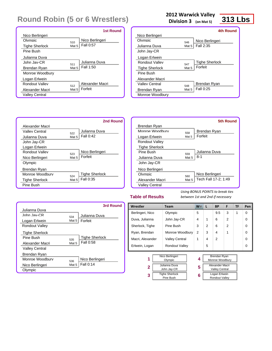|                       | <b>1st Round</b>       |
|-----------------------|------------------------|
| Nico Berlingeri       |                        |
| Olymnic               | Nico Berlingeri<br>510 |
| <b>Tighe Sherlock</b> | Fall 0:57<br>Mat 5     |
| Pine Bush             |                        |
| Julianna Duva         |                        |
| John Jav-CR           | Julianna Duva<br>511   |
| Brendan Ryan          | Fall 1:50<br>Mat 5     |
| Monroe Woodbury       |                        |
| Logan Erlwein         |                        |
| Rondout Valley        | Alexander Macri<br>512 |
| Alexander Macri       | Forfeit<br>Mat 5       |
| Valley Central        |                        |

#### **2012 Warwick Valley**

**Division 3 (on Mat 5)**

### **313 Lbs**

|                       |       | 4th Round             |
|-----------------------|-------|-----------------------|
| Nico Berlingeri       |       |                       |
| Olymnic               | 546   | Nico Berlingeri       |
| Julianna Duva         | Mat 5 | Fall 2:35             |
| John Jay-CR           |       |                       |
| Logan Erlwein         |       |                       |
| Rondout Valley        | 547   | <b>Tighe Sherlock</b> |
| <b>Tighe Sherlock</b> | Mat 5 | Forfeit               |
| Pine Bush             |       |                       |
| Alexander Macri       |       |                       |
| Valley Central        | 548   | Brendan Ryan          |
| Brendan Ryan          | Mat 5 | Fall 0:25             |
| Monroe Woodbury       |       |                       |
|                       |       |                       |



|                       |       | <b>5th Round</b>     |
|-----------------------|-------|----------------------|
| Brendan Ryan          |       |                      |
| Monroe Woodbury       | 558   | Brendan Ryan         |
| Logan Erlwein         | Mat 5 | Forfeit              |
| <b>Rondout Valley</b> |       |                      |
| <b>Tighe Sherlock</b> |       |                      |
| Pine Rush             | 559   | Julianna Duva        |
| Julianna Duva         | Mat 5 | 8-1                  |
| John Jay-CR           |       |                      |
| Nico Berlingeri       |       |                      |
| Olympic               | 560   | Nico Berlingeri      |
| Alexander Macri       | Mat 5 | Tech Fall 17-2; 1:49 |
| Valley Central        |       |                      |
|                       |       |                      |

#### **Table of Results**

*Using BONUS POINTS to break ties between 1st and 2nd if necessary*

Rondout Valley

|                       |       | 3rd Round             |
|-----------------------|-------|-----------------------|
| Julianna Duva         |       |                       |
| $.$ Iohn $.$ Iav-CR   | 534   | Julianna Duva         |
| Logan Erlwein         | Mat 5 | Forfeit               |
| <b>Rondout Valley</b> |       |                       |
| <b>Tighe Sherlock</b> |       |                       |
| Pine Rush             | 535   | <b>Tighe Sherlock</b> |
| Alexander Macri       | Mat 5 | Fall 0:58             |
| <b>Valley Central</b> |       |                       |
| Brendan Ryan          |       |                       |
| Monroe Woodbury       | 536   | Nico Berlingeri       |
| Nico Berlingeri       | Mat 5 | Fall 0:14             |
| Olympic               |       |                       |

| Wrestler<br><b>Team</b>                                            |                | $W^-$ | L | <b>BP</b>                                       | F              | TF | Pen |
|--------------------------------------------------------------------|----------------|-------|---|-------------------------------------------------|----------------|----|-----|
| Berlingeri, Nico                                                   | Olympic        | 5     |   | 9.5                                             | 3              | 1  | 0   |
| Duva, Julianna                                                     | John Jay-CR    | 4     | 1 | 6                                               | $\overline{2}$ |    | 0   |
| Sherlock, Tighe                                                    | Pine Bush      | 3     | 2 | 6                                               | $\mathfrak{p}$ |    | 0   |
| Ryan, Brendan<br>Monroe Woodbury                                   |                | 2     | 3 | 4                                               | 1              |    | 0   |
| Macri, Alexander<br><b>Valley Central</b>                          |                | 1     | 4 | $\overline{2}$                                  |                |    | 0   |
| Erlwein, Logan                                                     | Rondout Valley |       | 5 |                                                 |                |    | 0   |
| Nico Berlingeri<br>1<br>Olympic                                    |                | 4     |   | <b>Brendan Ryan</b><br>Monroe Woodbury          |                |    |     |
| Julianna Duva<br>2<br>John Jay-CR                                  |                | 5     |   | <b>Alexander Macri</b><br><b>Valley Central</b> |                |    |     |
| <b>Tighe Sherlock</b><br>3<br>$\mathbb{R}^n$ . $\mathbb{R}^n$ . If |                | 6     |   | Logan Erlwein                                   |                |    |     |

Pine Bush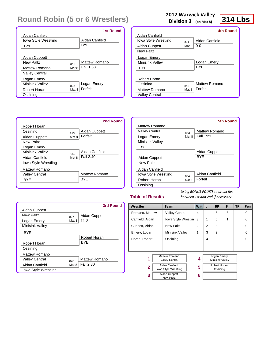|                       |       | <b>1st Round</b> |
|-----------------------|-------|------------------|
| Aidan Canfield        |       |                  |
| Iowa Style Wrestling  |       | Aidan Canfield   |
| <b>BYE</b>            |       | <b>BYE</b>       |
|                       |       |                  |
| Aidan Cuppett         |       |                  |
| New Paltz             | 801   | Mattew Romano    |
| Mattew Romano         | Mat 8 | Fall 1:38        |
| <b>Valley Central</b> |       |                  |
| Logan Emery           |       |                  |
| Minisink Valley       | 802   | Logan Emery      |
| Robert Horan          | Mat 8 | Forfeit          |
| Ossining              |       |                  |

#### **2012 Warwick Valley**

**Division 3 (on Mat 8)**

### **314 Lbs**

|                       |       | 4th Round      |
|-----------------------|-------|----------------|
| Aidan Canfield        |       |                |
| Iowa Style Wrestling  | 841   | Aidan Canfield |
| Aidan Cuppett         | Mat 8 | $9-0$          |
| New Paltz             |       |                |
| Logan Emery           |       |                |
| Minisink Valley       |       | Logan Emery    |
| <b>BYE</b>            |       | <b>BYE</b>     |
|                       |       |                |
| Robert Horan          |       |                |
| Ossining              | 842   | Mattew Romano  |
| <b>Mattew Romano</b>  | Mat 8 | Forfeit        |
| <b>Valley Central</b> |       |                |



|                        |       | <b>5th Round</b> |
|------------------------|-------|------------------|
| Mattew Romano          |       |                  |
| Valley Central         | 853   | Mattew Romano    |
| Logan Emery            | Mat 8 | Fall $1:23$      |
| <b>Minisink Valley</b> |       |                  |
| <b>BYE</b>             |       |                  |
|                        |       | Aidan Cuppett    |
| Aidan Cuppett          |       | <b>BYF</b>       |
| New Paltz              |       |                  |
| Aidan Canfield         |       |                  |
| Jowa Style Wrestling   | 854   | Aidan Canfield   |
| Robert Horan           | Mat 8 | Forfeit          |
| Ossining               |       |                  |

#### **Table of Results**

|                        |       | 3rd Round            |
|------------------------|-------|----------------------|
| Aidan Cuppett          |       |                      |
| New Paltz              | 827   | Aidan Cuppett        |
| Logan Emery            | Mat 8 | $11 - 2$             |
| <b>Minisink Valley</b> |       |                      |
| <b>BYE</b>             |       |                      |
|                        |       | Robert Horan         |
| Robert Horan           |       | <b>BYF</b>           |
| Ossining               |       |                      |
| Mattew Romano          |       |                      |
| <b>Valley Central</b>  | 828   | <b>Mattew Romano</b> |
| Aidan Canfield         | Mat 8 | Fall 2:30            |
| Iowa Style Wrestling   |       |                      |

| Wrestler                                           | <b>Team</b>                              | $W^-$          | L              | <b>BP</b>                      | F | <b>TF</b> | Pen      |
|----------------------------------------------------|------------------------------------------|----------------|----------------|--------------------------------|---|-----------|----------|
| Romano, Mattew                                     | <b>Valley Central</b>                    | 4              |                | 8                              | 3 |           | 0        |
| Canfield, Aidan                                    | lowa Style Wrestlin                      | 3              | $\mathbf{1}$   | 5                              | 1 |           | 0        |
| Cuppett, Aidan                                     | <b>New Paltz</b>                         | $\mathfrak{p}$ | $\mathfrak{p}$ | 3                              |   |           | $\Omega$ |
| Emery, Logan                                       | <b>Minisink Valley</b>                   | 1              | 3              | $\mathfrak{p}$                 |   |           | $\Omega$ |
| Horan, Robert                                      | Ossining                                 |                | 4              |                                |   |           | $\Omega$ |
|                                                    |                                          |                |                |                                |   |           |          |
|                                                    |                                          |                |                |                                |   |           |          |
| <b>Mattew Romano</b><br>1<br><b>Valley Central</b> |                                          | 4              |                | Logan Emery<br>Minisink Valley |   |           |          |
| $\mathbf{2}$                                       | Aidan Canfield<br>Iowa Style Wrestling   | 5              |                | Robert Horan<br>Ossining       |   |           |          |
| 3                                                  | <b>Aidan Cuppett</b><br><b>New Paltz</b> | 6              |                |                                |   |           |          |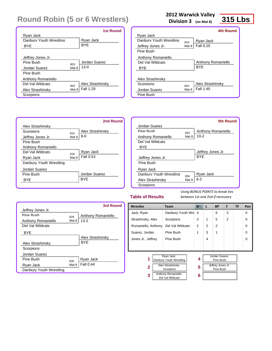|                         |       | <b>1st Round</b> |
|-------------------------|-------|------------------|
| Ryan Jack               |       |                  |
| Danhury Youth Wrestling |       | Ryan Jack        |
| <b>BYE</b>              |       | <b>BYE</b>       |
|                         |       |                  |
| Jeffrey Jones Jr.       |       |                  |
| Pine Rush               | 803   | Jordan Suarez    |
| Jordan Suarez           | Mat 8 | $13 - 0$         |
| Pine Bush               |       |                  |
| Anthony Romaniello      |       |                  |
| Del Val Wildcats        | 804   | Alex Strashinsky |
| Alex Strashinsky        | Mat 8 | Fall 1:29        |
| Scorpions               |       |                  |

#### **2012 Warwick Valley**

**Division 3 (on Mat 8)**

### **315 Lbs**

|                         |       | 4th Round          |
|-------------------------|-------|--------------------|
| Ryan Jack               |       |                    |
| Danhury Youth Wrestling | 843   | Ryan Jack          |
| Jeffrey Jones Jr.       | Mat 8 | <b>Fall 0:25</b>   |
| Pine Bush               |       |                    |
| Anthony Romaniello      |       |                    |
| Del Val Wildcats        |       | Anthony Romaniello |
| <b>BYF</b>              |       | <b>BYF</b>         |
|                         |       |                    |
| Alex Strashinsky        |       |                    |
| Scornions               | 844   | Alex Strashinsky   |
| Jordan Suarez           | Mat 8 | Fall 1:45          |
| Pine Bush               |       |                    |



|                         |       | 5th Round          |
|-------------------------|-------|--------------------|
| Jordan Suarez           |       |                    |
| Pine Rush               | 855   | Anthony Romaniello |
| Anthony Romaniello      | Mat 8 | $10 - 2$           |
| Del Val Wildcats        |       |                    |
| <b>BYF</b>              |       |                    |
|                         |       | Jeffrey Jones Jr.  |
| Jeffrey Jones Jr.       |       | <b>BYF</b>         |
| Pine Bush               |       |                    |
| Ryan Jack               |       |                    |
| Danbury Youth Wrestling | 856   | Ryan Jack          |
| Alex Strashinsky        | Mat 8 | $6 - 2$            |
| Scorpions               |       |                    |

#### **Table of Results**

|                         |       | 3rd Round          |
|-------------------------|-------|--------------------|
| Jeffrey Jones Jr.       |       |                    |
| Pine Rush               | 829   | Anthony Romaniello |
| Anthony Romaniello      | Mat 8 | $13 - 2$           |
| Del Val Wildcats        |       |                    |
| <b>BYE</b>              |       |                    |
|                         |       | Alex Strashinsky   |
| Alex Strashinsky        |       | <b>BYF</b>         |
| Scorpions               |       |                    |
| Jordan Suarez           |       |                    |
| Pine Rush               | 830   | Ryan Jack          |
| Ryan Jack               | Mat 8 | Fall 0:44          |
| Danbury Youth Wrestling |       |                    |

| Wrestler                                           | <b>Team</b>         | $W^-$ | L | <b>BP</b>                      | F              | TF | Pen      |
|----------------------------------------------------|---------------------|-------|---|--------------------------------|----------------|----|----------|
| Jack, Ryan                                         | Danbury Youth Wre 4 |       |   | 6                              | 3              |    | $\Omega$ |
| Strashinsky, Alex                                  | Scorpions           | 3     | 1 | 5                              | $\overline{2}$ |    | 0        |
| Romaniello, Anthony                                | Del Val Wildcats    | 2     | 2 | $\mathfrak{p}$                 |                |    | 0        |
| Suarez, Jordan                                     | Pine Bush           | 1     | 3 | 1                              |                |    | 0        |
| Jones Jr., Jeffrey                                 | Pine Bush           |       | 4 |                                |                |    | 0        |
|                                                    |                     |       |   |                                |                |    |          |
| Ryan Jack<br>1<br>Danbury Youth Wrestling          |                     | 4     |   | Jordan Suarez<br>Pine Bush     |                |    |          |
| <b>Alex Strashinsky</b><br>2<br>Scorpions          |                     | 5     |   | Jeffrey Jones Jr.<br>Pine Bush |                |    |          |
| <b>Anthony Romaniello</b><br>3<br>Del Val Wildcats |                     | 6     |   |                                |                |    |          |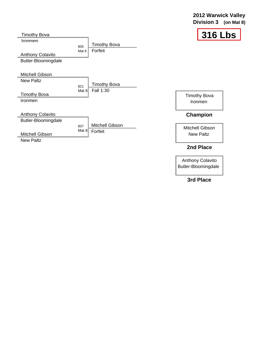| 2012 Warwick Valley   |  |
|-----------------------|--|
| Division 3 (on Mat 8) |  |



| <b>Timothy Bova</b>                                              |                |                                  | 316                 |
|------------------------------------------------------------------|----------------|----------------------------------|---------------------|
| <b>Ironmen</b><br><b>Anthony Colavito</b><br>Butler-Bloomingdale | 805<br>Mat 8   | Timothy Bova<br>Forfeit          |                     |
| Mitchell Gibson<br><b>New Paltz</b>                              |                |                                  |                     |
|                                                                  | 821<br>Mat $8$ | <b>Timothy Bova</b><br>Fall 1:30 |                     |
| Timothy Bova                                                     |                |                                  | <b>Timothy Bova</b> |
| Ironmen                                                          |                |                                  | Ironmen             |
| <b>Anthony Colavito</b>                                          |                |                                  | <b>Champion</b>     |
| Butler-Bloomingdale                                              |                |                                  |                     |
|                                                                  | 837            | Mitchell Gibson                  | Mitchell Gibson     |
| Mitchell Gibson                                                  | Mat $8$        | Forfeit                          | <b>New Paltz</b>    |
| <b>New Paltz</b>                                                 |                |                                  |                     |
|                                                                  |                |                                  | 2nd Place           |

Anthony Colavito Butler-Bloomingdale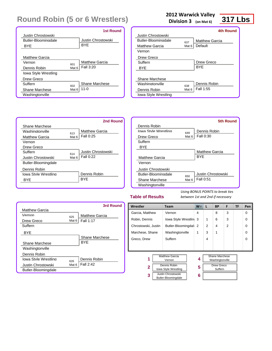|                             | <b>1st Round</b>             |
|-----------------------------|------------------------------|
| Justin Chrostowski          |                              |
| Butler-Bloominadale         | Justin Chrostowski           |
| <b>BYF</b>                  | <b>BYF</b>                   |
|                             |                              |
| <b>Matthew Garcia</b>       |                              |
| Vernon<br>601               | <b>Matthew Garcia</b>        |
| Dennis Robin                | Fall 3:20<br>Mat 6           |
| <b>Iowa Style Wrestling</b> |                              |
| Drew Greco                  |                              |
| Suffern<br>602              | Shane Marchese               |
| Shane Marchese              | $11 - 0$<br>Mat <sub>6</sub> |
| Washingtonville             |                              |

#### **2012 Warwick Valley**

**Division 3 (on Mat 6)**

### **317 Lbs**

|                            |                  | 4th Round             |
|----------------------------|------------------|-----------------------|
| Justin Chrostowski         |                  |                       |
| <b>Butler-Bloomingdale</b> | 637              | <b>Matthew Garcia</b> |
| <b>Matthew Garcia</b>      | Mat 6            | Default               |
| Vernon                     |                  |                       |
| Drew Greco                 |                  |                       |
| Suffern                    |                  | Drew Greco            |
| <b>BYF</b>                 |                  | <b>BYF</b>            |
|                            |                  |                       |
| Shane Marchese             |                  |                       |
| Washingtonville            | 638              | Dennis Robin          |
| Dennis Robin               | Mat <sub>6</sub> | Fall 1:55             |
| Iowa Style Wrestling       |                  |                       |



|                            |       | <b>5th Round</b>      |
|----------------------------|-------|-----------------------|
| Dennis Robin               |       |                       |
| Iowa Style Wrestling       | 649   | Dennis Robin          |
| Drew Greco                 | Mat 6 | Fall 0:30             |
| Suffern                    |       |                       |
| BYE                        |       |                       |
|                            |       | <b>Matthew Garcia</b> |
| Matthew Garcia             |       | <b>BYF</b>            |
| Vernon                     |       |                       |
| <b>Justin Chrostowski</b>  |       |                       |
| <b>Butler-Bloomingdale</b> | 650   | Justin Chrostowski    |
| Shane Marchese             | Mat 6 | Fall 0:51             |
| Washingtonville            |       |                       |

#### **Table of Results**

|                       |       | 3rd Round             |
|-----------------------|-------|-----------------------|
| <b>Matthew Garcia</b> |       |                       |
| Vernon                | 625   | <b>Matthew Garcia</b> |
| Drew Greco            | Mat 6 | <b>Fall 1:17</b>      |
| Suffern               |       |                       |
| BYE                   |       |                       |
|                       |       | Shane Marchese        |
| Shane Marchese        |       | <b>BYF</b>            |
| Washingtonville       |       |                       |
| Dennis Robin          |       |                       |
| Iowa Style Wrestling  | 626   | Dennis Robin          |
| Justin Chrostowski    | Mat 6 | Fall 2:42             |
| Butler-Bloomingdale   |       |                       |

| Wrestler                                             | <b>Team</b>                               | $W^-$ | L | <b>BP</b>                         | F              | TF | Pen      |
|------------------------------------------------------|-------------------------------------------|-------|---|-----------------------------------|----------------|----|----------|
| Garcia, Matthew                                      | Vernon                                    | 4     |   | 8                                 | 3              |    | 0        |
| Robin, Dennis                                        | lowa Style Wrestlin                       | 3     | 1 | 6                                 | 3              |    | 0        |
| Chrostowski, Justin                                  | Butler-Bloomingdal                        | 2     | 2 | 4                                 | $\mathfrak{p}$ |    | 0        |
| Marchese, Shane                                      | Washingtonville                           | 1     | 3 | 1                                 |                |    | 0        |
| Greco, Drew                                          | Suffern                                   |       | 4 |                                   |                |    | $\Omega$ |
|                                                      |                                           |       |   |                                   |                |    |          |
|                                                      |                                           |       |   |                                   |                |    |          |
| 1                                                    | <b>Matthew Garcia</b><br>Vernon           | 4     |   | Shane Marchese<br>Washingtonville |                |    |          |
| Dennis Robin<br>$\mathbf{2}$<br>Iowa Style Wrestling |                                           | 5     |   | <b>Drew Greco</b><br>Suffern      |                |    |          |
| 3                                                    | Justin Chrostowski<br>Butler-Bloomingdale | 6     |   |                                   |                |    |          |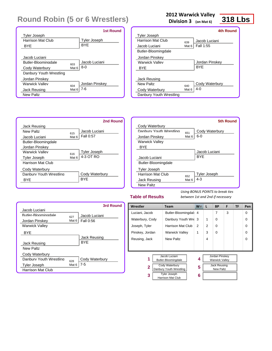|                         |                  | <b>1st Round</b> |
|-------------------------|------------------|------------------|
| <b>Tyler Joseph</b>     |                  |                  |
| Harrison Mat Club       |                  | Tyler Joseph     |
| BYF                     |                  | <b>BYF</b>       |
|                         |                  |                  |
| Jacob Luciani           |                  |                  |
| Butler-Bloominadale     | 603              | Jacob Luciani    |
| Cody Waterbury          | Mat <sub>6</sub> | $8-0$            |
| Danbury Youth Wrestling |                  |                  |
| Jordan Pinskey          |                  |                  |
| <b>Warwick Valley</b>   | 604              | Jordan Pinskey   |
| Jack Reusing            | Mat 6            | 7-6              |
| <b>New Paltz</b>        |                  |                  |

#### **2012 Warwick Valley**

**Division 3 (on Mat 6)**

## **318 Lbs**

|                         |       | <b>4th Round</b> |
|-------------------------|-------|------------------|
| <b>Tyler Joseph</b>     |       |                  |
| Harrison Mat Club       | 639   | Jacob Luciani    |
| Jacob Luciani           | Mat 6 | Fall 1:55        |
| Butler-Bloomingdale     |       |                  |
| Jordan Pinskey          |       |                  |
| Warwick Vallev          |       | Jordan Pinskey   |
| <b>BYF</b>              |       | <b>BYF</b>       |
|                         |       |                  |
| Jack Reusing            |       |                  |
| New Paltz               | 640   | Cody Waterbury   |
| Cody Waterbury          | Mat 6 | $4 - 0$          |
| Danbury Youth Wrestling |       |                  |
|                         |       |                  |

|                         |       | 2nd Round      |
|-------------------------|-------|----------------|
| Jack Reusing            |       |                |
| New Paltz               | 615   | Jacob Luciani  |
| Jacob Luciani           | Mat 6 | Fall 0:57      |
| Butler-Bloomingdale     |       |                |
| Jordan Pinskey          |       |                |
| <b>Warwick Valley</b>   | 616   | Tyler Joseph   |
| <b>Tyler Joseph</b>     | Mat 6 | 4-3 OT RO      |
| Harrison Mat Club       |       |                |
| Cody Waterbury          |       |                |
| Danbury Youth Wrestling |       | Cody Waterbury |
| <b>BYF</b>              |       | BYF            |
|                         |       |                |

|                         |       | <b>5th Round</b>    |
|-------------------------|-------|---------------------|
| Cody Waterbury          |       |                     |
| Danbury Youth Wrestling | 651   | Cody Waterbury      |
| Jordan Pinskey          | Mat 6 | $6 - 0$             |
| <b>Warwick Valley</b>   |       |                     |
| <b>BYF</b>              |       |                     |
|                         |       | Jacob Luciani       |
| Jacob Luciani           |       | <b>BYF</b>          |
| Butler-Bloomingdale     |       |                     |
| <b>Tyler Joseph</b>     |       |                     |
| Harrison Mat Club       | 652   | <b>Tyler Joseph</b> |
| Jack Reusing            | Mat 6 | $4 - 3$             |
| <b>New Paltz</b>        |       |                     |

#### **Table of Results**

|                          |       | 3rd Round        |
|--------------------------|-------|------------------|
| Jacob Luciani            |       |                  |
| Butler-Bloomingdale      | 627   | Jacob Luciani    |
| Jordan Pinskey           | Mat 6 | <b>Fall 0:56</b> |
| <b>Warwick Valley</b>    |       |                  |
| <b>BYF</b>               |       |                  |
|                          |       | Jack Reusing     |
| Jack Reusing             |       | <b>BYF</b>       |
| <b>New Paltz</b>         |       |                  |
| Cody Waterbury           |       |                  |
| Danbury Youth Wrestling  | 628   | Cody Waterbury   |
| <b>Tyler Joseph</b>      | Mat 6 | 7-5              |
| <b>Harrison Mat Club</b> |       |                  |

| Wrestler        | Team                                             | $W^-$ | L              | <b>BP</b>                               | F | <b>TF</b> | Pen |
|-----------------|--------------------------------------------------|-------|----------------|-----------------------------------------|---|-----------|-----|
| Luciani, Jacob  | Butler-Bloomingdal                               | 4     |                | 7                                       | 3 |           | 0   |
| Waterbury, Cody | Danbury Youth Wre 3                              |       | 1              | 0                                       |   |           | 0   |
| Joseph, Tyler   | Harrison Mat Club                                | 2     | $\overline{2}$ | $\Omega$                                |   |           | 0   |
| Pinskey, Jordan | <b>Warwick Valley</b>                            | 1     | 3              | $\Omega$                                |   |           | 0   |
| Reusing, Jack   | <b>New Paltz</b>                                 |       | 4              |                                         |   |           | ∩   |
|                 |                                                  |       |                |                                         |   |           |     |
|                 |                                                  |       |                |                                         |   |           |     |
| 1               | Jacob Luciani<br>Butler-Bloomingdale             | 4     |                | Jordan Pinskey<br><b>Warwick Valley</b> |   |           |     |
| $\mathbf{2}$    | <b>Cody Waterbury</b><br>Danbury Youth Wrestling | 5     |                | <b>Jack Reusing</b><br><b>New Paltz</b> |   |           |     |
| 3               | <b>Tyler Joseph</b><br><b>Harrison Mat Club</b>  | 6     |                |                                         |   |           |     |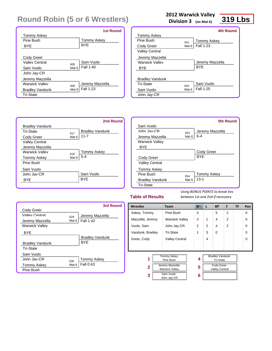|                        | <b>1st Round</b>              |
|------------------------|-------------------------------|
| <b>Tommy Askey</b>     |                               |
| Pine Rush              | <b>Tommy Askey</b>            |
| BYE                    | <b>BYE</b>                    |
|                        |                               |
| Cody Greer             |                               |
| Valley Central         | Sam Vuolo<br>605              |
| Sam Vuolo              | Fall 1:40<br>Mat 6            |
| John Jay-CR            |                               |
| Jeremy Mazzella        |                               |
| <b>Warwick Valley</b>  | Jeremy Mazzella<br>606        |
| <b>Bradley Vandunk</b> | Fall 1:23<br>Mat <sub>6</sub> |
| <b>Tri-State</b>       |                               |

#### **2012 Warwick Valley**

**Division 3 (on Mat 6)**

### **319 Lbs**

|                        |                  | 4th Round          |
|------------------------|------------------|--------------------|
| <b>Tommy Askey</b>     |                  |                    |
| Pine Rush              | 641              | <b>Tommy Askey</b> |
| Cody Greer             | Mat 6            | Fall 1:23          |
| <b>Valley Central</b>  |                  |                    |
| Jeremy Mazzella        |                  |                    |
| <b>Warwick Valley</b>  |                  | Jeremy Mazzella    |
| <b>BYE</b>             |                  | <b>BYF</b>         |
|                        |                  |                    |
| <b>Bradley Vandunk</b> |                  |                    |
| Tri-State              | 642              | Sam Vuolo          |
| Sam Vuolo              | Mat <sub>6</sub> | Fall 1:25          |
| John Jay-CR            |                  |                    |
|                        |                  |                    |



|                        |                  | <b>5th Round</b>   |
|------------------------|------------------|--------------------|
| Sam Vuolo              |                  |                    |
| John Jav-CR            | 653              | Jeremy Mazzella    |
| Jeremy Mazzella        | Mat 6            | $6 - 4$            |
| <b>Warwick Valley</b>  |                  |                    |
| <b>BYF</b>             |                  |                    |
|                        |                  | Cody Greer         |
| Cody Greer             |                  | <b>BYF</b>         |
| <b>Valley Central</b>  |                  |                    |
| <b>Tommy Askey</b>     |                  |                    |
| Pine Rush              | 654              | <b>Tommy Askey</b> |
| <b>Bradley Vandunk</b> | Mat <sub>6</sub> | $13 - 1$           |
| <b>Tri-State</b>       |                  |                    |

#### **Table of Results**

|                        |       | 3rd Round              |
|------------------------|-------|------------------------|
| Cody Greer             |       |                        |
| Valley Central         | 629   | Jeremy Mazzella        |
| Jeremy Mazzella        | Mat 6 | <b>Fall 1:42</b>       |
| <b>Warwick Valley</b>  |       |                        |
| <b>BYE</b>             |       |                        |
|                        |       | <b>Bradley Vandunk</b> |
| <b>Bradley Vandunk</b> |       | <b>BYF</b>             |
| <b>Tri-State</b>       |       |                        |
| Sam Vuolo              |       |                        |
| John Jav-CR            | 630   | <b>Tommy Askey</b>     |
| <b>Tommy Askey</b>     | Mat 6 | Fall 0:43              |
| Pine Bush              |       |                        |

| Wrestler         | <b>Team</b>                              | $W^-$          | L              | <b>BP</b>                                  | F              | TF | Pen      |
|------------------|------------------------------------------|----------------|----------------|--------------------------------------------|----------------|----|----------|
| Askey, Tommy     | Pine Bush                                | 4              |                | 5                                          | $\overline{2}$ |    | $\Omega$ |
| Mazzella, Jeremy | <b>Warwick Valley</b>                    | 3              | 1              | 4                                          | $\overline{2}$ |    | $\Omega$ |
| Vuolo, Sam       | John Jay-CR                              | $\overline{2}$ | $\mathfrak{p}$ | 4                                          | $\overline{2}$ |    | $\Omega$ |
| Vandunk, Bradley | <b>Tri-State</b>                         | 1              | 3              | $\Omega$                                   |                |    | $\Omega$ |
| Greer, Cody      | <b>Valley Central</b>                    |                | 4              |                                            |                |    | $\Omega$ |
|                  |                                          |                |                |                                            |                |    |          |
|                  |                                          |                |                |                                            |                |    |          |
| 1                | <b>Tommy Askey</b><br>Pine Bush          | 4              |                | <b>Bradley Vandunk</b><br>Tri-State        |                |    |          |
| $\mathbf{2}$     | Jeremy Mazzella<br><b>Warwick Valley</b> | 5              |                | <b>Cody Greer</b><br><b>Valley Central</b> |                |    |          |
| 3                | Sam Vuolo<br>John Jay-CR                 | 6              |                |                                            |                |    |          |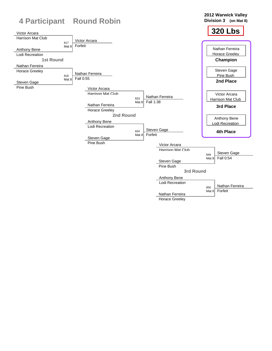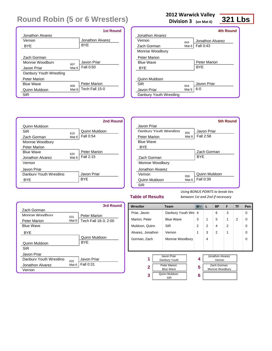|                         |       | <b>1st Round</b>    |
|-------------------------|-------|---------------------|
| Jonathon Alvarez        |       |                     |
| Vernon                  |       | Jonathon Alvarez    |
| <b>BYE</b>              |       | <b>BYF</b>          |
|                         |       |                     |
| Zach Gorman             |       |                     |
| Monroe Woodbury         | 607   | Javon Priar         |
| Javon Priar             | Mat 6 | Fall 0:50           |
| Danbury Youth Wrestling |       |                     |
| <b>Peter Marion</b>     |       |                     |
| <b>Rlue Wave</b>        | 608   | <b>Peter Marion</b> |
| Quinn Muldoon           | Mat 6 | Tech Fall 15-0      |
| SIR                     |       |                     |

#### **2012 Warwick Valley**

**Division 3 (on Mat 6)**

### **321 Lbs**

|                  | 4th Round        |
|------------------|------------------|
|                  |                  |
| 643              | Jonathon Alvarez |
| Mat $6$          | <b>Fall 0:43</b> |
|                  |                  |
|                  |                  |
|                  | Peter Marion     |
|                  | <b>BYF</b>       |
|                  |                  |
|                  |                  |
|                  | Javon Priar      |
| Mat <sub>6</sub> | $6-0$            |
|                  |                  |
|                  | 644              |

|                         |       | 2nd Round     |
|-------------------------|-------|---------------|
| Quinn Muldoon           |       |               |
| SIR                     | 619   | Quinn Muldoon |
| Zach Gorman             | Mat 6 | Fall 0:54     |
| Monroe Woodbury         |       |               |
| Peter Marion            |       |               |
| <b>Blue Wave</b>        | 620   | Peter Marion  |
| Jonathon Alvarez        | Mat 6 | Fall 2:15     |
| Vernon                  |       |               |
| Javon Priar             |       |               |
| Danbury Youth Wrestling |       | Javon Priar   |
| <b>BYE</b>              |       | <b>BYF</b>    |

|                         |       | 5th Round     |
|-------------------------|-------|---------------|
| Javon Priar             |       |               |
| Danbury Youth Wrestling | 655   | Javon Priar   |
| <b>Peter Marion</b>     | Mat 6 | Fall 2:58     |
| <b>Blue Wave</b>        |       |               |
| <b>BYE</b>              |       |               |
|                         |       | Zach Gorman   |
| Zach Gorman             |       | <b>BYF</b>    |
| Monroe Woodbury         |       |               |
| Jonathon Alvarez        |       |               |
| Vernon                  | 656   | Quinn Muldoon |
| Quinn Muldoon           | Mat 6 | Fall 0:39     |
| SIR                     |       |               |

#### **Table of Results**

|                         |       | 3rd Round            |
|-------------------------|-------|----------------------|
| Zach Gorman             |       |                      |
| Monroe Woodbury         | 631   | Peter Marion         |
| <b>Peter Marion</b>     | Mat 6 | Tech Fall 18-3; 2:00 |
| <b>Blue Wave</b>        |       |                      |
| <b>BYF</b>              |       |                      |
|                         |       | Quinn Muldoon        |
| Quinn Muldoon           |       | <b>BYF</b>           |
| <b>SIR</b>              |       |                      |
| Javon Priar             |       |                      |
| Danbury Youth Wrestling | 632   | Javon Priar          |
| Jonathon Alvarez        | Mat 6 | Fall 0:31            |
| Vernon                  |       |                      |

| Wrestler          | <b>Team</b>                             | $W^-$          | L              | <b>BP</b>                      | F              | <b>TF</b>     | Pen      |
|-------------------|-----------------------------------------|----------------|----------------|--------------------------------|----------------|---------------|----------|
| Priar, Javon      | Danbury Youth Wre                       | $\overline{4}$ |                | 6                              | 3              |               | $\Omega$ |
| Marion, Peter     | <b>Blue Wave</b>                        | 3              | 1              | 5                              | 1              | $\mathcal{P}$ | $\Omega$ |
| Muldoon, Quinn    | <b>SIR</b>                              | 2              | $\overline{2}$ | 4                              | $\overline{2}$ |               | 0        |
| Alvarez, Jonathon | Vernon                                  | 1              | 3              | 2                              | 1              |               | $\Omega$ |
| Gorman, Zach      | Monroe Woodbury                         |                | 4              |                                |                |               | $\Omega$ |
|                   |                                         |                |                |                                |                |               |          |
|                   |                                         |                |                |                                |                |               |          |
| 1                 | Javon Priar<br>Danbury Youth            | 4              |                | Jonathon Alvarez<br>Vernon     |                |               |          |
| 2                 | <b>Peter Marion</b><br><b>Blue Wave</b> | 5              |                | Zach Gorman<br>Monroe Woodbury |                |               |          |
| 3                 | Quinn Muldoon<br><b>SIR</b>             | 6              |                |                                |                |               |          |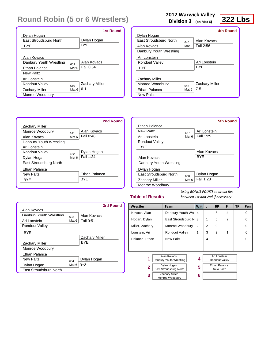|                               |       | <b>1st Round</b>      |
|-------------------------------|-------|-----------------------|
| Dylan Hogan                   |       |                       |
| <b>Fast Stroudsburg North</b> |       | Dylan Hogan           |
| BYE                           |       | <b>BYF</b>            |
|                               |       |                       |
| Alan Kovacs                   |       |                       |
| Danhury Youth Wrestling       | 609   | Alan Kovacs           |
| Ethan Palanca                 | Mat 6 | Fall 0:54             |
| New Paltz                     |       |                       |
| Ari Lonstein                  |       |                       |
| Rondout Valley                | 610   | <b>Zachary Miller</b> |
| <b>Zachary Miller</b>         | Mat 6 | $6 - 1$               |
| Monroe Woodbury               |       |                       |

#### **2012 Warwick Valley**

**Division 3 (on Mat 6)**



|                               |       | 4th Round             |
|-------------------------------|-------|-----------------------|
| Dylan Hogan                   |       |                       |
| <b>Fast Stroudsburg North</b> | 645   | Alan Kovacs           |
| Alan Kovacs                   | Mat 6 | Fall 2:56             |
| Danbury Youth Wrestling       |       |                       |
| Ari Lonstein                  |       |                       |
| Rondout Valley                |       | Ari Lonstein          |
| BYE                           |       | <b>BYF</b>            |
|                               |       |                       |
| Zachary Miller                |       |                       |
| Monroe Woodbury               | 646   | <b>Zachary Miller</b> |
| Ethan Palanca                 | Mat 6 | $7 - 5$               |
| New Paltz                     |       |                       |

|                         |       | 2nd Round            |
|-------------------------|-------|----------------------|
| Zachary Miller          |       |                      |
| Monroe Woodbury         | 621   | Alan Kovacs          |
| Alan Kovacs             | Mat 6 | Fall 0:48            |
| Danbury Youth Wrestling |       |                      |
| Ari I onstein           |       |                      |
| Rondout Valley          | 622   | Dylan Hogan          |
| Dylan Hogan             | Mat 6 | Fall 1:24            |
| East Stroudsburg North  |       |                      |
| Ethan Palanca           |       |                      |
| New Paltz               |       | <b>Ethan Palanca</b> |
| <b>BYF</b>              |       | <b>BYF</b>           |
|                         |       |                      |

|                               |       | 5th Round    |
|-------------------------------|-------|--------------|
| Ethan Palanca                 |       |              |
| New Paltz                     | 657   | Ari Lonstein |
| Ari Lonstein                  | Mat 6 | Fall 1:25    |
| <b>Rondout Valley</b>         |       |              |
| <b>BYF</b>                    |       |              |
|                               |       | Alan Kovacs  |
| Alan Kovacs                   |       | <b>BYF</b>   |
| Danbury Youth Wrestling       |       |              |
| Dylan Hogan                   |       |              |
| <b>Fast Stroudsburg North</b> | 658   | Dylan Hogan  |
| Zachary Miller                | Mat 6 | Fall 1:28    |
| Monroe Woodbury               |       |              |

#### **Table of Results**

|                         |         | 3rd Round             |
|-------------------------|---------|-----------------------|
| Alan Kovacs             |         |                       |
| Danbury Youth Wrestling | 633     | Alan Kovacs           |
| Ari Lonstein            | Mat $6$ | Fall 0:51             |
| <b>Rondout Valley</b>   |         |                       |
| BYE                     |         |                       |
|                         |         | <b>Zachary Miller</b> |
| <b>Zachary Miller</b>   |         | <b>BYF</b>            |
| Monroe Woodbury         |         |                       |
| Ethan Palanca           |         |                       |
| New Paltz               | 634     | Dylan Hogan           |
| Dylan Hogan             | Mat 6   | 9-0                   |
| East Stroudsburg North  |         |                       |

| Wrestler<br><b>Team</b>                               |                                        | $W^-$ | L              | <b>BP</b>                         | F              | TF | Pen |
|-------------------------------------------------------|----------------------------------------|-------|----------------|-----------------------------------|----------------|----|-----|
| Danbury Youth Wre 4<br>Kovacs, Alan                   |                                        |       |                | 8                                 | 4              |    | 0   |
| Hogan, Dylan                                          | East Stroudsburg N                     | 3     | 1              | 5                                 | $\overline{2}$ |    | 0   |
| Miller, Zachary                                       | Monroe Woodbury                        |       | $\overline{2}$ | 0                                 |                |    | 0   |
| Lonstein, Ari                                         | <b>Rondout Valley</b>                  |       | 3              | $\mathcal{P}$                     | 1              |    | 0   |
| Palanca, Ethan                                        | New Paltz                              |       | 4              |                                   |                |    | 0   |
|                                                       |                                        |       |                |                                   |                |    |     |
|                                                       |                                        |       |                |                                   |                |    |     |
| 1                                                     | Alan Kovacs<br>Danbury Youth Wrestling | 4     |                | Ari Lonstein<br>Rondout Valley    |                |    |     |
| Dylan Hogan<br>$\mathbf{2}$<br>East Stroudsburg North |                                        | 5     |                | Ethan Palanca<br><b>New Paltz</b> |                |    |     |
| <b>Zachary Miller</b><br>3<br>Monroe Woodbury         |                                        | 6     |                |                                   |                |    |     |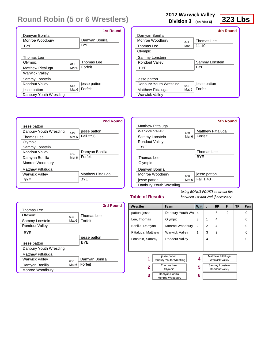|                          |                  | <b>1st Round</b> |
|--------------------------|------------------|------------------|
| Damyan Bonilla           |                  |                  |
| Monroe Woodbury          |                  | Damyan Bonilla   |
| BYE                      |                  | <b>BYF</b>       |
|                          |                  |                  |
| Thomas Lee               |                  |                  |
| Olymnic                  | 611              | Thomas Lee       |
| <b>Matthew Pittaluga</b> | Mat <sub>6</sub> | Forfeit          |
| <b>Warwick Valley</b>    |                  |                  |
| Sammy Lonstein           |                  |                  |
| Rondout Valley           | 612              | jesse patton     |
| jesse patton             | Mat <sub>6</sub> | Forfeit          |
| Danbury Youth Wrestling  |                  |                  |

#### **2012 Warwick Valley**

**Division 3 (on Mat 6)**

### **323 Lbs**

|                  | 4th Round      |
|------------------|----------------|
|                  |                |
| 647              | Thomas Lee     |
| Mat 6            | $11 - 10$      |
|                  |                |
|                  |                |
|                  | Sammy Lonstein |
|                  | <b>BYF</b>     |
|                  |                |
|                  |                |
| 648              | jesse patton   |
| Mat <sub>6</sub> | Forfeit        |
|                  |                |
|                  |                |



|                         |       | 5th Round                |
|-------------------------|-------|--------------------------|
| Matthew Pittaluga       |       |                          |
| <b>Warwick Valley</b>   | 659   | <b>Matthew Pittaluga</b> |
| Sammy Lonstein          | Mat 6 | Forfeit                  |
| Rondout Valley          |       |                          |
| BYE                     |       |                          |
|                         |       | Thomas Lee               |
| Thomas Lee              |       | <b>BYF</b>               |
| Olympic                 |       |                          |
| Damyan Bonilla          |       |                          |
| Monroe Woodbury         | 660   | jesse patton             |
| jesse patton            | Mat 6 | Fall 1:40                |
| Danbury Youth Wrestling |       |                          |

#### **Table of Results**

|                          |         | 3rd Round      |
|--------------------------|---------|----------------|
| Thomas Lee               |         |                |
| Olymnic                  | 635     | Thomas Lee     |
| Sammy Lonstein           | Mat $6$ | Forfeit        |
| <b>Rondout Valley</b>    |         |                |
| <b>BYE</b>               |         |                |
|                          |         | jesse patton   |
| jesse patton             |         | <b>BYF</b>     |
| Danbury Youth Wrestling  |         |                |
| <b>Matthew Pittaluga</b> |         |                |
| Warwick Valley           | 636     | Damyan Bonilla |
| Damyan Bonilla           | Mat 6   | Forfeit        |
| Monroe Woodbury          |         |                |

| Wrestler           | <b>Team</b>                             | W.             | L | <b>BP</b>                                         | F              | TF | Pen      |
|--------------------|-----------------------------------------|----------------|---|---------------------------------------------------|----------------|----|----------|
| patton, jesse      | Danbury Youth Wre                       | $\overline{4}$ |   | 8                                                 | $\overline{2}$ |    | $\Omega$ |
| Lee, Thomas        | Olympic                                 | 3              | 1 | 4                                                 |                |    | $\Omega$ |
| Bonilla, Damyan    | Monroe Woodbury                         | 2              | 2 | 4                                                 |                |    | $\Omega$ |
| Pittaluga, Matthew | <b>Warwick Valley</b>                   | 1              | 3 | 2                                                 |                |    | $\Omega$ |
| Lonstein, Sammy    | <b>Rondout Valley</b>                   |                | 4 |                                                   |                |    | $\Omega$ |
|                    |                                         |                |   |                                                   |                |    |          |
|                    |                                         |                |   |                                                   |                |    |          |
| 1                  | jesse patton<br>Danbury Youth Wrestling | 4              |   | <b>Matthew Pittaluga</b><br><b>Warwick Valley</b> |                |    |          |
| 2                  | Thomas Lee<br>Olympic                   |                |   | Sammy Lonstein<br><b>Rondout Valley</b>           |                |    |          |
| 3                  | Damyan Bonilla<br>Monroe Woodbury       |                |   |                                                   |                |    |          |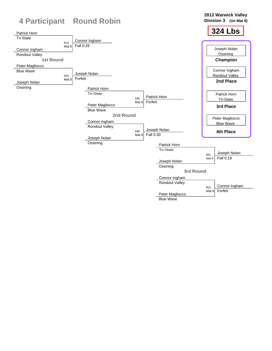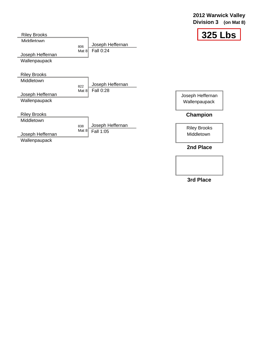#### **2012 Warwick Valley Division 3 (on Mat 8)**



| <b>Riley Brooks</b>            |                |                                      | 325 Lbs             |
|--------------------------------|----------------|--------------------------------------|---------------------|
| Middletown<br>Joseph Heffernan | 806<br>Mat 8   | Joseph Heffernan<br><b>Fall 0:24</b> |                     |
| Wallenpaupack                  |                |                                      |                     |
| <b>Riley Brooks</b>            |                |                                      |                     |
| Middletown                     |                | Joseph Heffernan                     |                     |
|                                | 822<br>Mat $8$ | Fall 0:28                            |                     |
| Joseph Heffernan               |                |                                      | Joseph Heffernan    |
| Wallenpaupack                  |                |                                      | Wallenpaupack       |
| <b>Riley Brooks</b>            |                |                                      | Champion            |
| Middletown                     |                |                                      |                     |
|                                | 838            | Joseph Heffernan                     | <b>Riley Brooks</b> |
| Joseph Heffernan               | Mat $8$        | Fall 1:05                            | Middletown          |
| Wallenpaupack                  |                |                                      |                     |
|                                |                |                                      | 2nd Place           |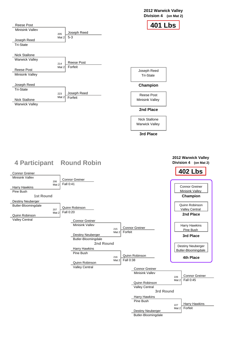#### **2012 Warwick Valley Division 4 (on Mat 2)**

| <b>Reese Post</b>               |                                        | <b>401 Lbs</b>                              |
|---------------------------------|----------------------------------------|---------------------------------------------|
| <b>Minisink Vallev</b>          | Joseph Reed                            |                                             |
| Joseph Reed<br><b>Tri-State</b> | 205<br>$5-3$<br>Mat $2$                |                                             |
| <b>Nick Stallone</b>            |                                        |                                             |
| <b>Warwick Valley</b>           | <b>Reese Post</b><br>214               |                                             |
| <b>Reese Post</b>               | Forfeit<br>Mat 2                       | Joseph Reed                                 |
| <b>Minisink Valley</b>          |                                        | <b>Tri-State</b>                            |
| Joseph Reed                     |                                        | <b>Champion</b>                             |
| <b>Tri-State</b>                |                                        |                                             |
| <b>Nick Stallone</b>            | Joseph Reed<br>223<br>Mat 2<br>Forfeit | <b>Reese Post</b><br><b>Minisink Valley</b> |
| <b>Warwick Valley</b>           |                                        | 2nd Place                                   |
|                                 |                                        | <b>Nick Stallone</b>                        |
|                                 |                                        | <b>Warwick Valley</b>                       |
|                                 |                                        | 3rd Place                                   |

**2012 Warwick Valley Division 4 (on Mat 2)**

| <b>Connor Greiner</b>    |                                           | <b>402 Lbs</b>           |
|--------------------------|-------------------------------------------|--------------------------|
| <b>Minisink Vallev</b>   |                                           |                          |
|                          | <b>Connor Greiner</b><br>206<br>Fall 0:41 |                          |
| Harry Hawkins            | Mat $2$                                   | <b>Connor Greiner</b>    |
| Pine Bush                |                                           | <b>Minisink Valley</b>   |
| <b>1st Round</b>         |                                           | <b>Champion</b>          |
| <b>Destiny Neuberger</b> |                                           |                          |
| Butler-Bloomingdale      | Quinn Robinson                            | Quinn Robinson           |
|                          | 207<br><b>Fall 0:20</b><br>Mat $2$        | <b>Valley Central</b>    |
| Quinn Robinson           |                                           | 2nd Place                |
| <b>Valley Central</b>    | <b>Connor Greiner</b>                     |                          |
|                          | Minisink Vallev                           | Harry Hawkins            |
|                          | <b>Connor Greiner</b><br>215<br>Forfeit   | Pine Bush                |
|                          | Mat $2$<br><b>Destiny Neuberger</b>       | 3rd Place                |
|                          | Butler-Bloomingdale                       |                          |
|                          | 2nd Round                                 | <b>Destiny Neuberger</b> |
|                          | <b>Harry Hawkins</b>                      | Butler-Bloomingdale      |
|                          | Pine Bush                                 |                          |
|                          | Quinn Robinson<br>216                     | $4th$ Dinne              |



## **4 Participant Round Robin**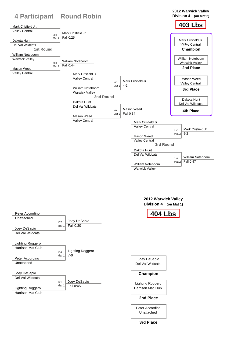**2012 Warwick Valley**

|                                             | <b>4 Participant Round Robin</b>            |                           | Division 4 (on Mat 2)     |
|---------------------------------------------|---------------------------------------------|---------------------------|---------------------------|
| Mark Crisfield Jr.<br><b>Vallev Central</b> |                                             |                           | <b>403 Lbs</b>            |
| 208                                         | Mark Crisfield Jr.                          |                           |                           |
| Mat 2                                       | Fall 0:25                                   |                           |                           |
| Dakota Hunt                                 |                                             |                           | Mark Crisfield Jr.        |
| Del Val Wildcats                            |                                             |                           | <b>Valley Central</b>     |
| <b>1st Round</b>                            |                                             |                           | Champion                  |
| <b>William Noteboom</b>                     |                                             |                           |                           |
| <b>Warwick Valley</b>                       |                                             |                           | William Noteboom          |
| 209                                         | William Noteboom                            |                           | <b>Warwick Valley</b>     |
| Mat $2$<br>Mason Weed                       | Fall 0:44                                   |                           | 2nd Place                 |
| <b>Valley Central</b>                       |                                             |                           |                           |
|                                             | Mark Crisfield Jr.<br><b>Vallev Central</b> |                           |                           |
|                                             |                                             | Mark Crisfield Jr.<br>217 | Mason Weed                |
|                                             |                                             | $4 - 2$<br>Mat $2$        | <b>Valley Central</b>     |
|                                             | William Noteboom                            |                           | 3rd Place                 |
|                                             | <b>Warwick Valley</b>                       |                           |                           |
|                                             | 2nd Round                                   |                           | Dakota Hunt               |
|                                             | Dakota Hunt                                 |                           | Del Val Wildcats          |
|                                             | Del Val Wildcats                            |                           |                           |
|                                             |                                             | <b>Mason Weed</b><br>218  | <b>4th Place</b>          |
|                                             | Mason Weed                                  | Fall 0:34<br>Mat $2\vert$ |                           |
|                                             | <b>Valley Central</b>                       |                           |                           |
|                                             |                                             | Mark Crisfield Jr.        |                           |
|                                             |                                             | <b>Vallev Central</b>     | Mark Crisfield Jr.        |
|                                             |                                             |                           | 230<br>$9 - 2$<br>Mat $2$ |
|                                             |                                             | Mason Weed                |                           |
|                                             |                                             | <b>Valley Central</b>     |                           |
|                                             |                                             | <b>3rd Round</b>          |                           |
|                                             |                                             | Dakota Hunt               |                           |
|                                             |                                             | Del Val Wildcats          |                           |
|                                             |                                             |                           | William Noteboom<br>231   |
|                                             |                                             | William Noteboom          | Fall 0:47<br>Mat $2$      |
|                                             |                                             |                           |                           |

Warwick Valley

**2012 Warwick Valley Division 4 (on Mat 1)**

| Peter Accordino          |              |                  | <b>404 Lbs</b> |
|--------------------------|--------------|------------------|----------------|
| Unattached               |              | Joey DeSapio     |                |
|                          | 107<br>Mat 1 | Fall 0:30        |                |
| Joey DeSapio             |              |                  |                |
| Del Val Wildcats         |              |                  |                |
|                          |              |                  |                |
| Lighting Roggero         |              |                  |                |
| <b>Harrison Mat Club</b> |              |                  |                |
|                          | 114          | Lighting Roggero |                |



#### Joey DeSapio Del Val Wildcats

Lighting Roggero Harrison Mat Club

### **Champion**

### **2nd Place**

Peter Accordino Unattached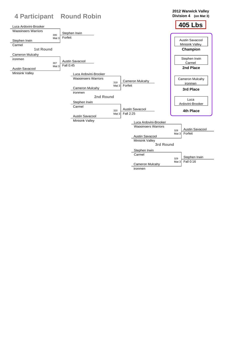**2012 Warwick Valley**

|                                                     | <b>4 Participant Round Robin</b> |                               | <b>Division 4</b><br>(on Mat $3)$ |
|-----------------------------------------------------|----------------------------------|-------------------------------|-----------------------------------|
| Luca Ardovini-Brooker<br><b>Wappingers Warriors</b> | Stephen Irwin                    |                               | <b>405 Lbs</b>                    |
| 306                                                 | Forfeit                          |                               |                                   |
| Mat 3<br>Stephen Irwin                              |                                  |                               | <b>Austin Savacool</b>            |
| Carmel                                              |                                  |                               | <b>Minisink Valley</b>            |
| <b>1st Round</b>                                    |                                  |                               | Champion                          |
| <b>Cameron Mulcahy</b>                              |                                  |                               |                                   |
| ironmen                                             | <b>Austin Savacool</b>           |                               | Stephen Irwin                     |
| 307                                                 | Fall 0:45                        |                               | Carmel                            |
| Mat 3<br><b>Austin Savacool</b>                     |                                  |                               | 2nd Place                         |
| <b>Minisink Valley</b>                              | Luca Ardovini-Brooker            |                               |                                   |
|                                                     | <b>Wappingers Warriors</b>       |                               | <b>Cameron Mulcahy</b>            |
|                                                     |                                  | <b>Cameron Mulcahy</b><br>319 | ironmen                           |
|                                                     | <b>Cameron Mulcahy</b>           | Forfeit<br>Mat $3$            | 3rd Place                         |
|                                                     | ironmen                          |                               |                                   |
|                                                     |                                  | <b>2nd Round</b>              |                                   |
|                                                     | Stephen Irwin                    |                               | Luca<br>Ardovini-Brooker          |
|                                                     | Carmel                           |                               |                                   |
|                                                     |                                  | <b>Austin Savacool</b><br>320 | 4th Place                         |
|                                                     | <b>Austin Savacool</b>           | Fall 2:25<br>Mat $3$          |                                   |
|                                                     | <b>Minisink Valley</b>           | Luca Ardovini-Brooker         |                                   |
|                                                     |                                  | <b>Wappingers Warriors</b>    |                                   |
|                                                     |                                  |                               | <b>Austin Savacool</b><br>328     |
|                                                     |                                  | <b>Austin Savacool</b>        | Forfeit<br>Mat $3$                |
|                                                     |                                  | <b>Minisink Valley</b>        |                                   |
|                                                     |                                  | 3rd Round                     |                                   |
|                                                     |                                  | Stephen Irwin                 |                                   |
|                                                     |                                  | Carmel                        |                                   |
|                                                     |                                  |                               | Stephen Irwin<br>329              |
|                                                     |                                  | <b>Cameron Mulcahy</b>        | Fall 0:16<br>Mat $3$              |

ironmen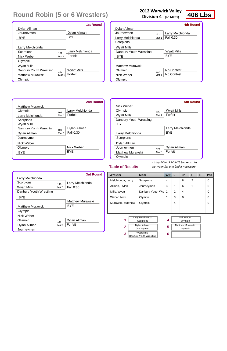### **2012 Warwick Valley**

**Division 4 (on Mat 1)**

Melchionda, Larry

Scorpions

4

8

2

0

| Allman, Dylan<br>Journeymen                        |  | 3                             | 1              | 6                                  | 1                     | 0 |   |
|----------------------------------------------------|--|-------------------------------|----------------|------------------------------------|-----------------------|---|---|
| Mills, Wyatt                                       |  | Danbury Youth Wre             | $\overline{2}$ | 2                                  | 4                     |   | 0 |
| Olympic<br>Weber, Nick                             |  |                               | 1              | 3                                  | 0                     |   | 0 |
| Murawski, Matthew                                  |  | Olympic                       |                | 4                                  |                       |   | 0 |
|                                                    |  |                               |                |                                    |                       |   |   |
| 1                                                  |  | Larry Melchionda<br>Scorpions | 4              |                                    | Nick Weber<br>Olympic |   |   |
| Dylan Allman<br>$\overline{2}$<br>Journeymen       |  | 5                             |                | <b>Matthew Murawski</b><br>Olympic |                       |   |   |
| <b>Wyatt Mills</b><br>3<br>Danbury Youth Wrestling |  |                               | 6              |                                    |                       |   |   |
|                                                    |  |                               |                |                                    |                       |   |   |

**Wrestler Team W L BP F TF Pen**

#### **Table of Results**

*Using BONUS POINTS to break ties between 1st and 2nd if necessary*

|                         |       | <b>1st Round</b>   |
|-------------------------|-------|--------------------|
| Dylan Allman            |       |                    |
| Journeymen              |       | Dylan Allman       |
| BYE                     |       | <b>BYF</b>         |
|                         |       |                    |
| Larry Melchionda        |       |                    |
| Scorpions               | 101   | Larry Melchionda   |
| Nick Weber              | Mat 1 | Forfeit            |
| Olympic                 |       |                    |
| <b>Wyatt Mills</b>      |       |                    |
| Danbury Youth Wrestling | 102   | <b>Wyatt Mills</b> |
| <b>Matthew Murawski</b> | Mat 1 | Forfeit            |
| Olympic                 |       |                    |

|                         |       | <b>4th Round</b>   |
|-------------------------|-------|--------------------|
| Dylan Allman            |       |                    |
| Journeymen              | 122   | Larry Melchionda   |
| Larry Melchionda        | Mat 1 | Fall 0:30          |
| Scorpions               |       |                    |
| Wyatt Mills             |       |                    |
| Danbury Youth Wrestling |       | <b>Wyatt Mills</b> |
| BYE                     |       | <b>BYE</b>         |
|                         |       |                    |
| <b>Matthew Murawski</b> |       |                    |
| Olympic                 | 123   | <b>No-Contest</b>  |
| Nick Weber              | Mat 1 | No Contest         |
| Olympic                 |       |                    |
|                         |       |                    |

|                         |       | <b>5th Round</b>   |
|-------------------------|-------|--------------------|
| Nick Weber              |       |                    |
| Olympic                 | 128   | <b>Wyatt Mills</b> |
| Wyatt Mills             | Mat 1 | Forfeit            |
| Danbury Youth Wrestling |       |                    |
| <b>BYE</b>              |       |                    |
|                         |       | Larry Melchionda   |
| Larry Melchionda        |       | <b>BYF</b>         |
| Scorpions               |       |                    |
| Dylan Allman            |       |                    |
| . Inurnevmen            | 129   | Dylan Allman       |
| <b>Matthew Murawski</b> | Mat 1 | Forfeit            |
| Olympic                 |       |                    |

|                         |       | <b>2nd Round</b> |
|-------------------------|-------|------------------|
| <b>Matthew Murawski</b> |       |                  |
| Olympic                 | 108   | Larry Melchionda |
| Larry Melchionda        | Mat 1 | Forfeit          |
| Scorpions               |       |                  |
| <b>Wyatt Mills</b>      |       |                  |
| Danbury Youth Wrestling | 109   | Dylan Allman     |
| Dylan Allman            | Mat 1 | Fall 0:30        |
| Journeymen              |       |                  |
| Nick Weber              |       |                  |
| Olymnic                 |       | Nick Weber       |
| BYE                     |       | BYE              |
|                         |       |                  |

|                         |       | <b>3rd Round</b>        |
|-------------------------|-------|-------------------------|
| Larry Melchionda        |       |                         |
| Scorpions               | 115   | Larry Melchionda        |
| <b>Wyatt Mills</b>      | Mat 1 | Fall 0:30               |
| Danbury Youth Wrestling |       |                         |
| <b>BYE</b>              |       |                         |
|                         |       | <b>Matthew Murawski</b> |
| <b>Matthew Murawski</b> |       | <b>BYE</b>              |
| Olympic                 |       |                         |
| Nick Weber              |       |                         |
| Olympic                 | 116   | Dylan Allman            |
| Dylan Allman            | Mat 1 | Forfeit                 |
| Journeymen              |       |                         |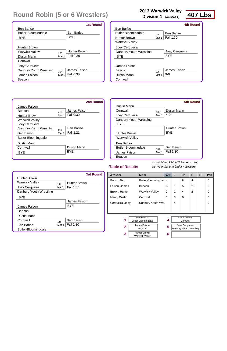| <b>Team</b>                                  | W. | L                                       | <b>BP</b> | F              | TF                                               | Pen                     |
|----------------------------------------------|----|-----------------------------------------|-----------|----------------|--------------------------------------------------|-------------------------|
|                                              | 4  |                                         | 8         | 4              |                                                  | 0                       |
| Beacon                                       | 3  | 1                                       | 5         | $\overline{2}$ |                                                  | 0                       |
| <b>Warwick Valley</b>                        | 2  | $\overline{2}$                          | 4         | $\overline{2}$ |                                                  | 0                       |
| Cornwall                                     | 1  | 3                                       | 0         |                |                                                  | $\Omega$                |
|                                              |    | 4                                       |           |                |                                                  | $\Omega$                |
|                                              |    |                                         |           |                |                                                  |                         |
| <b>Ben Bariso</b><br>Butler-Bloomingdale     | 4  |                                         |           |                |                                                  |                         |
| James Faison<br>Beacon                       | 5  |                                         |           |                |                                                  |                         |
| <b>Hunter Brown</b><br><b>Warwick Valley</b> | 6  |                                         |           |                |                                                  |                         |
|                                              |    | Butler-Bloomingdal<br>Danbury Youth Wre |           |                | <b>Dustin Mann</b><br>Cornwall<br>Joey Cerqueira | Danbury Youth Wrestling |

#### **Table of Results**

**Cornwall** 

*Using BONUS POINTS to break ties between 1st and 2nd if necessary*

| <b>2012 Warwick Valley</b> |       |                              |                  |  |  |
|----------------------------|-------|------------------------------|------------------|--|--|
|                            |       | <b>Division 4</b> (on Mat 1) | <b>407 Lbs</b>   |  |  |
|                            |       |                              | <b>4th Round</b> |  |  |
| <b>Ben Bariso</b>          |       |                              |                  |  |  |
| <b>Butler-Bloomingdale</b> | 124   | <b>Ben Bariso</b>            |                  |  |  |
| Hunter Brown               | Mat 1 | <b>Fall 1:30</b>             |                  |  |  |
| <b>Warwick Valley</b>      |       |                              |                  |  |  |
| Joey Cerqueira             |       |                              |                  |  |  |
| Danbury Youth Wrestling    |       | Joey Cerqueira               |                  |  |  |
| BYE                        |       | <b>BYF</b>                   |                  |  |  |
|                            |       |                              |                  |  |  |
| James Faison               |       |                              |                  |  |  |
| <b>Beacon</b>              | 125   | James Faison                 |                  |  |  |
| <b>Dustin Mann</b>         | Mat 1 | 9-0                          |                  |  |  |

|                            |       | <b>1st Round</b>    |
|----------------------------|-------|---------------------|
| <b>Ben Bariso</b>          |       |                     |
| <b>Butler-Bloomingdale</b> |       | <b>Ben Bariso</b>   |
| <b>BYE</b>                 |       | <b>BYF</b>          |
|                            |       |                     |
| <b>Hunter Brown</b>        |       |                     |
| Warwick Valley             | 103   | <b>Hunter Brown</b> |
| <b>Dustin Mann</b>         | Mat 1 | Fall 2:30           |
| Cornwall                   |       |                     |
| Joey Cerqueira             |       |                     |
| Danbury Youth Wrestling    | 104   | James Faison        |
| James Faison               | Mat 1 | <b>Fall 0:30</b>    |
| Beacon                     |       |                     |

|                            |       | <b>5th Round</b>    |
|----------------------------|-------|---------------------|
| Dustin Mann                |       |                     |
| Cornwall                   | 130   | Dustin Mann         |
| Joey Cerqueira             | Mat 1 | $4 - 2$             |
| Danbury Youth Wrestling    |       |                     |
| <b>BYE</b>                 |       |                     |
|                            |       | <b>Hunter Brown</b> |
| Hunter Brown               |       | BYE                 |
| <b>Warwick Valley</b>      |       |                     |
| <b>Ben Bariso</b>          |       |                     |
| <b>Butler-Bloomingdale</b> | 131   | <b>Ben Bariso</b>   |
| James Faison               | Mat 1 | Fall 1:30           |
| Beacon                     |       |                     |

|                         |       | 2nd Round         |
|-------------------------|-------|-------------------|
| James Faison            |       |                   |
| <b>Beacon</b>           | 110   | James Faison      |
| <b>Hunter Brown</b>     | Mat 1 | <b>Fall 0:30</b>  |
| <b>Warwick Valley</b>   |       |                   |
| Joey Cerqueira          |       |                   |
| Danbury Youth Wrestling | 111   | <b>Ben Bariso</b> |
| <b>Ben Bariso</b>       | Mat 1 | Fall 1:21         |
| Butler-Bloomingdale     |       |                   |
| <b>Dustin Mann</b>      |       |                   |
| Cornwall                |       | Dustin Mann       |
| <b>BYE</b>              |       | <b>BYE</b>        |
|                         |       |                   |

|                         |       | <b>3rd Round</b>    |
|-------------------------|-------|---------------------|
| <b>Hunter Brown</b>     |       |                     |
| Warwick Valley          | 117   | <b>Hunter Brown</b> |
| Joey Cerqueira          | Mat 1 | Fall 1:45           |
| Danbury Youth Wrestling |       |                     |
| <b>BYE</b>              |       |                     |
|                         |       | James Faison        |
| James Faison            |       | <b>BYF</b>          |
| Beacon                  |       |                     |
| <b>Dustin Mann</b>      |       |                     |
| Cornwall                | 118   | <b>Ben Bariso</b>   |
| <b>Ben Bariso</b>       | Mat 1 | <b>Fall 1:30</b>    |
| Butler-Bloomingdale     |       |                     |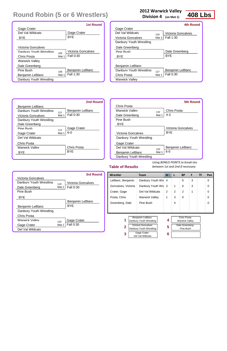|  | 2012 Warwick Valley |  |  |
|--|---------------------|--|--|
|--|---------------------|--|--|

**Division 4 (on Mat 1)**

| Wrestler                                                                 | <b>Team</b>                                 | <b>W</b> | L | <b>BP</b>                                   | F | <b>TF</b> | Pen      |
|--------------------------------------------------------------------------|---------------------------------------------|----------|---|---------------------------------------------|---|-----------|----------|
| LeBlanc, Benjamin                                                        | Danbury Youth Wre                           | -4       |   | 6                                           | 3 |           | 0        |
| Goncalves, Victoria                                                      | Danbury Youth Wre                           | 3        | 1 | 6                                           | 3 |           | $\Omega$ |
| Crater, Gage                                                             | Del Val Wildcats                            | 2        | 2 | 2                                           | 1 |           | $\Omega$ |
| Posta, Chris                                                             | <b>Warwick Valley</b>                       | 1        | 3 | 0                                           |   |           | 0        |
| Greenberg, Dale                                                          | Pine Bush                                   |          | 4 |                                             |   |           | $\Omega$ |
|                                                                          |                                             |          |   |                                             |   |           |          |
| 1                                                                        | Benjamin LeBlanc<br>Danbury Youth Wrestling | 4        |   | <b>Chris Posta</b><br><b>Warwick Valley</b> |   |           |          |
| Victoria Goncalves<br>$\overline{\mathbf{2}}$<br>Danbury Youth Wrestling |                                             | 5        |   | Dale Greenberg<br>Pine Bush                 |   |           |          |
| Gage Crater<br>3<br>Del Val Wildcats                                     |                                             | 6        |   |                                             |   |           |          |

#### **Table of Results**

*Using BONUS POINTS to break ties between 1st and 2nd if necessary*

|                         | <b>1st Round</b>               |
|-------------------------|--------------------------------|
| <b>Gage Crater</b>      |                                |
| Del Val Wildcats        | Gage Crater                    |
| BYE                     | <b>BYF</b>                     |
|                         |                                |
| Victoria Goncalves      |                                |
| Danhury Youth Wrestling | Victoria Goncalves<br>105      |
| Chris Posta             | Fall 0:30<br>Mat 1             |
| Warwick Valley          |                                |
| Dale Greenberg          |                                |
| Pine Bush               | <b>Benjamin LeBlanc</b><br>106 |
| Benjamin LeBlanc        | <b>Fall 1:30</b><br>Mat 1      |
| Danbury Youth Wrestling |                                |

|                         |       | 4th Round                 |
|-------------------------|-------|---------------------------|
| Gage Crater             |       |                           |
| Del Val Wildcats        | 126   | <b>Victoria Goncalves</b> |
| Victoria Goncalves      | Mat 1 | Fall 1:30                 |
| Danbury Youth Wrestling |       |                           |
| Dale Greenberg          |       |                           |
| Pine Rush               |       | Dale Greenberg            |
| BYF                     |       | <b>BYF</b>                |
|                         |       |                           |
| Benjamin LeBlanc        |       |                           |
| Danbury Youth Wrestling | 127   | <b>Benjamin LeBlanc</b>   |
| Chris Posta             | Mat 1 | Fall 0:30                 |
| <b>Warwick Valley</b>   |       |                           |
|                         |       |                           |

|                         |       | <b>5th Round</b>        |
|-------------------------|-------|-------------------------|
| Chris Posta             |       |                         |
| Warwick Valley          | 132   | <b>Chris Posta</b>      |
| Dale Greenberg          | Mat 1 | $4 - 3$                 |
| Pine Bush               |       |                         |
| BYE                     |       |                         |
|                         |       | Victoria Goncalves      |
| Victoria Goncalves      |       | <b>BYF</b>              |
| Danbury Youth Wrestling |       |                         |
| Gage Crater             |       |                         |
| Del Val Wildcats        | 133   | <b>Benjamin LeBlanc</b> |
| Benjamin LeBlanc        | Mat 1 | $6-0$                   |
| Danbury Youth Wrestling |       |                         |

|                         |       | <b>2nd Round</b>        |
|-------------------------|-------|-------------------------|
| <b>Benjamin LeBlanc</b> |       |                         |
| Danbury Youth Wrestling | 112   | <b>Benjamin LeBlanc</b> |
| Victoria Goncalves      | Mat 1 | <b>Fall 0:30</b>        |
| Danbury Youth Wrestling |       |                         |
| Dale Greenberg          |       |                         |
| Pine Rush               | 113   | <b>Gage Crater</b>      |
| Gage Crater             | Mat 1 | $6-0$                   |
| Del Val Wildcats        |       |                         |
| <b>Chris Posta</b>      |       |                         |
| Warwick Valley          |       | <b>Chris Posta</b>      |
| BYE                     |       | <b>BYF</b>              |
|                         |       |                         |

|                         |       | 3rd Round               |
|-------------------------|-------|-------------------------|
| Victoria Goncalves      |       |                         |
| Danbury Youth Wrestling | 119   | Victoria Goncalves      |
| Dale Greenberg          | Mat 1 | <b>Fall 0:30</b>        |
| Pine Bush               |       |                         |
| BYE                     |       |                         |
|                         |       | <b>Benjamin LeBlanc</b> |
| <b>Benjamin LeBlanc</b> |       | <b>BYF</b>              |
| Danbury Youth Wrestling |       |                         |
| Chris Posta             |       |                         |
| Warwick Valley          | 120   | Gage Crater             |
| Gage Crater             | Mat 1 | <b>Fall 0:30</b>        |
| Del Val Wildcats        |       |                         |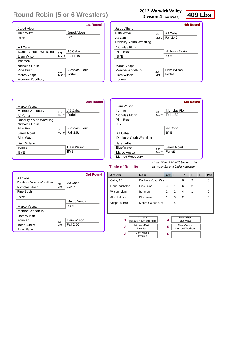**2012 Warwick Valley Division 4 (on Mat 2)**

| Wrestler                                                                                                                 | <b>Team</b>       | W <sub>V</sub> | L | <b>BP</b>                                                                 | F              | <b>TF</b> | Pen |
|--------------------------------------------------------------------------------------------------------------------------|-------------------|----------------|---|---------------------------------------------------------------------------|----------------|-----------|-----|
| Caba, AJ                                                                                                                 | Danbury Youth Wre | $\overline{4}$ |   | 6                                                                         | 2              |           | 0   |
| Florin, Nicholas                                                                                                         | Pine Bush         | 3              | 1 | 6                                                                         | $\overline{2}$ |           | 0   |
| Wilson, Liam                                                                                                             | Ironmen           | 2              | 2 | 4                                                                         | 1              |           | 0   |
| Albert, Jared                                                                                                            | <b>Blue Wave</b>  | 1              | 3 | 2                                                                         |                |           | 0   |
| Vespa, Marco                                                                                                             | Monroe-Woodbury   |                | 4 |                                                                           |                |           | O   |
|                                                                                                                          |                   |                |   |                                                                           |                |           |     |
| AJ Caba<br>1<br>Danbury Youth Wrestling<br>Nicholas Florin<br>$\overline{2}$<br>Pine Bush<br>Liam Wilson<br>3<br>Ironmen |                   | 4<br>5<br>6    |   | <b>Jared Albert</b><br><b>Blue Wave</b><br>Marco Vespa<br>Monroe-Woodbury |                |           |     |

#### **Table of Results**

*Using BONUS POINTS to break ties between 1st and 2nd if necessary*

|                         |       | <b>1st Round</b>       |
|-------------------------|-------|------------------------|
| <b>Jared Albert</b>     |       |                        |
| <b>Blue Wave</b>        |       | <b>Jared Albert</b>    |
| BYE                     |       | <b>BYE</b>             |
|                         |       |                        |
| AJ Caba                 |       |                        |
| Danbury Youth Wrestling | 201   | AJ Caba                |
| Liam Wilson             | Mat 2 | Fall 1:46              |
| Ironmen                 |       |                        |
| Nicholas Florin         |       |                        |
| Pine Rush               | 202   | <b>Nicholas Florin</b> |
| Marco Vespa             | Mat 2 | Forfeit                |
| Monroe-Woodbury         |       |                        |

|                         |       | <b>4th Round</b> |
|-------------------------|-------|------------------|
| <b>Jared Albert</b>     |       |                  |
| <b>Blue Wave</b>        | 224   | AJ Caba          |
| AJ Caba                 | Mat 2 | Fall 2:47        |
| Danbury Youth Wrestling |       |                  |
| Nicholas Florin         |       |                  |
| Pine Rush               |       | Nicholas Florin  |
| BYE                     |       | <b>BYE</b>       |
|                         |       |                  |
| Marco Vespa             |       |                  |
| Monroe-Woodbury         | 225   | Liam Wilson      |
| Liam Wilson             | Mat 2 | Forfeit          |
| Ironmen                 |       |                  |

|                         |       | <b>5th Round</b>    |
|-------------------------|-------|---------------------|
| Liam Wilson             |       |                     |
| Ironmen                 | 232   | Nicholas Florin     |
| Nicholas Florin         | Mat 2 | Fall 1:30           |
| Pine Bush               |       |                     |
| BYE                     |       |                     |
|                         |       | AJ Caba             |
| AJ Caba                 |       | <b>BYE</b>          |
| Danbury Youth Wrestling |       |                     |
| <b>Jared Albert</b>     |       |                     |
| <b>Blue Wave</b>        | 233   | <b>Jared Albert</b> |
| Marco Vespa             | Mat 2 | Forfeit             |
| Monroe-Woodbury         |       |                     |

|                         |       | <b>2nd Round</b> |
|-------------------------|-------|------------------|
| Marco Vespa             |       |                  |
| Monroe-Woodbury         | 210   | AJ Caba          |
| AJ Caba                 | Mat 2 | Forfeit          |
| Danbury Youth Wrestling |       |                  |
| Nicholas Florin         |       |                  |
| Pine Rush               | 211   | Nicholas Florin  |
| <b>Jared Albert</b>     | Mat 2 | Fall 2:51        |
| <b>Blue Wave</b>        |       |                  |
| Liam Wilson             |       |                  |
| Ironmen                 |       | Liam Wilson      |
| BYE                     |       | <b>BYE</b>       |
|                         |       |                  |

|                         |       | 3rd Round   |
|-------------------------|-------|-------------|
| AJ Caba                 |       |             |
| Danbury Youth Wrestling | 219   | AJ Caba     |
| Nicholas Florin         | Mat 2 | 4-2 OT      |
| <b>Pine Bush</b>        |       |             |
| <b>BYE</b>              |       |             |
|                         |       | Marco Vespa |
| Marco Vespa             |       | <b>BYE</b>  |
| Monroe-Woodbury         |       |             |
| Liam Wilson             |       |             |
| Ironmen                 | 220   | Liam Wilson |
| <b>Jared Albert</b>     | Mat 2 | Fall 2:50   |
| <b>Blue Wave</b>        |       |             |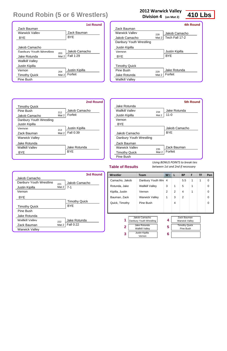|  | 2012 Warwick Valley |  |  |
|--|---------------------|--|--|
|--|---------------------|--|--|

**Division 4 (on Mat 2)**

| Wrestler                                                                                                                                   | <b>Team</b>            | $W^-$          | L | <b>BP</b>                                                                 | F | TF | Pen |
|--------------------------------------------------------------------------------------------------------------------------------------------|------------------------|----------------|---|---------------------------------------------------------------------------|---|----|-----|
| Camacho, Jakob                                                                                                                             | Danbury Youth Wre      | 4              |   | 5.5                                                                       | 1 | 1  | 0   |
| Rotunda, Jake                                                                                                                              | <b>Wallkill Valley</b> | 3              | 1 | 5                                                                         | 1 |    | 0   |
| Kipilla, Justin                                                                                                                            | Vernon                 | $\overline{2}$ | 2 | 4                                                                         | 1 |    | 0   |
| Bauman, Zack                                                                                                                               | <b>Warwick Valley</b>  | 1              | 3 | 2                                                                         |   |    | 0   |
| Quick, Timothy                                                                                                                             | Pine Bush              |                | 4 |                                                                           |   |    | ∩   |
|                                                                                                                                            |                        |                |   |                                                                           |   |    |     |
| Jakob Camacho<br>1<br>Danbury Youth Wrestling<br>Jake Rotunda<br>$\overline{2}$<br><b>Wallkill Valley</b><br>Justin Kipilla<br>3<br>Vernon |                        | 4<br>5<br>6    |   | Zack Bauman<br><b>Warwick Valley</b><br><b>Timothy Quick</b><br>Pine Bush |   |    |     |

|  | <b>Table of Results</b> |
|--|-------------------------|

*Using BONUS POINTS to break ties between 1st and 2nd if necessary*

|                         |       | <b>1st Round</b> |
|-------------------------|-------|------------------|
| Zack Bauman             |       |                  |
| Warwick Valley          |       | Zack Bauman      |
| <b>BYF</b>              |       | <b>BYE</b>       |
|                         |       |                  |
| Jakob Camacho           |       |                  |
| Danbury Youth Wrestling | 203   | Jakob Camacho    |
| Jake Rotunda            | Mat 2 | Fall 1:29        |
| <b>Wallkill Valley</b>  |       |                  |
| Justin Kipilla          |       |                  |
| Vernon                  | 204   | Justin Kipilla   |
| <b>Timothy Quick</b>    | Mat 2 | Forfeit          |
| Pine Bush               |       |                  |

|                         |       | 4th Round      |
|-------------------------|-------|----------------|
| Zack Bauman             |       |                |
| Warwick Valley          | 228   | Jakob Camacho  |
| Jakob Camacho           | Mat 2 | Tech Fall 17-2 |
| Danbury Youth Wrestling |       |                |
| Justin Kipilla          |       |                |
| Vernon                  |       | Justin Kipilla |
| BYE                     |       | <b>BYF</b>     |
|                         |       |                |
| <b>Timothy Quick</b>    |       |                |
| Pine Rush               | 229   | Jake Rotunda   |
| Jake Rotunda            | Mat 2 | Forfeit        |
| <b>Wallkill Valley</b>  |       |                |

|                         |       | <b>5th Round</b> |
|-------------------------|-------|------------------|
| Jake Rotunda            |       |                  |
| <b>Wallkill Valley</b>  | 234   | Jake Rotunda     |
| Justin Kipilla          | Mat 2 | $11 - 0$         |
| Vernon                  |       |                  |
| <b>BYE</b>              |       |                  |
|                         |       | Jakob Camacho    |
| Jakob Camacho           |       | <b>BYF</b>       |
| Danbury Youth Wrestling |       |                  |
| Zack Bauman             |       |                  |
| Warwick Valley          | 235   | Zack Bauman      |
| <b>Timothy Quick</b>    | Mat 2 | Forfeit          |
| Pine Bush               |       |                  |

|                         |       | <b>2nd Round</b>      |
|-------------------------|-------|-----------------------|
| <b>Timothy Quick</b>    |       |                       |
| Pine Rush               | 212   | Jakob Camacho         |
| Jakob Camacho           | Mat 2 | Forfeit               |
| Danbury Youth Wrestling |       |                       |
| Justin Kipilla          |       |                       |
| Vernon                  | 213   | <b>Justin Kipilla</b> |
| Zack Bauman             | Mat 2 | Fall 0:39             |
| <b>Warwick Valley</b>   |       |                       |
| Jake Rotunda            |       |                       |
| Wallkill Valley         |       | Jake Rotunda          |
| BYE                     |       | <b>BYF</b>            |
|                         |       |                       |

|                         |       | <b>3rd Round</b>     |
|-------------------------|-------|----------------------|
| Jakob Camacho           |       |                      |
| Danbury Youth Wrestling | 221   | Jakob Camacho        |
| Justin Kipilla          | Mat 2 | $7 - 1$              |
| Vernon                  |       |                      |
| <b>BYE</b>              |       |                      |
|                         |       | <b>Timothy Quick</b> |
| <b>Timothy Quick</b>    |       | <b>BYE</b>           |
| Pine Bush               |       |                      |
| Jake Rotunda            |       |                      |
| <b>Wallkill Valley</b>  | 222   | Jake Rotunda         |
| Zack Bauman             | Mat 2 | <b>Fall 0:22</b>     |
| <b>Warwick Valley</b>   |       |                      |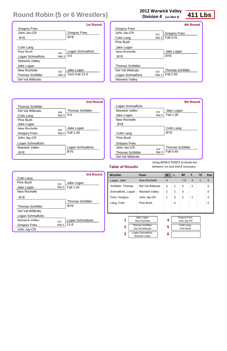|  | 2012 Warwick Valley |  |  |
|--|---------------------|--|--|
|--|---------------------|--|--|

**Division 4 (on Mat 3)**

| Wrestler           | Team                                         | $W^-$          |               | <b>BP</b>                           | F              | ΤF | Pen |
|--------------------|----------------------------------------------|----------------|---------------|-------------------------------------|----------------|----|-----|
| Logan, Jake        | <b>New Rochelle</b>                          | $\overline{4}$ |               | 7.5                                 | 3              | 1  | 0   |
| Schlittler, Thomas | Del Val Wildcats                             | 3              | 1             | 5                                   | $\overline{2}$ |    | 0   |
| Schmalfuhs, Logan  | <b>Warwick Valley</b>                        | 2              | $\mathcal{P}$ | 0                                   |                |    | 0   |
| Fries, Gregory     | John Jay-CR                                  | 1              | 3             | 2                                   | 1              |    | 0   |
| Lang, Colin        | Pine Bush                                    |                | 4             |                                     |                |    | 0   |
|                    |                                              |                |               |                                     |                |    |     |
| 1                  | Jake Logan<br>New Rochelle                   | 4              |               | <b>Gregory Fries</b><br>John Jay-CR |                |    |     |
| $\overline{2}$     | <b>Thomas Schlittler</b><br>Del Val Wildcats | 5              |               | Colin Lang<br>Pine Bush             |                |    |     |
| 3                  | Logan Schmalfuhs<br><b>Warwick Valley</b>    | 6              |               |                                     |                |    |     |

#### **Table of Results**

*Using BONUS POINTS to break ties between 1st and 2nd if necessary*

|                          | <b>1st Round</b>        |
|--------------------------|-------------------------|
| <b>Gregory Fries</b>     |                         |
| John Jav-CR              | <b>Gregory Fries</b>    |
| BYE                      | <b>BYF</b>              |
|                          |                         |
| Colin Lang               |                         |
| Pine Bush<br>301         | Logan Schmalfuhs        |
| Logan Schmalfuhs         | $9 - 5$<br>Mat 3        |
| <b>Warwick Valley</b>    |                         |
| Jake Logan               |                         |
| New Rochelle<br>302      | Jake Logan              |
| <b>Thomas Schlittler</b> | Tech Fall 15-0<br>Mat 3 |
| Del Val Wildcats         |                         |

|                          |       | <b>4th Round</b>         |
|--------------------------|-------|--------------------------|
| <b>Gregory Fries</b>     |       |                          |
| $.$ Iohn $.$ Iav-CR      | 323   | <b>Gregory Fries</b>     |
| Colin Lang               | Mat 3 | <b>Fall 0:31</b>         |
| Pine Bush                |       |                          |
| Jake Logan               |       |                          |
| New Rochelle             |       | Jake Logan               |
| <b>BYE</b>               |       | BYE                      |
|                          |       |                          |
| <b>Thomas Schlittler</b> |       |                          |
| Del Val Wildcats         | 324   | <b>Thomas Schlittler</b> |
| Logan Schmalfuhs         | Mat 3 | Fall 2:50                |
| <b>Warwick Valley</b>    |       |                          |
|                          |       |                          |

|                          |       | <b>5th Round</b>         |
|--------------------------|-------|--------------------------|
| Logan Schmalfuhs         |       |                          |
| Warwick Valley           | 332   | Jake Logan               |
| Jake Logan               | Mat 3 | Fall 1:30                |
| New Rochelle             |       |                          |
| <b>BYE</b>               |       |                          |
|                          |       | Colin Lang               |
| Colin Lang               |       | BYE                      |
| Pine Bush                |       |                          |
| <b>Gregory Fries</b>     |       |                          |
| .John .Jav-CR            | 333   | <b>Thomas Schlittler</b> |
| <b>Thomas Schlittler</b> | Mat 3 | Fall 0:46                |
| Del Val Wildcats         |       |                          |

|                          |       | <b>2nd Round</b>         |
|--------------------------|-------|--------------------------|
| <b>Thomas Schlittler</b> |       |                          |
| Del Val Wildcats         | 308   | <b>Thomas Schlittler</b> |
| Colin Lang               | Mat 3 | $9 - 0$                  |
| Pine Bush                |       |                          |
| Jake Logan               |       |                          |
| New Rochelle             | 309   | Jake Logan               |
| <b>Gregory Fries</b>     | Mat 3 | Fall 1:28                |
| John Jay-CR              |       |                          |
| Logan Schmalfuhs         |       |                          |
| Warwick Valley           |       | Logan Schmalfuhs         |
| BYE                      |       | <b>BYE</b>               |
|                          |       |                          |

|                          |          | <b>3rd Round</b>         |
|--------------------------|----------|--------------------------|
| Colin Lang               |          |                          |
| Pine Rush                | 314      | Jake Logan               |
| Jake Logan               | Mat $3 $ | Fall 1:33                |
| New Rochelle             |          |                          |
| <b>BYE</b>               |          |                          |
|                          |          | <b>Thomas Schlittler</b> |
| <b>Thomas Schlittler</b> |          | <b>BYF</b>               |
| Del Val Wildcats         |          |                          |
| Logan Schmalfuhs         |          |                          |
| Warwick Valley           | 315      | Logan Schmalfuhs         |
| <b>Gregory Fries</b>     | Mat 3    | $11 - 8$                 |
| John Jay-CR              |          |                          |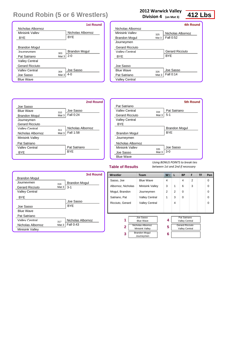|  | 2012 Warwick Valley |  |  |
|--|---------------------|--|--|
|--|---------------------|--|--|

**Division 4 (on Mat 3)**

Sasso, Joe

Albornoz, Nicholas

Blue Wave

Minisink Valley

4

3

1

4

6

2

3

0 0 0

0 0

| Mogul, Brandon   | Journeymen                                  |  | 2 | 2 | 0                                               |  |
|------------------|---------------------------------------------|--|---|---|-------------------------------------------------|--|
| Satriano, Pat    | <b>Valley Central</b>                       |  | 1 | 3 | $\Omega$                                        |  |
| Ricciuto, Gerard | <b>Valley Central</b>                       |  |   | 4 |                                                 |  |
|                  |                                             |  |   |   |                                                 |  |
|                  |                                             |  |   |   |                                                 |  |
|                  |                                             |  |   |   |                                                 |  |
| 1                | Joe Sasso<br><b>Blue Wave</b>               |  | 4 |   | Pat Satriano<br><b>Valley Central</b>           |  |
| $\overline{2}$   | Nicholas Albornoz<br><b>Minisink Valley</b> |  | 5 |   | <b>Gerard Ricciuto</b><br><b>Valley Central</b> |  |
| 3                | <b>Brandon Mogul</b><br>Journeymen          |  | 6 |   |                                                 |  |

**Wrestler Team W L BP F TF Pen**

#### **Table of Results**

*Using BONUS POINTS to break ties between 1st and 2nd if necessary*

|                        |       | <b>1st Round</b>     |
|------------------------|-------|----------------------|
| Nicholas Albornoz      |       |                      |
| Minisink Valley        |       | Nicholas Albornoz    |
| BYE                    |       | <b>BYE</b>           |
|                        |       |                      |
| <b>Brandon Mogul</b>   |       |                      |
| Journeymen             | 303   | <b>Brandon Mogul</b> |
| Pat Satriano           | Mat 3 | $2 - 0$              |
| <b>Valley Central</b>  |       |                      |
| <b>Gerard Ricciuto</b> |       |                      |
| Valley Central         | 304   | Joe Sasso            |
| Joe Sasso              | Mat 3 | $4 - 0$              |
| <b>Blue Wave</b>       |       |                      |

|                        |       | <b>4th Round</b>       |
|------------------------|-------|------------------------|
| Nicholas Albornoz      |       |                        |
| Minisink Valley        | 325   | Nicholas Albornoz      |
| <b>Brandon Mogul</b>   | Mat 3 | Fall 0:52              |
| Journeymen             |       |                        |
| <b>Gerard Ricciuto</b> |       |                        |
| <b>Valley Central</b>  |       | <b>Gerard Ricciuto</b> |
| <b>BYE</b>             |       | <b>BYF</b>             |
| Joe Sasso              |       |                        |
| <b>Blue Wave</b>       | 326   | Joe Sasso              |
| Pat Satriano           | Mat 3 | Fall 0:14              |
| <b>Valley Central</b>  |       |                        |

|                        |       | <b>5th Round</b>     |
|------------------------|-------|----------------------|
| Pat Satriano           |       |                      |
| Valley Central         | 334   | Pat Satriano         |
| <b>Gerard Ricciuto</b> | Mat 3 | $5-1$                |
| <b>Valley Central</b>  |       |                      |
| <b>BYE</b>             |       |                      |
|                        |       | <b>Brandon Mogul</b> |
| <b>Brandon Mogul</b>   |       | BYE                  |
| Journeymen             |       |                      |
| Nicholas Albornoz      |       |                      |
| Minisink Valley        | 335   | Joe Sasso            |
| Joe Sasso              | Mat 3 | $3-0$                |
| <b>Blue Wave</b>       |       |                      |

|                        |         | <b>2nd Round</b>  |
|------------------------|---------|-------------------|
| Joe Sasso              |         |                   |
| <b>Blue Wave</b>       | 310     | Joe Sasso         |
| <b>Brandon Mogul</b>   | Mat 3   | Fall 0:24         |
| Journeymen             |         |                   |
| <b>Gerard Ricciuto</b> |         |                   |
| Valley Central         | 311     | Nicholas Albornoz |
| Nicholas Albornoz      | Mat $3$ | Fall 1:58         |
| <b>Minisink Valley</b> |         |                   |
| Pat Satriano           |         |                   |
| Valley Central         |         | Pat Satriano      |
| <b>BYF</b>             |         | <b>BYF</b>        |
|                        |         |                   |

|                        |       | <b>3rd Round</b>     |
|------------------------|-------|----------------------|
| <b>Brandon Mogul</b>   |       |                      |
| Journeymen             | 316   | <b>Brandon Mogul</b> |
| <b>Gerard Ricciuto</b> | Mat 3 | $3 - 1$              |
| <b>Valley Central</b>  |       |                      |
| <b>BYE</b>             |       |                      |
|                        |       | Joe Sasso            |
| Joe Sasso              |       | <b>BYF</b>           |
| <b>Blue Wave</b>       |       |                      |
| Pat Satriano           |       |                      |
| Valley Central         | 317   | Nicholas Albornoz    |
| Nicholas Albornoz      | Mat 3 | <b>Fall 0:43</b>     |
| <b>Minisink Valley</b> |       |                      |

| <b>Table of Results</b> |  |  |  |
|-------------------------|--|--|--|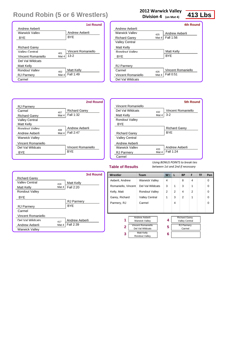## **2012 Warwick Valley**

**Division 4 (on Mat 4)**

| Wrestler            | <b>Team</b>                                                                                                   | $W^-$  | L | <b>BP</b>                                                                    | F              | ΤF | Pen |
|---------------------|---------------------------------------------------------------------------------------------------------------|--------|---|------------------------------------------------------------------------------|----------------|----|-----|
| Aeberli, Andrew     | <b>Warwick Valley</b>                                                                                         | 4      |   | 8                                                                            | 4              |    | 0   |
| Romaniello, Vincent | Del Val Wildcats                                                                                              | 3      | 1 | 3                                                                            | 1              |    | 0   |
| Kelly, Matt         | <b>Rondout Valley</b>                                                                                         | 2      | 2 | 4                                                                            | $\overline{2}$ |    | 0   |
| Garey, Richard      | <b>Valley Central</b>                                                                                         | 1      | 3 | 2                                                                            | 1              |    | 0   |
| Parmery, RJ         | Carmel                                                                                                        |        | 4 |                                                                              |                |    | 0   |
|                     |                                                                                                               |        |   |                                                                              |                |    |     |
| 1<br>$\overline{2}$ | Andrew Aeberli<br><b>Warwick Valley</b><br><b>Vincent Romaniello</b><br>Del Val Wildcats<br><b>Matt Kelly</b> | 4<br>5 |   | <b>Richard Garey</b><br><b>Valley Central</b><br><b>RJ Parmery</b><br>Carmel |                |    |     |
| 3                   | Rondout Valley                                                                                                | 6      |   |                                                                              |                |    |     |

#### **Table of Results**

*Using BONUS POINTS to break ties between 1st and 2nd if necessary*

|                           | <b>1st Round</b>          |
|---------------------------|---------------------------|
| Andrew Aeberli            |                           |
| Warwick Valley            | Andrew Aeberli            |
| BYE                       | <b>BYE</b>                |
|                           |                           |
| <b>Richard Garey</b>      |                           |
| Valley Central            | Vincent Romaniello<br>401 |
| <b>Vincent Romaniello</b> | $13 - 2$<br>Mat 4         |
| Del Val Wildcats          |                           |
| Matt Kelly                |                           |
| Rondout Valley            | <b>Matt Kelly</b><br>402  |
| <b>RJ Parmery</b>         | Fall 1:49<br>Mat 4        |
| Carmel                    |                           |

|                           |       | <b>4th Round</b>   |
|---------------------------|-------|--------------------|
| Andrew Aeberli            |       |                    |
| <b>Warwick Valley</b>     | 425   | Andrew Aeberli     |
| <b>Richard Garey</b>      | Mat 4 | Fall 1:56          |
| <b>Valley Central</b>     |       |                    |
| Matt Kelly                |       |                    |
| Rondout Valley            |       | <b>Matt Kelly</b>  |
| BYE                       |       | BYE                |
|                           |       |                    |
| <b>RJ Parmery</b>         |       |                    |
| Carmel                    | 426   | Vincent Romaniello |
| <b>Vincent Romaniello</b> | Mat 4 | Fall 0:51          |
| Del Val Wildcats          |       |                    |
|                           |       |                    |

|                       |       | <b>5th Round</b>     |
|-----------------------|-------|----------------------|
| Vincent Romaniello    |       |                      |
| Del Val Wildcats      | 432   | Vincent Romaniello   |
| <b>Matt Kelly</b>     | Mat 4 | $3 - 2$              |
| <b>Rondout Valley</b> |       |                      |
| BYE                   |       |                      |
|                       |       | <b>Richard Garey</b> |
| <b>Richard Garey</b>  |       | <b>BYE</b>           |
| <b>Valley Central</b> |       |                      |
| Andrew Aeberli        |       |                      |
| Warwick Valley        | 433   | Andrew Aeberli       |
| <b>RJ Parmery</b>     | Mat 4 | Fall 1:24            |
| Carmel                |       |                      |

|                       |       | 2nd Round            |
|-----------------------|-------|----------------------|
| <b>RJ Parmery</b>     |       |                      |
| Carmel                | 407   | <b>Richard Garey</b> |
| <b>Richard Garey</b>  | Mat 4 | Fall 1:32            |
| <b>Valley Central</b> |       |                      |
| <b>Matt Kelly</b>     |       |                      |
| Rondout Valley        | 408   | Andrew Aeberli       |
| Andrew Aeberli        | Mat 4 | Fall 2:47            |
| <b>Warwick Valley</b> |       |                      |
| Vincent Romaniello    |       |                      |
| Del Val Wildcats      |       | Vincent Romaniello   |
| BYE                   |       | <b>BYE</b>           |
|                       |       |                      |

|                           |       | <b>3rd Round</b>  |
|---------------------------|-------|-------------------|
| <b>Richard Garey</b>      |       |                   |
| Valley Central            | 416   | <b>Matt Kelly</b> |
| Matt Kelly                | Mat 4 | Fall 2:20         |
| <b>Rondout Valley</b>     |       |                   |
| <b>BYE</b>                |       |                   |
|                           |       | <b>RJ Parmery</b> |
| <b>RJ Parmery</b>         |       | <b>BYE</b>        |
| Carmel                    |       |                   |
| <b>Vincent Romaniello</b> |       |                   |
| Del Val Wildcats          | 417   | Andrew Aeberli    |
| Andrew Aeberli            | Mat 4 | Fall 2:39         |
| <b>Warwick Valley</b>     |       |                   |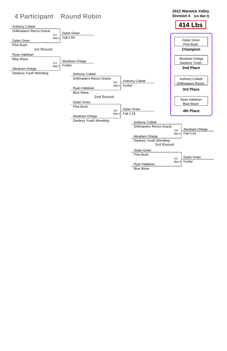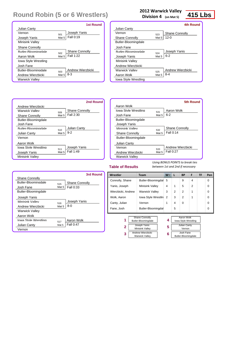### **2012 Warwick Valley**

**Division 4 (on Mat 5)**

| Wrestler                                          | <b>Team</b>                     | W <sub>V</sub> | L              | <b>BP</b>                                 | F | <b>TF</b> | Pen |
|---------------------------------------------------|---------------------------------|----------------|----------------|-------------------------------------------|---|-----------|-----|
| Connolly, Shane                                   | Butler-Bloomingdal              | 5              |                | 9                                         | 4 |           | 0   |
| Yanis, Joseph                                     | Minisink Valley                 | 4              | 1              | 5                                         | 2 |           | 0   |
| Wierzbicki, Andrew                                | <b>Warwick Valley</b>           | 3              | $\overline{2}$ | $\mathcal{P}$                             | 1 |           | 0   |
| Wolk, Aaron                                       | lowa Style Wrestlin             | 2              | 3              | 2                                         | 1 |           | 0   |
| Canty, Julian                                     | Vernon                          | 1              | 4              | $\Omega$                                  |   |           | 0   |
| Fane, Josh                                        | Butler-Bloomingdal              |                | 5              |                                           |   |           | 0   |
| <b>Shane Connolly</b><br>1<br>Butler-Bloomingdale |                                 | 4              |                | Aaron Wolk<br><b>Iowa Style Wrestling</b> |   |           |     |
| $\overline{2}$                                    | Joseph Yanis<br>Minisink Valley | 5              |                | Julian Canty<br>Vernon                    |   |           |     |

Andrew Wierzbicki Warwick Valley

Josh Fane Butler-Bloomingdale

**3**

**6**

### **Table of Results**

*Using BONUS POINTS to break ties between 1st and 2nd if necessary*

|                            |       | <b>1st Round</b>      |
|----------------------------|-------|-----------------------|
| <b>Julian Canty</b>        |       |                       |
| Vernon                     | 501   | Joseph Yanis          |
| Joseph Yanis               | Mat 5 | Fall 0:19             |
| <b>Minisink Valley</b>     |       |                       |
| <b>Shane Connolly</b>      |       |                       |
| <b>Butler-Bloomingdale</b> | 502   | <b>Shane Connolly</b> |
| Aaron Wolk                 | Mat 5 | Fall 1:22             |
| Iowa Style Wrestling       |       |                       |
| Josh Fane                  |       |                       |
| Butler-Bloomingdale        | 503   | Andrew Wierzbicki     |
| Andrew Wierzbicki          | Mat 5 | $8 - 3$               |
| <b>Warwick Valley</b>      |       |                       |

|                             |       | <b>4th Round</b>      |
|-----------------------------|-------|-----------------------|
| <b>Julian Canty</b>         |       |                       |
| Vernon                      | 523   | <b>Shane Connolly</b> |
| <b>Shane Connolly</b>       | Mat 5 | 12-0                  |
| Butler-Bloomingdale         |       |                       |
| Josh Fane                   |       |                       |
| <b>Butler-Bloomingdale</b>  | 524   | Joseph Yanis          |
| Joseph Yanis                | Mat 5 | $6 - 2$               |
| Minisink Valley             |       |                       |
| Andrew Wierzbicki           |       |                       |
| Warwick Vallev              | 525   | Andrew Wierzbicki     |
| Aaron Wolk                  | Mat 5 | 8-4                   |
| <b>Iowa Style Wrestling</b> |       |                       |
|                             |       |                       |

|                          |       | <b>5th Round</b>      |
|--------------------------|-------|-----------------------|
| Aaron Wolk               |       |                       |
| Jowa Style Wrestling     | 531   | Aaron Wolk            |
| Josh Fane                | Mat 5 | $6 - 2$               |
| Butler-Bloomingdale      |       |                       |
| Joseph Yanis             |       |                       |
| Minisink Valley          | 532   | <b>Shane Connolly</b> |
| <b>Shane Connolly</b>    | Mat 5 | Fall 0:14             |
| Butler-Bloomingdale      |       |                       |
| <b>Julian Canty</b>      |       |                       |
| Vernon                   | 533   | Andrew Wierzbicki     |
| <b>Andrew Wierzbicki</b> | Mat 5 | Fall $0:27$           |
| <b>Warwick Valley</b>    |       |                       |

|                            |       | 2nd Round             |
|----------------------------|-------|-----------------------|
| Andrew Wierzbicki          |       |                       |
| Warwick Valley             | 509   | <b>Shane Connolly</b> |
| <b>Shane Connolly</b>      | Mat 5 | Fall 2:30             |
| Butler-Bloomingdale        |       |                       |
| Josh Fane                  |       |                       |
| <b>Butler-Bloomingdale</b> | 510   | <b>Julian Canty</b>   |
| <b>Julian Canty</b>        | Mat 5 | $9 - 2$               |
| Vernon                     |       |                       |
| Aaron Wolk                 |       |                       |
| Jowa Style Wrestling       | 511   | Joseph Yanis          |
| Joseph Yanis               | Mat 5 | <b>Fall 1:49</b>      |
| <b>Minisink Valley</b>     |       |                       |

|                            |       | <b>3rd Round</b>      |
|----------------------------|-------|-----------------------|
| <b>Shane Connolly</b>      |       |                       |
| <b>Butler-Bloomingdale</b> | 515   | <b>Shane Connolly</b> |
| Josh Fane                  | Mat 5 | Fall 0:33             |
| Butler-Bloomingdale        |       |                       |
| Joseph Yanis               |       |                       |
| Minisink Valley            | 516   | Joseph Yanis          |
| Andrew Wierzbicki          | Mat 5 | $8 - 0$               |
| <b>Warwick Valley</b>      |       |                       |
| Aaron Wolk                 |       |                       |
| Iowa Style Wrestling       | 517   | Aaron Wolk            |
| <b>Julian Canty</b>        | Mat 5 | <b>Fall 0:47</b>      |
| Vernon                     |       |                       |
|                            |       |                       |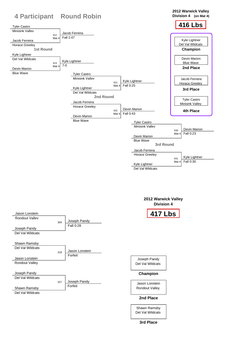|                                               | <b>4 Participant Round Robin</b> |                             | 2012 Warwick Valley<br>Division 4 (on Mat 4)       |
|-----------------------------------------------|----------------------------------|-----------------------------|----------------------------------------------------|
|                                               |                                  |                             |                                                    |
| <b>Tyler Castro</b><br><b>Minisink Vallev</b> |                                  |                             | <b>416 Lbs</b>                                     |
| 412                                           | Jacob Ferreira                   |                             |                                                    |
| Mat 4<br>Jacob Ferreira                       | Fall 2:47                        |                             | Kyle Lightner                                      |
| <b>Horace Greeley</b>                         |                                  |                             | Del Val Wildcats                                   |
| <b>1st Round</b>                              |                                  |                             | <b>Champion</b>                                    |
| Kyle Lightner                                 |                                  |                             |                                                    |
| Del Val Wildcats<br>413                       | Kyle Lightner                    |                             | <b>Devin Marion</b><br><b>Blue Wave</b>            |
| Mat 4<br><b>Devin Marion</b>                  | $7 - 0$                          |                             | 2nd Place                                          |
| <b>Blue Wave</b>                              | <b>Tyler Castro</b>              |                             |                                                    |
|                                               | <b>Minisink Valley</b>           | <b>Kyle Lightner</b><br>421 | Jacob Ferreira<br><b>Horace Greeley</b>            |
|                                               | Kyle Lightner                    | Fall 0:25<br>Mat $4$        | 3rd Place                                          |
|                                               | Del Val Wildcats                 |                             |                                                    |
|                                               | 2nd Round                        |                             | <b>Tyler Castro</b>                                |
|                                               | Jacob Ferreira                   |                             | <b>Minisink Valley</b>                             |
|                                               | <b>Horace Greeley</b>            | <b>Devin Marion</b><br>422  | 4th Place                                          |
|                                               | <b>Devin Marion</b>              | Fall 0:43<br>Mat $4$        |                                                    |
|                                               | <b>Blue Wave</b>                 | <b>Tyler Castro</b>         |                                                    |
|                                               |                                  | Minisink Vallev             |                                                    |
|                                               |                                  |                             | <b>Devin Marion</b><br>430<br>Fall 0:23<br>Mat $4$ |
|                                               |                                  | <b>Devin Marion</b>         |                                                    |
|                                               |                                  | <b>Blue Wave</b>            |                                                    |
|                                               |                                  | 3rd Round                   |                                                    |
|                                               |                                  | Jacob Ferreira              |                                                    |
|                                               |                                  | <b>Horace Greeley</b>       |                                                    |
|                                               |                                  |                             | Kyle Lightner<br>431<br>Fall 0:30<br>Mat $4$       |
|                                               |                                  | Kyle Lightner               |                                                    |
|                                               |                                  | Del Val Wildcats            |                                                    |

|                       |     |                | 2012 Warwick Valley<br><b>Division 4</b> |
|-----------------------|-----|----------------|------------------------------------------|
| Jason Lonstein        |     |                | <b>417 Lbs</b>                           |
| <b>Rondout Valley</b> |     | Joseph Pandy   |                                          |
|                       | 305 | Fall 0:28      |                                          |
| Joseph Pandy          |     |                |                                          |
| Del Val Wildcats      |     |                |                                          |
|                       |     |                |                                          |
| Shawn Ramsby          |     |                |                                          |
| Del Val Wildcats      |     |                |                                          |
|                       | 318 | Jason Lonstein |                                          |



### Joseph Pandy Del Val Wildcats

Jason Lonstein Rondout Valley

## **Champion**

### **2nd Place**

Shawn Ramsby Del Val Wildcats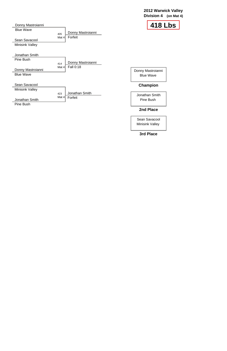### **2012 Warwick Valley Division 4 (on Mat 4)**

| Donny Mastroianni<br><b>Blue Wave</b><br><b>Champion</b><br>Jonathan Smith<br><b>Pine Bush</b> |
|------------------------------------------------------------------------------------------------|
|                                                                                                |
|                                                                                                |
|                                                                                                |
|                                                                                                |
|                                                                                                |
|                                                                                                |
|                                                                                                |
| 41                                                                                             |
|                                                                                                |

Sean Savacool Minisink Valley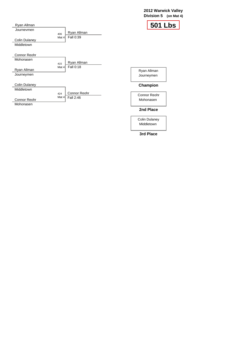### **2012 Warwick Valley Division 5 (on Mat 4)**

Colin Dulaney Middletown

| Ryan Allman          |         |                          |                     | <b>501 Lbs</b> |
|----------------------|---------|--------------------------|---------------------|----------------|
| Journevmen           | 406     | Ryan Allman              |                     |                |
| <b>Colin Dulaney</b> | Mat $4$ | Fall 0:39                |                     |                |
| Middletown           |         |                          |                     |                |
| <b>Connor Reohr</b>  |         |                          |                     |                |
| Mohonasen            |         |                          |                     |                |
|                      | 415     | Ryan Allman<br>Fall 0:18 |                     |                |
| Ryan Allman          | Mat $4$ |                          | Ryan Allman         |                |
| Journeymen           |         |                          | Journeymen          |                |
|                      |         |                          |                     |                |
| <b>Colin Dulaney</b> |         |                          | <b>Champion</b>     |                |
| Middletown           |         |                          |                     |                |
|                      | 424     | <b>Connor Reohr</b>      | <b>Connor Reohr</b> |                |
| <b>Connor Reohr</b>  | Mat $4$ | Fall 2:46                | Mohonasen           |                |
| Mohonasen            |         |                          |                     |                |
|                      |         |                          | 2nd Place           |                |
|                      |         |                          |                     |                |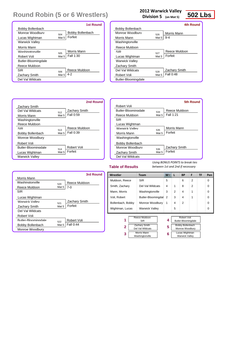### **2012 Warwick Valley**

**Division 5 (on Mat 5)**

Muldoon, Reece

Smith, Zachary Mann, Morris

SIR

Del Val Wildcats Washingtonville

5 4 3

1 2 6 8 4

0 0 0

0 0

0

| Voli, Robert                     |                                       | Butler-Bloomingdal 2  |   | 3                                  | 4                                       |  |
|----------------------------------|---------------------------------------|-----------------------|---|------------------------------------|-----------------------------------------|--|
| Bollenbach, Bobby                | Monroe Woodbury                       |                       |   | 4                                  | 2                                       |  |
| Wightman, Lucas                  |                                       | <b>Warwick Valley</b> |   | 5                                  |                                         |  |
| Reece Muldoon<br>1<br><b>SIR</b> |                                       | 4                     |   | Robert Voli<br>Butler-Bloomingdale |                                         |  |
| $\mathbf 2$                      | Zachary Smith<br>Del Val Wildcats     |                       | 5 |                                    | Bobby Bollenbach<br>Monroe Woodbury     |  |
| 3                                | <b>Morris Mann</b><br>Washingtonville |                       | 6 |                                    | Lucas Wightman<br><b>Warwick Valley</b> |  |

**Wrestler Team W L BP F TF Pen**

#### **Table of Results**

*Using BONUS POINTS to break ties between 1st and 2nd if necessary*

|                         |       | <b>1st Round</b>        |
|-------------------------|-------|-------------------------|
| <b>Bobby Bollenbach</b> |       |                         |
| Monroe Woodbury         | 504   | <b>Bobby Bollenbach</b> |
| Lucas Wightman          | Mat 5 | Forfeit                 |
| <b>Warwick Valley</b>   |       |                         |
| Morris Mann             |       |                         |
| Washingtonville         | 505   | Morris Mann             |
| <b>Robert Voli</b>      | Mat 5 | Fall 1:30               |
| Butler-Bloomingdale     |       |                         |
| Reece Muldoon           |       |                         |
| SIR                     | 506   | Reece Muldoon           |
| <b>Zachary Smith</b>    | Mat 5 | $4 - 2$                 |
| Del Val Wildcats        |       |                         |

|                       |       | 4th Round            |
|-----------------------|-------|----------------------|
| Bobby Bollenbach      |       |                      |
| Monroe Woodbury       | 526   | Morris Mann          |
| Morris Mann           | Mat 5 | $9 - 4$              |
| Washingtonville       |       |                      |
| Reece Muldoon         |       |                      |
| SIR                   | 527   | Reece Muldoon        |
| Lucas Wightman        | Mat 5 | Forfeit              |
| <b>Warwick Valley</b> |       |                      |
| <b>Zachary Smith</b>  |       |                      |
| Del Val Wildcats      | 528   | <b>Zachary Smith</b> |
| Robert Voli           | Mat 5 | <b>Fall 0:48</b>     |
| Butler-Bloomingdale   |       |                      |
|                       |       |                      |

|                            |       | <b>5th Round</b>     |
|----------------------------|-------|----------------------|
| Robert Voli                |       |                      |
| <b>Butler-Bloomingdale</b> | 534   | Reece Muldoon        |
| Reece Muldoon              | Mat 5 | Fall 1:21            |
| <b>SIR</b>                 |       |                      |
| Lucas Wightman             |       |                      |
| Warwick Valley             | 535   | <b>Morris Mann</b>   |
| Morris Mann                | Mat 5 | Forfeit              |
| Washingtonville            |       |                      |
| <b>Bobby Bollenbach</b>    |       |                      |
| Monroe Woodbury            | 536   | <b>Zachary Smith</b> |
| Zachary Smith              | Mat 5 | Forfeit              |
| Del Val Wildcats           |       |                      |

|                            |       | 2nd Round            |
|----------------------------|-------|----------------------|
| <b>Zachary Smith</b>       |       |                      |
| Del Val Wildcats           | 512   | <b>Zachary Smith</b> |
| Morris Mann                | Mat 5 | Fall 0:59            |
| Washingtonville            |       |                      |
| Reece Muldoon              |       |                      |
| SIR                        | 513   | Reece Muldoon        |
| <b>Bobby Bollenbach</b>    | Mat 5 | Fall 0:39            |
| Monroe Woodbury            |       |                      |
| <b>Robert Voli</b>         |       |                      |
| <b>Butler-Bloomingdale</b> | 514   | <b>Robert Voli</b>   |
| Lucas Wightman             | Mat 5 | Forfeit              |
| <b>Warwick Valley</b>      |       |                      |

|                            |       | <b>3rd Round</b>     |
|----------------------------|-------|----------------------|
| Morris Mann                |       |                      |
| Washingtonville            | 520   | Reece Muldoon        |
| Reece Muldoon              | Mat 5 | 7-0                  |
| <b>SIR</b>                 |       |                      |
| Lucas Wightman             |       |                      |
| Warwick Valley             | 521   | <b>Zachary Smith</b> |
| <b>Zachary Smith</b>       | Mat 5 | Forfeit              |
| Del Val Wildcats           |       |                      |
| Robert Voli                |       |                      |
| <b>Butler-Bloomingdale</b> | 522   | Robert Voli          |
| <b>Bobby Bollenbach</b>    | Mat 5 | Fall 0:44            |
| Monroe Woodbury            |       |                      |
|                            |       |                      |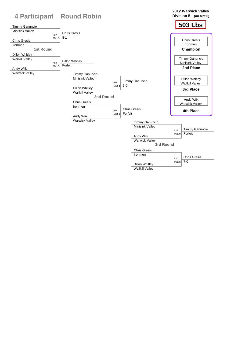

Wallkill Valley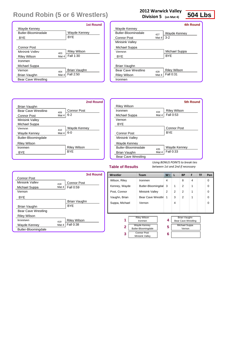| 2012 Warwick Valley |  |
|---------------------|--|
|---------------------|--|

**Division 5 (on Mat 4)**

| Wrestler            | <b>Team</b>                                                                                        | $W^-$  | L              | <b>BP</b>                                                                           | F | <b>TF</b> | Pen      |
|---------------------|----------------------------------------------------------------------------------------------------|--------|----------------|-------------------------------------------------------------------------------------|---|-----------|----------|
| Wilson, Riley       | <b>Ironmen</b>                                                                                     | 4      |                | 8                                                                                   | 4 |           | 0        |
| Kenney, Wayde       | Butler-Bloomingdal                                                                                 | 3      | 1              | $\overline{2}$                                                                      | 1 |           | 0        |
| Post, Connor        | Minisink Valley                                                                                    | 2      | $\overline{2}$ | 2                                                                                   | 1 |           | $\Omega$ |
| Vaughn, Brian       | Bear Cave Wrestlin                                                                                 | 1      | 3              | $\mathcal{P}$                                                                       | 1 |           | 0        |
| Suppa, Michael      | Vernon                                                                                             |        | 4              |                                                                                     |   |           | 0        |
|                     |                                                                                                    |        |                |                                                                                     |   |           |          |
| 1<br>$\overline{2}$ | <b>Riley Wilson</b><br>Ironmen<br><b>Wayde Kenney</b><br>Butler-Bloomingdale<br><b>Connor Post</b> | 4<br>5 |                | <b>Brian Vaughn</b><br><b>Bear Cave Wrestling</b><br><b>Michael Suppa</b><br>Vernon |   |           |          |
| 3                   | Minisink Valley                                                                                    | 6      |                |                                                                                     |   |           |          |

#### **Table of Results**

*Using BONUS POINTS to break ties between 1st and 2nd if necessary*

|                            | <b>1st Round</b>           |
|----------------------------|----------------------------|
| Wayde Kenney               |                            |
| <b>Butler-Bloomingdale</b> | Wayde Kenney               |
| BYE                        | <b>BYE</b>                 |
|                            |                            |
| Connor Post                |                            |
| Minisink Valley            | <b>Riley Wilson</b><br>403 |
| <b>Riley Wilson</b>        | Fall 1:30<br>Mat 4         |
| Ironmen                    |                            |
| Michael Suppa              |                            |
| Vernon                     | Brian Vaughn<br>404        |
| Brian Vaughn               | Fall 2:50<br>Mat 4         |
| <b>Bear Cave Wrestling</b> |                            |

|                            |       | <b>4th Round</b>    |
|----------------------------|-------|---------------------|
| Wayde Kenney               |       |                     |
| <b>Butler-Bloomingdale</b> | 427   | Wayde Kenney        |
| <b>Connor Post</b>         | Mat 4 | $3 - 2$             |
| <b>Minisink Valley</b>     |       |                     |
| Michael Suppa              |       |                     |
| Vernon                     |       | Michael Suppa       |
| <b>BYE</b>                 |       | <b>BYF</b>          |
|                            |       |                     |
| Brian Vaughn               |       |                     |
| Bear Cave Wrestling        | 428   | <b>Riley Wilson</b> |
| <b>Riley Wilson</b>        | Mat 4 | Fall 0:31           |
| Ironmen                    |       |                     |

|                            |       | <b>5th Round</b>    |
|----------------------------|-------|---------------------|
| <b>Riley Wilson</b>        |       |                     |
| Ironmen                    | 434   | <b>Riley Wilson</b> |
| Michael Suppa              | Mat 4 | Fall 0:53           |
| Vernon                     |       |                     |
| <b>BYF</b>                 |       |                     |
|                            |       | Connor Post         |
| <b>Connor Post</b>         |       | <b>BYE</b>          |
| <b>Minisink Valley</b>     |       |                     |
| Wayde Kenney               |       |                     |
| <b>Butler-Bloomingdale</b> | 435   | Wayde Kenney        |
| Brian Vaughn               | Mat 4 | Fall 0:33           |
| <b>Bear Cave Wrestling</b> |       |                     |

|                     |       | <b>2nd Round</b>    |
|---------------------|-------|---------------------|
| Brian Vaughn        |       |                     |
| Bear Cave Wrestling | 409   | <b>Connor Post</b>  |
| <b>Connor Post</b>  | Mat 4 | $6 - 2$             |
| Minisink Valley     |       |                     |
| Michael Suppa       |       |                     |
| Vernon              | 410   | Wayde Kenney        |
| Wayde Kenney        | Mat 4 | 6-0                 |
| Butler-Bloomingdale |       |                     |
| <b>Riley Wilson</b> |       |                     |
| Ironmen             |       | <b>Riley Wilson</b> |
| BYE                 |       | <b>BYF</b>          |
|                     |       |                     |

|                            |       | <b>3rd Round</b>    |
|----------------------------|-------|---------------------|
| <b>Connor Post</b>         |       |                     |
| Minisink Valley            | 418   | <b>Connor Post</b>  |
| Michael Suppa              | Mat 4 | Fall 0:59           |
| Vernon                     |       |                     |
| <b>BYE</b>                 |       |                     |
|                            |       | Brian Vaughn        |
| Brian Vaughn               |       | <b>BYF</b>          |
| <b>Bear Cave Wrestling</b> |       |                     |
| <b>Riley Wilson</b>        |       |                     |
| Ironmen                    | 419   | <b>Riley Wilson</b> |
| Wayde Kenney               | Mat 4 | Fall 0:38           |
| Butler-Bloomingdale        |       |                     |